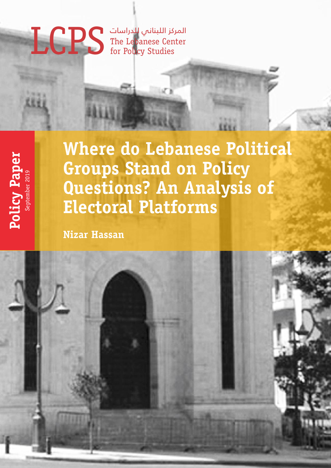# المركز اللبناني للدراسات LCPS The Lebanese Center for Policy Studies



**Where do Lebanese Political Groups Stand on Policy Questions? An Analysis of Electoral Platforms**

sΓi

**Nizar Hassan**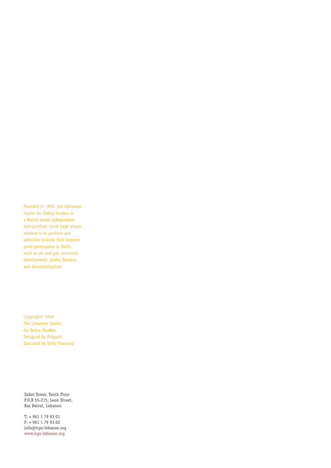Founded in 1989, the Lebanese Center for Policy Studies is a Beirut-based independent, non-partisan think tank whose mission is to produce and advocate policies that improve good governance in fields such as oil and gas, economic development, public finance, and decentralization.

Copyright© 2019 The Lebanese Center for Policy Studies Designed by Polypod Executed by Dolly Harouny

Sadat Tower, Tenth Floor P.O.B 55-215, Leon Street, Ras Beirut, Lebanon

T: + 961 1 79 93 01 F: + 961 1 79 93 02 info@lcps-lebanon.org www.lcps-lebanon.org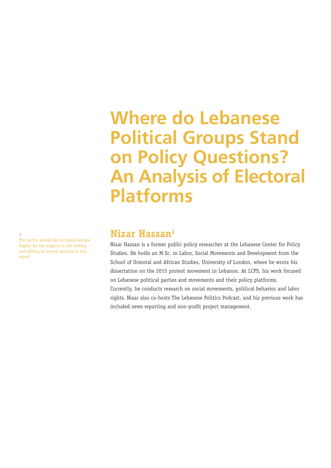# **Where do Lebanese Political Groups Stand on Policy Questions? An Analysis of Electoral Platforms**

# **Nizar Hassan1**

Nizar Hassan is a former public policy researcher at the Lebanese Center for Policy Studies. He holds an M.Sc. in Labor, Social Movements and Development from the School of Oriental and African Studies, University of London, where he wrote his dissertation on the 2015 protest movement in Lebanon. At LCPS, his work focused on Lebanese political parties and movements and their policy platforms. Currently, he conducts research on social movements, political behavior and labor rights. Nizar also co-hosts The Lebanese Politics Podcast, and his previous work has included news reporting and non-profit project management.

The author would like to thank Georgia Dagher for her support in the writing and editing of several sections in this report.

**1**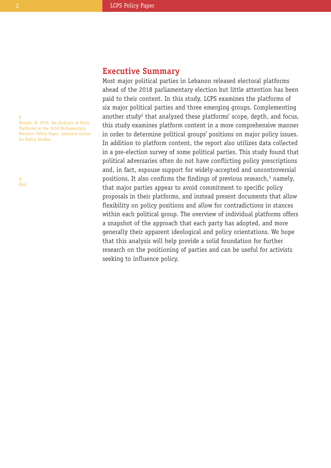# **Executive Summary**

Most major political parties in Lebanon released electoral platforms ahead of the 2018 parliamentary election but little attention has been paid to their content. In this study, LCPS examines the platforms of six major political parties and three emerging groups. Complementing another study<sup>2</sup> that analyzed these platforms' scope, depth, and focus, this study examines platform content in a more comprehensive manner in order to determine political groups' positions on major policy issues. In addition to platform content, the report also utilizes data collected in a pre-election survey of some political parties. This study found that political adversaries often do not have conflicting policy prescriptions and, in fact, espouse support for widely-accepted and uncontroversial positions. It also confirms the findings of previous research, <sup>3</sup> namely, that major parties appear to avoid commitment to specific policy proposals in their platforms, and instead present documents that allow flexibility on policy positions and allow for contradictions in stances within each political group. The overview of individual platforms offers a snapshot of the approach that each party has adopted, and more generally their apparent ideological and policy orientations. We hope that this analysis will help provide a solid foundation for further research on the positioning of parties and can be useful for activists seeking to influence policy.

**2** Hassan, N. 2018. 'An Analysis of Party Platforms in the 2018 Parliamentary Election.' Policy Paper. Lebanese Center for Policy Studies.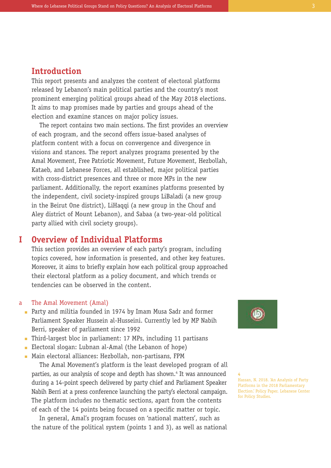# **Introduction**

This report presents and analyzes the content of electoral platforms released by Lebanon's main political parties and the country's most prominent emerging political groups ahead of the May 2018 elections. It aims to map promises made by parties and groups ahead of the election and examine stances on major policy issues.

The report contains two main sections. The first provides an overview of each program, and the second offers issue-based analyses of platform content with a focus on convergence and divergence in visions and stances. The report analyzes programs presented by the Amal Movement, Free Patriotic Movement, Future Movement, Hezbollah, Kataeb, and Lebanese Forces, all established, major political parties with cross-district presences and three or more MPs in the new parliament. Additionally, the report examines platforms presented by the independent, civil society-inspired groups LiBaladi (a new group in the Beirut One district), LiHaqqi (a new group in the Chouf and Aley district of Mount Lebanon), and Sabaa (a two-year-old political party allied with civil society groups).

#### **Overview of Individual Platforms I**

This section provides an overview of each party's program, including topics covered, how information is presented, and other key features. Moreover, it aims to briefly explain how each political group approached their electoral platform as a policy document, and which trends or tendencies can be observed in the content.

#### The Amal Movement (Amal) a

- Party and militia founded in 1974 by Imam Musa Sadr and former n Parliament Speaker Hussein al-Husseini. Currently led by MP Nabih Berri, speaker of parliament since 1992
- Third-largest bloc in parliament: 17 MPs, including 11 partisans n
- Electoral slogan: Lubnan al-Amal (the Lebanon of hope)
- Main electoral alliances: Hezbollah, non-partisans, FPM n

The Amal Movement's platform is the least developed program of all parties, as our analysis of scope and depth has shown. <sup>4</sup> It was announced during a 14-point speech delivered by party chief and Parliament Speaker Nabih Berri at a press conference launching the party's electoral campaign. The platform includes no thematic sections, apart from the contents of each of the 14 points being focused on a specific matter or topic.

In general, Amal's program focuses on 'national matters', such as the nature of the political system (points 1 and 3), as well as national



**4** Hassan, N. 2018. 'An Analysis of Party Platforms in the 2018 Parliamentary Election.' Policy Paper. Lebanese Center for Policy Studies.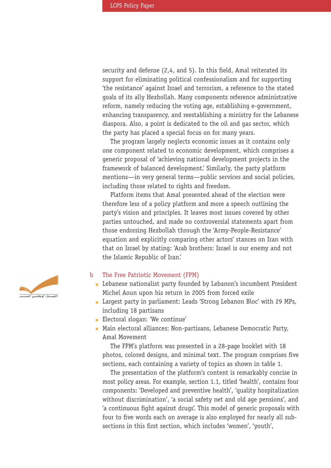security and defense (2,4, and 5). In this field, Amal reiterated its support for eliminating political confessionalism and for supporting 'the resistance' against Israel and terrorism, a reference to the stated goals of its ally Hezbollah. Many components reference administrative reform, namely reducing the voting age, establishing e-government, enhancing transparency, and reestablishing a ministry for the Lebanese diaspora. Also, a point is dedicated to the oil and gas sector, which the party has placed a special focus on for many years.

The program largely neglects economic issues as it contains only one component related to economic development, which comprises a generic proposal of 'achieving national development projects in the framework of balanced development.' Similarly, the party platform mentions—in very general terms—public services and social policies, including those related to rights and freedom.

Platform items that Amal presented ahead of the election were therefore less of a policy platform and more a speech outlining the party's vision and principles. It leaves most issues covered by other parties untouched, and made no controversial statements apart from those endorsing Hezbollah through the 'Army-People-Resistance' equation and explicitly comparing other actors' stances on Iran with that on Israel by stating: 'Arab brothers: Israel is our enemy and not the Islamic Republic of Iran.'

#### The Free Patriotic Movement (FPM) b

- **Example 3** Lebanese nationalist party founded by Lebanon's incumbent President Michel Aoun upon his return in 2005 from forced exile
- Largest party in parliament: Leads 'Strong Lebanon Bloc' with 29 MPs, n including 18 partisans
- **Electoral slogan: 'We continue'**
- Main electoral alliances: Non-partisans, Lebanese Democratic Party, nAmal Movement

The FPM's platform was presented in a 28-page booklet with 18 photos, colored designs, and minimal text. The program comprises five sections, each containing a variety of topics as shown in table 1.

The presentation of the platform's content is remarkably concise in most policy areas. For example, section 1.1, titled 'health', contains four components: 'Developed and preventive health', 'quality hospitalization without discrimination', 'a social safety net and old age pensions', and 'a continuous fight against drugs'. This model of generic proposals with four to five words each on average is also employed for nearly all subsections in this first section, which includes 'women', 'youth',

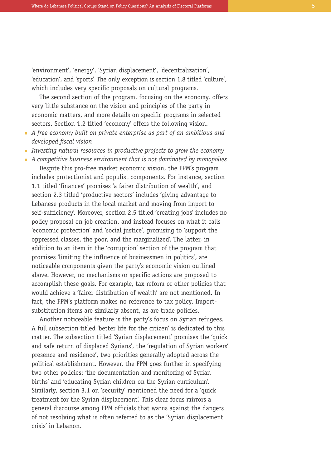'environment', 'energy', 'Syrian displacement', 'decentralization', 'education', and 'sports'. The only exception is section 1.8 titled 'culture', which includes very specific proposals on cultural programs.

The second section of the program, focusing on the economy, offers very little substance on the vision and principles of the party in economic matters, and more details on specific programs in selected sectors. Section 1.2 titled 'economy' offers the following vision.

- *A free economy built on private enterprise as part of an ambitious and* n *developed fiscal vision*
- *Investing natural resources in productive projects to grow the economy* n
- *A competitive business environment that is not dominated by monopolies* n

Despite this pro-free market economic vision, the FPM's program includes protectionist and populist components. For instance, section 1.1 titled 'finances' promises 'a fairer distribution of wealth', and section 2.3 titled 'productive sectors' includes 'giving advantage to Lebanese products in the local market and moving from import to self-sufficiency'. Moreover, section 2.5 titled 'creating jobs' includes no policy proposal on job creation, and instead focuses on what it calls 'economic protection' and 'social justice', promising to 'support the oppressed classes, the poor, and the marginalized'. The latter, in addition to an item in the 'corruption' section of the program that promises 'limiting the influence of businessmen in politics', are noticeable components given the party's economic vision outlined above. However, no mechanisms or specific actions are proposed to accomplish these goals. For example, tax reform or other policies that would achieve a 'fairer distribution of wealth' are not mentioned. In fact, the FPM's platform makes no reference to tax policy. Importsubstitution items are similarly absent, as are trade policies.

Another noticeable feature is the party's focus on Syrian refugees. A full subsection titled 'better life for the citizen' is dedicated to this matter. The subsection titled 'Syrian displacement' promises the 'quick and safe return of displaced Syrians', the 'regulation of Syrian workers' presence and residence', two priorities generally adopted across the political establishment. However, the FPM goes further in specifying two other policies: 'the documentation and monitoring of Syrian births' and 'educating Syrian children on the Syrian curriculum'. Similarly, section 3.1 on 'security' mentioned the need for a 'quick treatment for the Syrian displacement'. This clear focus mirrors a general discourse among FPM officials that warns against the dangers of not resolving what is often referred to as the 'Syrian displacement crisis' in Lebanon.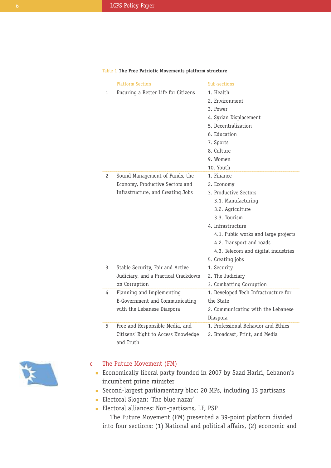|                | <b>Platform Section</b>                          | Sub-sections                                    |
|----------------|--------------------------------------------------|-------------------------------------------------|
| 1              | Ensuring a Better Life for Citizens              | 1. Health                                       |
|                |                                                  | 2. Environment                                  |
|                |                                                  | 3. Power                                        |
|                |                                                  | 4. Syrian Displacement                          |
|                |                                                  | 5. Decentralization                             |
|                |                                                  | 6. Education                                    |
|                |                                                  | 7. Sports                                       |
|                |                                                  | 8. Culture                                      |
|                |                                                  | 9. Women                                        |
|                |                                                  | 10. Youth                                       |
| $\overline{c}$ | Sound Management of Funds, the                   | 1. Finance                                      |
|                | Economy, Productive Sectors and                  | 2. Economy                                      |
|                | Infrastructure, and Creating Jobs                | 3. Productive Sectors                           |
|                |                                                  | 3.1. Manufacturing                              |
|                |                                                  | 3.2. Agriculture                                |
|                |                                                  | 3.3. Tourism                                    |
|                |                                                  | 4. Infrastructure                               |
|                |                                                  | 4.1. Public works and large projects            |
|                |                                                  | 4.2. Transport and roads                        |
|                |                                                  | 4.3. Telecom and digital industries             |
|                |                                                  | 5. Creating jobs                                |
| 3              | Stable Security, Fair and Active                 | 1. Security                                     |
|                | Judiciary, and a Practical Crackdown             | 2. The Judiciary                                |
|                | on Corruption                                    | 3. Combatting Corruption                        |
| 4              | Planning and Implementing                        | 1. Developed Tech Infrastructure for            |
|                | E-Government and Communicating                   | the State                                       |
|                | with the Lebanese Diaspora                       | 2. Communicating with the Lebanese              |
|                |                                                  | Diaspora<br>1. Professional Behavior and Ethics |
| 5              | Free and Responsible Media, and                  |                                                 |
|                | Citizens' Right to Access Knowledge<br>and Truth | 2. Broadcast, Print, and Media                  |

## Table 1 **The Free Patriotic Movements platform structure**



#### The Future Movement (FM) c

- Economically liberal party founded in 2007 by Saad Hariri, Lebanon's n incumbent prime minister
- Second-largest parliamentary bloc: 20 MPs, including 13 partisans n
- **Electoral Slogan: 'The blue nazar'**
- **Electoral alliances: Non-partisans, LF, PSP**

The Future Movement (FM) presented a 39-point platform divided into four sections: (1) National and political affairs, (2) economic and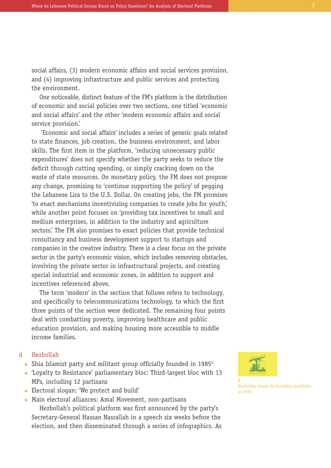social affairs, (3) modern economic affairs and social services provision, and (4) improving infrastructure and public services and protecting the environment.

One noticeable, distinct feature of the FM's platform is the distribution of economic and social policies over two sections, one titled 'economic and social affairs' and the other 'modern economic affairs and social service provision.'

'Economic and social affairs' includes a series of generic goals related to state finances, job creation, the business environment, and labor skills. The first item in the platform, 'reducing unnecessary public expenditures' does not specify whether the party seeks to reduce the deficit through cutting spending, or simply cracking down on the waste of state resources. On monetary policy, the FM does not propose any change, promising to 'continue supporting the policy' of pegging the Lebanese Lira to the U.S. Dollar. On creating jobs, the FM promises 'to enact mechanisms incentivizing companies to create jobs for youth,' while another point focuses on 'providing tax incentives to small and medium enterprises, in addition to the industry and agriculture sectors.' The FM also promises to enact policies that provide technical consultancy and business development support to startups and companies in the creative industry. There is a clear focus on the private sector in the party's economic vision, which includes removing obstacles, involving the private sector in infrastructural projects, and creating special industrial and economic zones, in addition to support and incentives referenced above.

The term 'modern' in the section that follows refers to technology, and specifically to telecommunications technology, to which the first three points of the section were dedicated. The remaining four points deal with combatting poverty, improving healthcare and public education provision, and making housing more accessible to middle income families.

#### Hezbollah d

- Shia Islamist party and militant group officially founded in 1985<sup>5</sup>
- 'Loyalty to Resistance' parliamentary bloc: Third-largest bloc with 13 n MPs, including 12 partisans
- **Electoral slogan: 'We protect and build'**
- **Main electoral alliances: Amal Movement, non-partisans** Hezbollah's political platform was first announced by the party's Secretary-General Hassan Nasrallah in a speech six weeks before the election, and then disseminated through a series of infographics. As



**5**

Hezbollah issued its founding manifesto in 1985.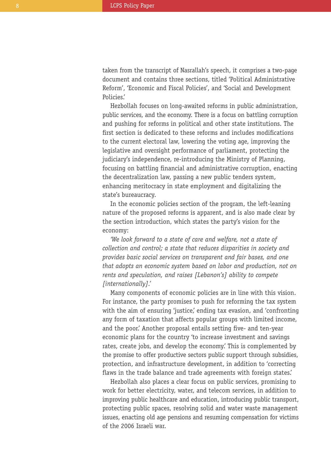taken from the transcript of Nasrallah's speech, it comprises a two-page document and contains three sections, titled 'Political Administrative Reform', 'Economic and Fiscal Policies', and 'Social and Development Policies.'

Hezbollah focuses on long-awaited reforms in public administration, public services, and the economy. There is a focus on battling corruption and pushing for reforms in political and other state institutions. The first section is dedicated to these reforms and includes modifications to the current electoral law, lowering the voting age, improving the legislative and oversight performance of parliament, protecting the judiciary's independence, re-introducing the Ministry of Planning, focusing on battling financial and administrative corruption, enacting the decentralization law, passing a new public tenders system, enhancing meritocracy in state employment and digitalizing the state's bureaucracy.

In the economic policies section of the program, the left-leaning nature of the proposed reforms is apparent, and is also made clear by the section introduction, which states the party's vision for the economy:

*'We look forward to a state of care and welfare, not a state of collection and control; a state that reduces disparities in society and provides basic social services on transparent and fair bases, and one that adopts an economic system based on labor and production, not on rents and speculation, and raises [Lebanon's] ability to compete [internationally].'*

Many components of economic policies are in line with this vision. For instance, the party promises to push for reforming the tax system with the aim of ensuring 'justice,' ending tax evasion, and 'confronting any form of taxation that affects popular groups with limited income, and the poor.' Another proposal entails setting five- and ten-year economic plans for the country 'to increase investment and savings rates, create jobs, and develop the economy.' This is complemented by the promise to offer productive sectors public support through subsidies, protection, and infrastructure development, in addition to 'correcting flaws in the trade balance and trade agreements with foreign states.'

Hezbollah also places a clear focus on public services, promising to work for better electricity, water, and telecom services, in addition to improving public healthcare and education, introducing public transport, protecting public spaces, resolving solid and water waste management issues, enacting old age pensions and resuming compensation for victims of the 2006 Israeli war.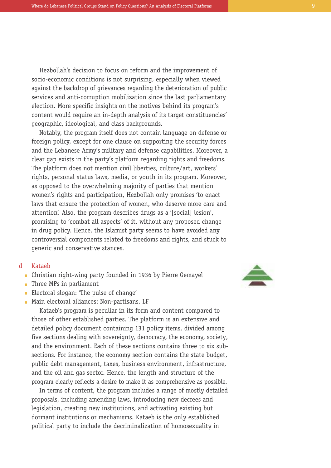Hezbollah's decision to focus on reform and the improvement of socio-economic conditions is not surprising, especially when viewed against the backdrop of grievances regarding the deterioration of public services and anti-corruption mobilization since the last parliamentary election. More specific insights on the motives behind its program's content would require an in-depth analysis of its target constituencies' geographic, ideological, and class backgrounds.

Notably, the program itself does not contain language on defense or foreign policy, except for one clause on supporting the security forces and the Lebanese Army's military and defense capabilities. Moreover, a clear gap exists in the party's platform regarding rights and freedoms. The platform does not mention civil liberties, culture/art, workers' rights, personal status laws, media, or youth in its program. Moreover, as opposed to the overwhelming majority of parties that mention women's rights and participation, Hezbollah only promises 'to enact laws that ensure the protection of women, who deserve more care and attention'. Also, the program describes drugs as a '[social] lesion', promising to 'combat all aspects' of it, without any proposed change in drug policy. Hence, the Islamist party seems to have avoided any controversial components related to freedoms and rights, and stuck to generic and conservative stances.

#### Kataeb d

- Christian right-wing party founded in 1936 by Pierre Gemayel n
- **Three MPs in parliament**
- **Electoral slogan: 'The pulse of change'**
- **Main electoral alliances: Non-partisans, LF**

Kataeb's program is peculiar in its form and content compared to those of other established parties. The platform is an extensive and detailed policy document containing 131 policy items, divided among five sections dealing with sovereignty, democracy, the economy, society, and the environment. Each of these sections contains three to six subsections. For instance, the economy section contains the state budget, public debt management, taxes, business environment, infrastructure, and the oil and gas sector. Hence, the length and structure of the program clearly reflects a desire to make it as comprehensive as possible.

In terms of content, the program includes a range of mostly detailed proposals, including amending laws, introducing new decrees and legislation, creating new institutions, and activating existing but dormant institutions or mechanisms. Kataeb is the only established political party to include the decriminalization of homosexuality in

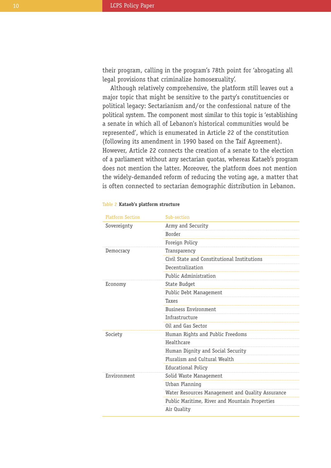their program, calling in the program's 78th point for 'abrogating all legal provisions that criminalize homosexuality'.

Although relatively comprehensive, the platform still leaves out a major topic that might be sensitive to the party's constituencies or political legacy: Sectarianism and/or the confessional nature of the political system. The component most similar to this topic is 'establishing a senate in which all of Lebanon's historical communities would be represented', which is enumerated in Article 22 of the constitution (following its amendment in 1990 based on the Taif Agreement). However, Article 22 connects the creation of a senate to the election of a parliament without any sectarian quotas, whereas Kataeb's program does not mention the latter. Moreover, the platform does not mention the widely-demanded reform of reducing the voting age, a matter that is often connected to sectarian demographic distribution in Lebanon.

| <b>Platform Section</b> | Sub-section                                      |
|-------------------------|--------------------------------------------------|
| Sovereignty             | Army and Security                                |
|                         | <b>Border</b>                                    |
|                         | Foreign Policy                                   |
| Democracy               | Transparency                                     |
|                         | Civil State and Constitutional Institutions      |
|                         | Decentralization                                 |
|                         | Public Administration                            |
| Economy                 | State Budget                                     |
|                         | Public Debt Management                           |
|                         | Taxes                                            |
|                         | <b>Business Environment</b>                      |
|                         | Infrastructure                                   |
|                         | Oil and Gas Sector                               |
| Society                 | Human Rights and Public Freedoms                 |
|                         | Healthcare                                       |
|                         | Human Dignity and Social Security                |
|                         | Pluralism and Cultural Wealth                    |
|                         | <b>Educational Policy</b>                        |
| Environment             | Solid Waste Management                           |
|                         | Urban Planning                                   |
|                         | Water Resources Management and Quality Assurance |
|                         | Public Maritime, River and Mountain Properties   |
|                         | Air Quality                                      |

## Table 2 **Kataeb's platform structure**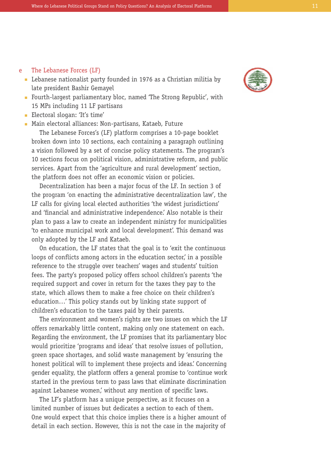#### The Lebanese Forces (LF) e

- Lebanese nationalist party founded in 1976 as a Christian militia by n late president Bashir Gemayel
- Fourth-largest parliamentary bloc, named 'The Strong Republic', with n 15 MPs including 11 LF partisans
- **Electoral slogan: 'It's time'**
- **Main electoral alliances: Non-partisans, Kataeb, Future** The Lebanese Forces's (LF) platform comprises a 10-page booklet broken down into 10 sections, each containing a paragraph outlining a vision followed by a set of concise policy statements. The program's 10 sections focus on political vision, administrative reform, and public services. Apart from the 'agriculture and rural development' section, the platform does not offer an economic vision or policies.

Decentralization has been a major focus of the LF. In section 3 of the program 'on enacting the administrative decentralization law', the LF calls for giving local elected authorities 'the widest jurisdictions' and 'financial and administrative independence.' Also notable is their plan to pass a law to create an independent ministry for municipalities 'to enhance municipal work and local development'. This demand was only adopted by the LF and Kataeb.

On education, the LF states that the goal is to 'exit the continuous loops of conflicts among actors in the education sector, in a possible reference to the struggle over teachers' wages and students' tuition fees. The party's proposed policy offers school children's parents 'the required support and cover in return for the taxes they pay to the state, which allows them to make a free choice on their children's education…' This policy stands out by linking state support of children's education to the taxes paid by their parents.

The environment and women's rights are two issues on which the LF offers remarkably little content, making only one statement on each. Regarding the environment, the LF promises that its parliamentary bloc would prioritize 'programs and ideas' that resolve issues of pollution, green space shortages, and solid waste management by 'ensuring the honest political will to implement these projects and ideas.' Concerning gender equality, the platform offers a general promise to 'continue work started in the previous term to pass laws that eliminate discrimination against Lebanese women,' without any mention of specific laws.

The LF's platform has a unique perspective, as it focuses on a limited number of issues but dedicates a section to each of them. One would expect that this choice implies there is a higher amount of detail in each section. However, this is not the case in the majority of

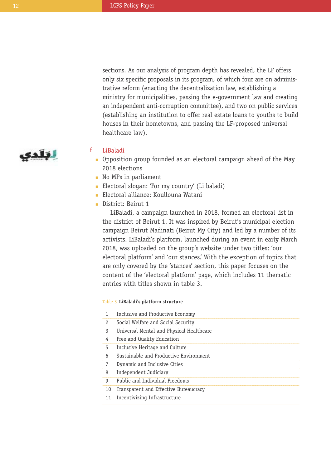sections. As our analysis of program depth has revealed, the LF offers only six specific proposals in its program, of which four are on administrative reform (enacting the decentralization law, establishing a ministry for municipalities, passing the e-government law and creating an independent anti-corruption committee), and two on public services (establishing an institution to offer real estate loans to youths to build houses in their hometowns, and passing the LF-proposed universal healthcare law).

# لتلدي

#### LiBaladi f

- Opposition group founded as an electoral campaign ahead of the May n 2018 elections
- **No MPs in parliament**
- **Electoral slogan: 'For my country' (Li baladi)**
- **Electoral alliance: Koullouna Watani**
- District: Beirut 1

LiBaladi, a campaign launched in 2018, formed an electoral list in the district of Beirut 1. It was inspired by Beirut's municipal election campaign Beirut Madinati (Beirut My City) and led by a number of its activists. LiBaladi's platform, launched during an event in early March 2018, was uploaded on the group's website under two titles: 'our electoral platform' and 'our stances.' With the exception of topics that are only covered by the 'stances' section, this paper focuses on the content of the 'electoral platform' page, which includes 11 thematic entries with titles shown in table 3.

## Table 3 **LiBaladi's platform structure**

| 1             | Inclusive and Productive Economy         |
|---------------|------------------------------------------|
| $\mathcal{P}$ | Social Welfare and Social Security       |
| 3             | Universal Mental and Physical Healthcare |
| 4             | Free and Quality Education               |
| 5             | Inclusive Heritage and Culture           |
| 6             | Sustainable and Productive Environment   |
| 7             | Dynamic and Inclusive Cities             |
| 8             | Independent Judiciary                    |
| g             | Public and Individual Freedoms           |
| 10            | Transparent and Effective Bureaucracy    |
| 11            | Incentivizing Infrastructure             |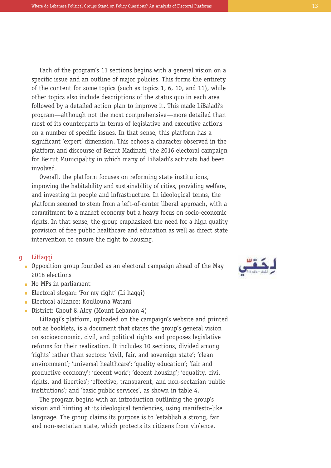Each of the program's 11 sections begins with a general vision on a specific issue and an outline of major policies. This forms the entirety of the content for some topics (such as topics 1, 6, 10, and 11), while other topics also include descriptions of the status quo in each area followed by a detailed action plan to improve it. This made LiBaladi's program—although not the most comprehensive—more detailed than most of its counterparts in terms of legislative and executive actions on a number of specific issues. In that sense, this platform has a significant 'expert' dimension. This echoes a character observed in the platform and discourse of Beirut Madinati, the 2016 electoral campaign for Beirut Municipality in which many of LiBaladi's activists had been involved.

Overall, the platform focuses on reforming state institutions, improving the habitability and sustainability of cities, providing welfare, and investing in people and infrastructure. In ideological terms, the platform seemed to stem from a left-of-center liberal approach, with a commitment to a market economy but a heavy focus on socio-economic rights. In that sense, the group emphasized the need for a high quality provision of free public healthcare and education as well as direct state intervention to ensure the right to housing.

#### LiHaqqi g

- Opposition group founded as an electoral campaign ahead of the May n 2018 elections
- lacknow No MPs in parliament
- **Electoral slogan: 'For my right' (Li hagqi)**
- **Electoral alliance: Koullouna Watani**
- District: Chouf & Aley (Mount Lebanon 4)

LiHaqqi's platform, uploaded on the campaign's website and printed out as booklets, is a document that states the group's general vision on socioeconomic, civil, and political rights and proposes legislative reforms for their realization. It includes 10 sections, divided among 'rights' rather than sectors: 'civil, fair, and sovereign state'; 'clean environment'; 'universal healthcare'; 'quality education'; 'fair and productive economy'; 'decent work'; 'decent housing'; 'equality, civil rights, and liberties'; 'effective, transparent, and non-sectarian public institutions'; and 'basic public services', as shown in table 4.

The program begins with an introduction outlining the group's vision and hinting at its ideological tendencies, using manifesto-like language. The group claims its purpose is to 'establish a strong, fair and non-sectarian state, which protects its citizens from violence,

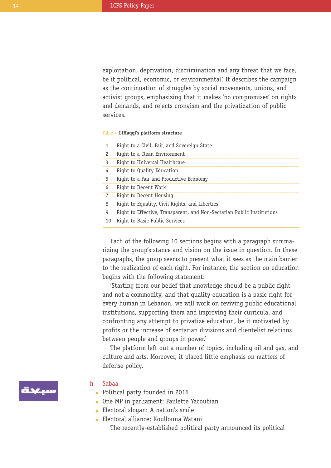exploitation, deprivation, discrimination and any threat that we face, be it political, economic, or environmental.' It describes the campaign as the continuation of struggles by social movements, unions, and activist groups, emphasizing that it makes 'no compromises' on rights and demands, and rejects cronyism and the privatization of public services.

## Table 4 **LiHaqqi's platform structure**

1 Right to a Civil, Fair, and Sovereign State

| 2  | Right to a Clean Environment                                           |
|----|------------------------------------------------------------------------|
| 3  | Right to Universal Healthcare                                          |
| 4  | Right to Quality Education                                             |
| 5  | Right to a Fair and Productive Economy                                 |
| 6  | Right to Decent Work                                                   |
| 7  | Right to Decent Housing                                                |
| 8  | Right to Equality, Civil Rights, and Liberties                         |
| 9  | Right to Effective, Transparent, and Non-Sectarian Public Institutions |
| 10 | Right to Basic Public Services                                         |

Each of the following 10 sections begins with a paragraph summarizing the group's stance and vision on the issue in question. In these paragraphs, the group seems to present what it sees as the main barrier to the realization of each right. For instance, the section on education begins with the following statement:

'Starting from our belief that knowledge should be a public right and not a commodity, and that quality education is a basic right for every human in Lebanon, we will work on reviving public educational institutions, supporting them and improving their curricula, and confronting any attempt to privatize education, be it motivated by profits or the increase of sectarian divisions and clientelist relations between people and groups in power.'

The platform left out a number of topics, including oil and gas, and culture and arts. Moreover, it placed little emphasis on matters of defense policy.



#### Sabaa h

- **Political party founded in 2016**
- One MP in parliament: Paulette Yacoubian n
- **Electoral slogan: A nation's smile**
- **Electoral alliance: Koullouna Watani** The recently-established political party announced its political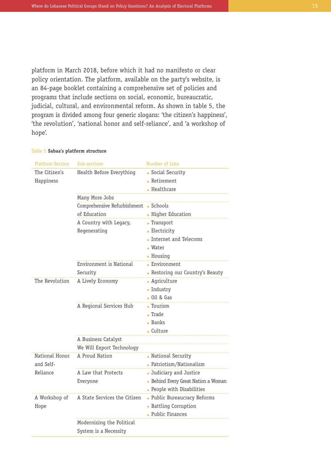platform in March 2018, before which it had no manifesto or clear policy orientation. The platform, available on the party's website, is an 84-page booklet containing a comprehensive set of policies and programs that include sections on social, economic, bureaucratic, judicial, cultural, and environmental reform. As shown in table 5, the program is divided among four generic slogans: 'the citizen's happiness', 'the revolution', 'national honor and self-reliance', and 'a workshop of hope'.

|  |  |  | Table 5 Sabaa's platform structure |  |
|--|--|--|------------------------------------|--|
|--|--|--|------------------------------------|--|

| <b>Platform Section</b> | Sub-sections                 | Number of Lists                     |
|-------------------------|------------------------------|-------------------------------------|
| The Citizen's           | Health Before Everything     | • Social Security                   |
| Happiness               |                              | Retirement                          |
|                         |                              | <b>Healthcare</b>                   |
|                         | Many More Jobs               |                                     |
|                         | Comprehensive Refurbishment  | Schools                             |
|                         | of Education                 | • Higher Education                  |
|                         | A Country with Legacy,       | - Transport                         |
|                         | Regenerating                 | - Electricity                       |
|                         |                              | Internet and Telecoms               |
|                         |                              | <b>Water</b>                        |
|                         |                              | - Housing                           |
|                         | Environment is National      | <b>Environment</b>                  |
|                         | Security                     | - Restoring our Country's Beauty    |
| The Revolution          | A Lively Economy             | <b>Agriculture</b>                  |
|                         |                              | $\blacksquare$ Industry             |
|                         |                              | $-$ Oil & Gas                       |
|                         | A Regional Services Hub      | - Tourism                           |
|                         |                              | - Trade                             |
|                         |                              | <b>Banks</b>                        |
|                         |                              | Culture                             |
|                         | A Business Catalyst          |                                     |
|                         | We Will Export Technology    |                                     |
| National Honor          | A Proud Nation               | • National Security                 |
| and Self-               |                              | - Patriotism/Nationalism            |
| Reliance                | A Law that Protects          | Judiciary and Justice               |
|                         | Everyone                     | - Behind Every Great Nation a Woman |
|                         |                              | - People with Disabilities          |
| A Workshop of           | A State Services the Citizen | - Public Bureaucracy Reforms        |
| Hope                    |                              | <b>Battling Corruption</b>          |
|                         |                              | - Public Finances                   |
|                         | Modernizing the Political    |                                     |
|                         | System is a Necessity        |                                     |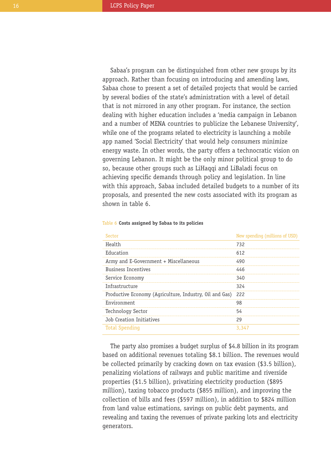Sabaa's program can be distinguished from other new groups by its approach. Rather than focusing on introducing and amending laws, Sabaa chose to present a set of detailed projects that would be carried by several bodies of the state's administration with a level of detail that is not mirrored in any other program. For instance, the section dealing with higher education includes a 'media campaign in Lebanon and a number of MENA countries to publicize the Lebanese University', while one of the programs related to electricity is launching a mobile app named 'Social Electricity' that would help consumers minimize energy waste. In other words, the party offers a technocratic vision on governing Lebanon. It might be the only minor political group to do so, because other groups such as LiHaqqi and LiBaladi focus on achieving specific demands through policy and legislation. In line with this approach, Sabaa included detailed budgets to a number of its proposals, and presented the new costs associated with its program as shown in table 6.

| Sector                                                  | New spending (millions of USD) |
|---------------------------------------------------------|--------------------------------|
| Health                                                  | 732                            |
| Education                                               | 612                            |
| Army and E-Government + Miscellaneous                   | 490                            |
| <b>Business Incentives</b>                              | 446                            |
| Service Economy                                         | 340                            |
| Infrastructure                                          | 324                            |
| Productive Economy (Agriculture, Industry, Oil and Gas) | 222                            |
| Environment                                             | 98                             |
| Technology Sector                                       | 54                             |
| Job Creation Initiatives                                | 29                             |
| <b>Total Spending</b>                                   | 3.347                          |

#### Table 6 **Costs assigned by Sabaa to its policies**

The party also promises a budget surplus of \$4.8 billion in its program based on additional revenues totaling \$8.1 billion. The revenues would be collected primarily by cracking down on tax evasion (\$3.5 billion), penalizing violations of railways and public maritime and riverside properties (\$1.5 billion), privatizing electricity production (\$895 million), taxing tobacco products (\$855 million), and improving the collection of bills and fees (\$597 million), in addition to \$824 million from land value estimations, savings on public debt payments, and revealing and taxing the revenues of private parking lots and electricity generators.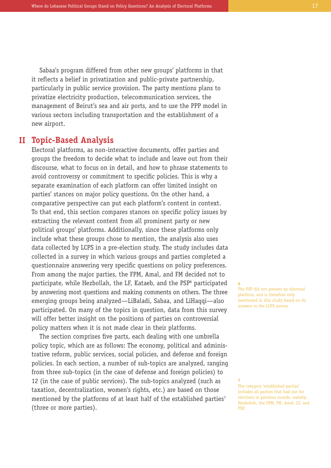Sabaa's program differed from other new groups' platforms in that it reflects a belief in privatization and public-private partnership, particularly in public service provision. The party mentions plans to privatize electricity production, telecommunication services, the management of Beirut's sea and air ports, and to use the PPP model in various sectors including transportation and the establishment of a new airport.

# **Topic-Based Analysis II**

Electoral platforms, as non-interactive documents, offer parties and groups the freedom to decide what to include and leave out from their discourse, what to focus on in detail, and how to phrase statements to avoid controversy or commitment to specific policies. This is why a separate examination of each platform can offer limited insight on parties' stances on major policy questions. On the other hand, a comparative perspective can put each platform's content in context. To that end, this section compares stances on specific policy issues by extracting the relevant content from all prominent party or new political groups' platforms. Additionally, since these platforms only include what these groups chose to mention, the analysis also uses data collected by LCPS in a pre-election study. The study includes data collected in a survey in which various groups and parties completed a questionnaire answering very specific questions on policy preferences. From among the major parties, the FPM, Amal, and FM decided not to participate, while Hezbollah, the LF, Kataeb, and the PSP<sup>6</sup> participated by answering most questions and making comments on others. The three emerging groups being analyzed—LiBaladi, Sabaa, and LiHaqqi—also participated. On many of the topics in question, data from this survey will offer better insight on the positions of parties on controversial policy matters when it is not made clear in their platforms.

The section comprises five parts, each dealing with one umbrella policy topic, which are as follows: The economy, political and administrative reform, public services, social policies, and defense and foreign policies. In each section, a number of sub-topics are analyzed, ranging from three sub-topics (in the case of defense and foreign policies) to 12 (in the case of public services). The sub-topics analyzed (such as taxation, decentralization, women's rights, etc.) are based on those mentioned by the platforms of at least half of the established parties<sup>7</sup> (three or more parties).

**6**

**7**

The PSP did not present an electoral platform, and is therefore only mentioned in this study based on its answers to the LCPS survey.

The category 'established parties' includes all parties that had run for elections in previous rounds, namely: Hezbollah, the FPM, FM, Amal, LF, and PSP.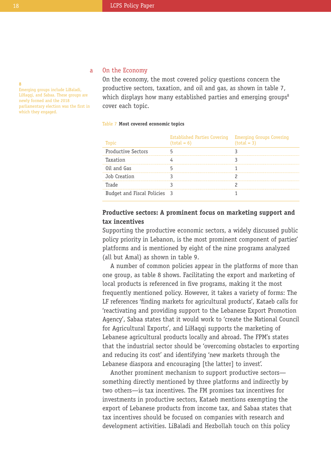#### **8**

Emerging groups include LiBaladi, LiHaqqi, and Sabaa. These groups are newly formed and the 2018 parliamentary election was the first in which they engaged.

#### On the Economy a

On the economy, the most covered policy questions concern the productive sectors, taxation, and oil and gas, as shown in table 7, which displays how many established parties and emerging groups<sup>8</sup> cover each topic.

#### Table 7 **Most covered economic topics**

| Topic                        | Established Parties Covering<br>$(total = 6)$ | <b>Emerging Groups Covering</b><br>$(total = 3)$ |
|------------------------------|-----------------------------------------------|--------------------------------------------------|
| <b>Productive Sectors</b>    |                                               |                                                  |
| Taxation                     |                                               |                                                  |
| Oil and Gas                  |                                               |                                                  |
| Job Creation                 |                                               |                                                  |
| Trade                        |                                               |                                                  |
| Budget and Fiscal Policies 3 |                                               |                                                  |

# **Productive sectors: A prominent focus on marketing support and tax incentives**

Supporting the productive economic sectors, a widely discussed public policy priority in Lebanon, is the most prominent component of parties' platforms and is mentioned by eight of the nine programs analyzed (all but Amal) as shown in table 9.

A number of common policies appear in the platforms of more than one group, as table 8 shows. Facilitating the export and marketing of local products is referenced in five programs, making it the most frequently mentioned policy. However, it takes a variety of forms: The LF references 'finding markets for agricultural products', Kataeb calls for 'reactivating and providing support to the Lebanese Export Promotion Agency', Sabaa states that it would work to 'create the National Council for Agricultural Exports', and LiHaqqi supports the marketing of Lebanese agricultural products locally and abroad. The FPM's states that the industrial sector should be 'overcoming obstacles to exporting and reducing its cost' and identifying 'new markets through the Lebanese diaspora and encouraging [the latter] to invest'.

Another prominent mechanism to support productive sectors something directly mentioned by three platforms and indirectly by two others—is tax incentives. The FM promises tax incentives for investments in productive sectors, Kataeb mentions exempting the export of Lebanese products from income tax, and Sabaa states that tax incentives should be focused on companies with research and development activities. LiBaladi and Hezbollah touch on this policy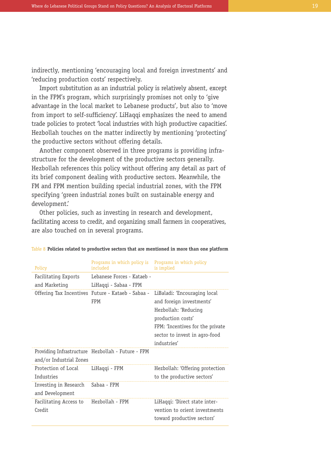indirectly, mentioning 'encouraging local and foreign investments' and 'reducing production costs' respectively.

Import substitution as an industrial policy is relatively absent, except in the FPM's program, which surprisingly promises not only to 'give advantage in the local market to Lebanese products', but also to 'move from import to self-sufficiency'. LiHaqqi emphasizes the need to amend trade policies to protect 'local industries with high productive capacities'. Hezbollah touches on the matter indirectly by mentioning 'protecting' the productive sectors without offering details.

Another component observed in three programs is providing infrastructure for the development of the productive sectors generally. Hezbollah references this policy without offering any detail as part of its brief component dealing with productive sectors. Meanwhile, the FM and FPM mention building special industrial zones, with the FPM specifying 'green industrial zones built on sustainable energy and development.'

Other policies, such as investing in research and development, facilitating access to credit, and organizing small farmers in cooperatives, are also touched on in several programs.

| Policy                  | Programs in which policy is<br>included           | Programs in which policy<br>is implied |
|-------------------------|---------------------------------------------------|----------------------------------------|
| Facilitating Exports    | Lebanese Forces - Kataeb -                        |                                        |
| and Marketing           | LiHaqqi - Sabaa - FPM                             |                                        |
|                         | Offering Tax Incentives Future - Kataeb - Sabaa - | LiBaladi: 'Encouraging local           |
|                         | <b>FPM</b>                                        | and foreign investments'               |
|                         |                                                   | Hezbollah: 'Reducing                   |
|                         |                                                   | production costs'                      |
|                         |                                                   | FPM: 'Incentives for the private       |
|                         |                                                   | sector to invest in agro-food          |
|                         |                                                   | industries'                            |
|                         | Providing Infrastructure Hezbollah - Future - FPM |                                        |
| and/or Industrial Zones |                                                   |                                        |
| Protection of Local     | LiHaqqi - FPM                                     | Hezbollah: 'Offering protection        |
| Industries              |                                                   | to the productive sectors'             |
| Investing in Research   | Sabaa - FPM                                       |                                        |
| and Development         |                                                   |                                        |
| Facilitating Access to  | Hezbollah - FPM                                   | LiHaqqi: 'Direct state inter-          |
| Credit                  |                                                   | vention to orient investments          |
|                         |                                                   | toward productive sectors'             |

#### Table 8 **Policies related to productive sectors that are mentioned in more than one platform**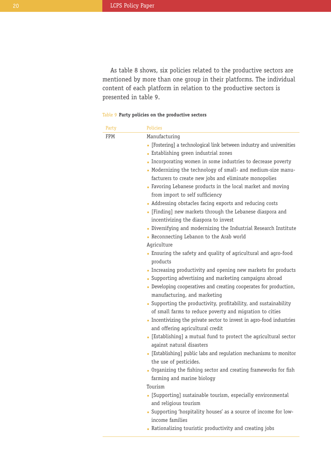As table 8 shows, six policies related to the productive sectors are mentioned by more than one group in their platforms. The individual content of each platform in relation to the productive sectors is presented in table 9.

## Table 9 **Party policies on the productive sectors**

| Party | Policies                                                                                          |
|-------|---------------------------------------------------------------------------------------------------|
| FPM   | Manufacturing                                                                                     |
|       | • [Fostering] a technological link between industry and universities                              |
|       | • Establishing green industrial zones                                                             |
|       | Incorporating women in some industries to decrease poverty                                        |
|       | • Modernizing the technology of small- and medium-size manu-                                      |
|       | facturers to create new jobs and eliminate monopolies                                             |
|       | • Favoring Lebanese products in the local market and moving<br>from import to self sufficiency    |
|       | • Addressing obstacles facing exports and reducing costs                                          |
|       | • [Finding] new markets through the Lebanese diaspora and<br>incentivizing the diaspora to invest |
|       | Diversifying and modernizing the Industrial Research Institute                                    |
|       | - Reconnecting Lebanon to the Arab world                                                          |
|       | Agriculture                                                                                       |
|       | • Ensuring the safety and quality of agricultural and agro-food                                   |
|       | products                                                                                          |
|       | Increasing productivity and opening new markets for products                                      |
|       | • Supporting advertising and marketing campaigns abroad                                           |
|       | Developing cooperatives and creating cooperates for production,<br>manufacturing, and marketing   |
|       | Supporting the productivity, profitability, and sustainability                                    |
|       | of small farms to reduce poverty and migration to cities                                          |
|       | Incentivizing the private sector to invest in agro-food industries                                |
|       | and offering agricultural credit                                                                  |
|       | • [Establishing] a mutual fund to protect the agricultural sector<br>against natural disasters    |
|       | • [Establishing] public labs and regulation mechanisms to monitor                                 |
|       | the use of pesticides.                                                                            |
|       | Organizing the fishing sector and creating frameworks for fish                                    |
|       | farming and marine biology                                                                        |
|       | Tourism                                                                                           |
|       | • [Supporting] sustainable tourism, especially environmental<br>and religious tourism             |
|       | - Supporting 'hospitality houses' as a source of income for low-                                  |
|       | income families                                                                                   |
|       | • Rationalizing touristic productivity and creating jobs                                          |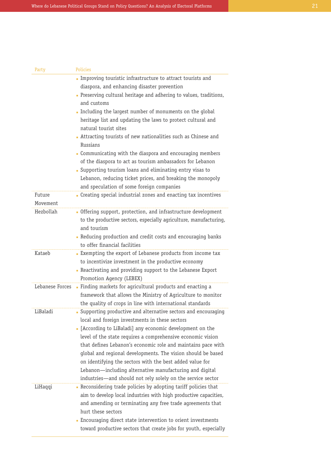| Party              | <b>Policies</b>                                                                                                                                                                                                                                                                                                                                                                                                                                |
|--------------------|------------------------------------------------------------------------------------------------------------------------------------------------------------------------------------------------------------------------------------------------------------------------------------------------------------------------------------------------------------------------------------------------------------------------------------------------|
|                    | Improving touristic infrastructure to attract tourists and                                                                                                                                                                                                                                                                                                                                                                                     |
|                    | diaspora, and enhancing disaster prevention                                                                                                                                                                                                                                                                                                                                                                                                    |
|                    | . Preserving cultural heritage and adhering to values, traditions,                                                                                                                                                                                                                                                                                                                                                                             |
|                    | and customs                                                                                                                                                                                                                                                                                                                                                                                                                                    |
|                    | Including the largest number of monuments on the global                                                                                                                                                                                                                                                                                                                                                                                        |
|                    | heritage list and updating the laws to protect cultural and<br>natural tourist sites                                                                                                                                                                                                                                                                                                                                                           |
|                    | • Attracting tourists of new nationalities such as Chinese and<br>Russians                                                                                                                                                                                                                                                                                                                                                                     |
|                    | Communicating with the diaspora and encouraging members<br>of the diaspora to act as tourism ambassadors for Lebanon                                                                                                                                                                                                                                                                                                                           |
|                    |                                                                                                                                                                                                                                                                                                                                                                                                                                                |
|                    | • Supporting tourism loans and eliminating entry visas to                                                                                                                                                                                                                                                                                                                                                                                      |
|                    | Lebanon, reducing ticket prices, and breaking the monopoly                                                                                                                                                                                                                                                                                                                                                                                     |
|                    | and speculation of some foreign companies                                                                                                                                                                                                                                                                                                                                                                                                      |
| Future<br>Movement | Creating special industrial zones and enacting tax incentives                                                                                                                                                                                                                                                                                                                                                                                  |
| Hezbollah          | - Offering support, protection, and infrastructure development<br>to the productive sectors, especially agriculture, manufacturing,<br>and tourism                                                                                                                                                                                                                                                                                             |
|                    | - Reducing production and credit costs and encouraging banks<br>to offer financial facilities                                                                                                                                                                                                                                                                                                                                                  |
| Kataeb             | <b>Exempting the export of Lebanese products from income tax</b><br>to incentivize investment in the productive economy                                                                                                                                                                                                                                                                                                                        |
|                    | - Reactivating and providing support to the Lebanese Export<br>Promotion Agency (LEBEX)                                                                                                                                                                                                                                                                                                                                                        |
| Lebanese Forces    | • Finding markets for agricultural products and enacting a<br>framework that allows the Ministry of Agriculture to monitor<br>the quality of crops in line with international standards                                                                                                                                                                                                                                                        |
| LiBaladi           | • Supporting productive and alternative sectors and encouraging<br>local and foreign investments in these sectors                                                                                                                                                                                                                                                                                                                              |
|                    | • [According to LiBaladi] any economic development on the<br>level of the state requires a comprehensive economic vision<br>that defines Lebanon's economic role and maintains pace with<br>global and regional developments. The vision should be based<br>on identifying the sectors with the best added value for<br>Lebanon—including alternative manufacturing and digital<br>industries—and should not rely solely on the service sector |
| LiHaqqi            | • Reconsidering trade policies by adopting tariff policies that<br>aim to develop local industries with high productive capacities,<br>and amending or terminating any free trade agreements that<br>hurt these sectors                                                                                                                                                                                                                        |
|                    | • Encouraging direct state intervention to orient investments<br>toward productive sectors that create jobs for youth, especially                                                                                                                                                                                                                                                                                                              |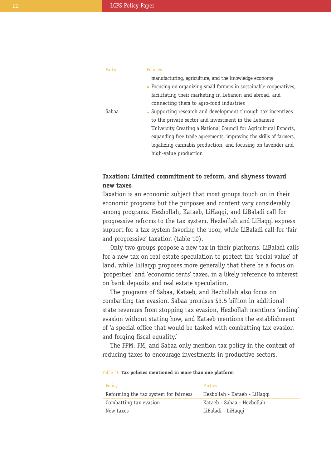| Party | Policies                                                            |
|-------|---------------------------------------------------------------------|
|       | manufacturing, agriculture, and the knowledge economy               |
|       | • Focusing on organizing small farmers in sustainable cooperatives, |
|       | facilitating their marketing in Lebanon and abroad, and             |
|       | connecting them to agro-food industries                             |
| Sabaa | • Supporting research and development through tax incentives        |
|       | to the private sector and investment in the Lebanese                |
|       | University Creating a National Council for Agricultural Exports,    |
|       | expanding free trade agreements, improving the skills of farmers,   |
|       | legalizing cannabis production, and focusing on lavender and        |
|       | high-value production                                               |
|       |                                                                     |

# **Taxation: Limited commitment to reform, and shyness toward new taxes**

Taxation is an economic subject that most groups touch on in their economic programs but the purposes and content vary considerably among programs. Hezbollah, Kataeb, LiHaqqi, and LiBaladi call for progressive reforms to the tax system. Hezbollah and LiHaqqi express support for a tax system favoring the poor, while LiBaladi call for 'fair and progressive' taxation (table 10).

Only two groups propose a new tax in their platforms. LiBaladi calls for a new tax on real estate speculation to protect the 'social value' of land, while LiHaqqi proposes more generally that there be a focus on 'properties' and 'economic rents' taxes, in a likely reference to interest on bank deposits and real estate speculation.

The programs of Sabaa, Kataeb, and Hezbollah also focus on combatting tax evasion. Sabaa promises \$3.5 billion in additional state revenues from stopping tax evasion, Hezbollah mentions 'ending' evasion without stating how, and Kataeb mentions the establishment of 'a special office that would be tasked with combatting tax evasion and forging fiscal equality.'

The FPM, FM, and Sabaa only mention tax policy in the context of reducing taxes to encourage investments in productive sectors.

#### Table 10 **Tax policies mentioned in more than one platform**

| Policy                                | Parties                      |
|---------------------------------------|------------------------------|
| Reforming the tax system for fairness | Hezbollah - Kataeb - LiHaqqi |
| Combatting tax evasion                | Kataeb - Sabaa - Hezhollah   |
| New taxes                             | LiBaladi - LiHaggi           |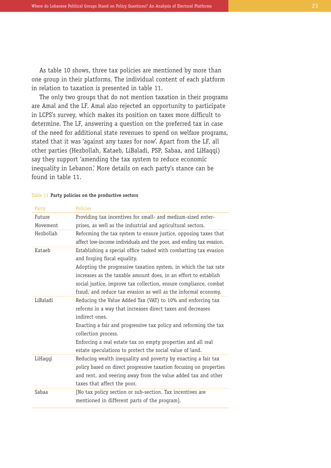As table 10 shows, three tax policies are mentioned by more than one group in their platforms. The individual content of each platform in relation to taxation is presented in table 11.

The only two groups that do not mention taxation in their programs are Amal and the LF. Amal also rejected an opportunity to participate in LCPS's survey, which makes its position on taxes more difficult to determine. The LF, answering a question on the preferred tax in case of the need for additional state revenues to spend on welfare programs, stated that it was 'against any taxes for now'. Apart from the LF, all other parties (Hezbollah, Kataeb, LiBaladi, PSP, Sabaa, and LiHaqqi) say they support 'amending the tax system to reduce economic inequality in Lebanon.' More details on each party's stance can be found in table 11.

| Party     | <b>Policies</b>                                                     |
|-----------|---------------------------------------------------------------------|
| Future    | Providing tax incentives for small- and medium-sized enter-         |
| Movement  | prises, as well as the industrial and agricultural sectors.         |
| Hezbollah | Reforming the tax system to ensure justice, opposing taxes that     |
|           | affect low-income individuals and the poor, and ending tax evasion. |
| Kataeb    | Establishing a special office tasked with combatting tax evasion    |
|           | and forging fiscal equality.                                        |
|           | Adopting the progressive taxation system, in which the tax rate     |
|           | increases as the taxable amount does, in an effort to establish     |
|           | social justice, improve tax collection, ensure compliance, combat   |
|           | fraud, and reduce tax evasion as well as the informal economy.      |
| LiBaladi  | Reducing the Value Added Tax (VAT) to 10% and enforcing tax         |
|           | reforms in a way that increases direct taxes and decreases          |
|           | indirect ones.                                                      |
|           | Enacting a fair and progressive tax policy and reforming the tax    |
|           | collection process.                                                 |
|           | Enforcing a real estate tax on empty properties and all real        |
|           | estate speculations to protect the social value of land.            |
| LiHaqqi   | Reducing wealth inequality and poverty by enacting a fair tax       |
|           | policy based on direct progressive taxation focusing on properties  |
|           | and rent, and veering away from the value added tax and other       |
|           | taxes that affect the poor.                                         |
| Sabaa     | [No tax policy section or sub-section. Tax incentives are           |
|           | mentioned in different parts of the program].                       |
|           |                                                                     |

#### Table 11 **Party policies on the productive sectors**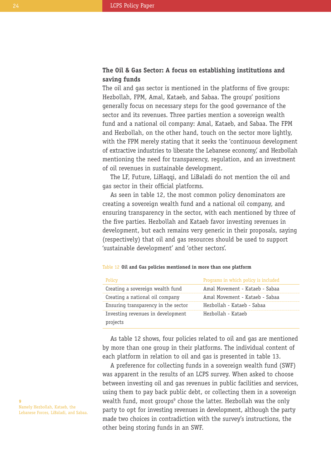# **The Oil & Gas Sector: A focus on establishing institutions and saving funds**

The oil and gas sector is mentioned in the platforms of five groups: Hezbollah, FPM, Amal, Kataeb, and Sabaa. The groups' positions generally focus on necessary steps for the good governance of the sector and its revenues. Three parties mention a sovereign wealth fund and a national oil company: Amal, Kataeb, and Sabaa. The FPM and Hezbollah, on the other hand, touch on the sector more lightly, with the FPM merely stating that it seeks the 'continuous development of extractive industries to liberate the Lebanese economy,' and Hezbollah mentioning the need for transparency, regulation, and an investment of oil revenues in sustainable development.

The LF, Future, LiHaqqi, and LiBaladi do not mention the oil and gas sector in their official platforms.

As seen in table 12, the most common policy denominators are creating a sovereign wealth fund and a national oil company, and ensuring transparency in the sector, with each mentioned by three of the five parties. Hezbollah and Kataeb favor investing revenues in development, but each remains very generic in their proposals, saying (respectively) that oil and gas resources should be used to support 'sustainable development' and 'other sectors'.

| Policy                                        | Programs in which policy is included |
|-----------------------------------------------|--------------------------------------|
| Creating a sovereign wealth fund              | Amal Movement - Kataeb - Sabaa       |
| Creating a national oil company               | Amal Movement - Kataeb - Sabaa       |
| Ensuring transparency in the sector           | Hezbollah - Kataeb - Sabaa           |
| Investing revenues in development<br>projects | Hezbollah - Kataeb                   |

#### Table 12 **Oil and Gas policies mentioned in more than one platform**

As table 12 shows, four policies related to oil and gas are mentioned by more than one group in their platforms. The individual content of each platform in relation to oil and gas is presented in table 13.

A preference for collecting funds in a sovereign wealth fund (SWF) was apparent in the results of an LCPS survey. When asked to choose between investing oil and gas revenues in public facilities and services, using them to pay back public debt, or collecting them in a sovereign wealth fund, most groups<sup>9</sup> chose the latter. Hezbollah was the only party to opt for investing revenues in development, although the party made two choices in contradiction with the survey's instructions, the other being storing funds in an SWF.

**9** Namely Hezbollah, Kataeb, the Lebanese Forces, LiBaladi, and Sabaa.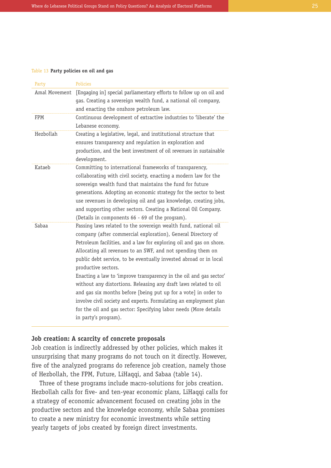#### Table 13 **Party policies on oil and gas**

| Party         | <b>Policies</b>                                                                                                                                                                                                                                                                                                                                                                                                                                                                                                                                                                                                                                                                                                                                 |
|---------------|-------------------------------------------------------------------------------------------------------------------------------------------------------------------------------------------------------------------------------------------------------------------------------------------------------------------------------------------------------------------------------------------------------------------------------------------------------------------------------------------------------------------------------------------------------------------------------------------------------------------------------------------------------------------------------------------------------------------------------------------------|
| Amal Movement | [Engaging in] special parliamentary efforts to follow up on oil and<br>gas. Creating a sovereign wealth fund, a national oil company,<br>and enacting the onshore petroleum law.                                                                                                                                                                                                                                                                                                                                                                                                                                                                                                                                                                |
| <b>FPM</b>    | Continuous development of extractive industries to 'liberate' the<br>Lebanese economy.                                                                                                                                                                                                                                                                                                                                                                                                                                                                                                                                                                                                                                                          |
| Hezbollah     | Creating a legislative, legal, and institutional structure that<br>ensures transparency and requlation in exploration and<br>production, and the best investment of oil revenues in sustainable<br>development.                                                                                                                                                                                                                                                                                                                                                                                                                                                                                                                                 |
| Kataeb        | Committing to international frameworks of transparency,<br>collaborating with civil society, enacting a modern law for the<br>sovereign wealth fund that maintains the fund for future<br>generations. Adopting an economic strategy for the sector to best<br>use revenues in developing oil and gas knowledge, creating jobs,<br>and supporting other sectors. Creating a National Oil Company.<br>(Details in components 66 - 69 of the program).                                                                                                                                                                                                                                                                                            |
| Sabaa         | Passing laws related to the sovereign wealth fund, national oil<br>company (after commercial exploration), General Directory of<br>Petroleum facilities, and a law for exploring oil and gas on shore.<br>Allocating all revenues to an SWF, and not spending them on<br>public debt service, to be eventually invested abroad or in local<br>productive sectors.<br>Enacting a law to 'improve transparency in the oil and gas sector'<br>without any distortions. Releasing any draft laws related to oil<br>and gas six months before [being put up for a vote] in order to<br>involve civil society and experts. Formulating an employment plan<br>for the oil and gas sector: Specifying labor needs (More details<br>in party's program). |

## **Job creation: A scarcity of concrete proposals**

Job creation is indirectly addressed by other policies, which makes it unsurprising that many programs do not touch on it directly. However, five of the analyzed programs do reference job creation, namely those of Hezbollah, the FPM, Future, LiHaqqi, and Sabaa (table 14).

Three of these programs include macro-solutions for jobs creation. Hezbollah calls for five- and ten-year economic plans, LiHaqqi calls for a strategy of economic advancement focused on creating jobs in the productive sectors and the knowledge economy, while Sabaa promises to create a new ministry for economic investments while setting yearly targets of jobs created by foreign direct investments.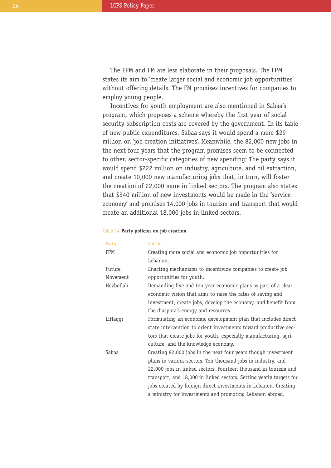The FPM and FM are less elaborate in their proposals. The FPM states its aim to 'create larger social and economic job opportunities' without offering details. The FM promises incentives for companies to employ young people.

Incentives for youth employment are also mentioned in Sabaa's program, which proposes a scheme whereby the first year of social security subscription costs are covered by the government. In its table of new public expenditures, Sabaa says it would spend a mere \$29 million on 'job creation initiatives'. Meanwhile, the 82,000 new jobs in the next four years that the program promises seem to be connected to other, sector-specific categories of new spending: The party says it would spend \$222 million on industry, agriculture, and oil extraction, and create 10,000 new manufacturing jobs that, in turn, will foster the creation of 22,000 more in linked sectors. The program also states that \$340 million of new investments would be made in the 'service economy' and promises 14,000 jobs in tourism and transport that would create an additional 18,000 jobs in linked sectors.

| Party      | Policies                                                                                                                                                                                                                                                                                                                                                                                               |
|------------|--------------------------------------------------------------------------------------------------------------------------------------------------------------------------------------------------------------------------------------------------------------------------------------------------------------------------------------------------------------------------------------------------------|
| <b>FPM</b> | Creating more social and economic job opportunities for                                                                                                                                                                                                                                                                                                                                                |
|            | Lebanon.                                                                                                                                                                                                                                                                                                                                                                                               |
| Future     | Enacting mechanisms to incentivize companies to create job                                                                                                                                                                                                                                                                                                                                             |
| Movement   | opportunities for youth.                                                                                                                                                                                                                                                                                                                                                                               |
| Hezbollah  | Demanding five and ten year economic plans as part of a clear<br>economic vision that aims to raise the rates of saving and<br>investment, create jobs, develop the economy, and benefit from<br>the diaspora's energy and resources.                                                                                                                                                                  |
| LiHaqqi    | Formulating an economic development plan that includes direct<br>state intervention to orient investments toward productive sec-<br>tors that create jobs for youth, especially manufacturing, agri-<br>culture, and the knowledge economy.                                                                                                                                                            |
| Sabaa      | Creating 82,000 jobs in the next four years though investment<br>plans in various sectors. Ten thousand jobs in industry, and<br>22,000 jobs in linked sectors. Fourteen thousand in tourism and<br>transport, and 18,000 in linked sectors. Setting yearly targets for<br>jobs created by foreign direct investments in Lebanon. Creating<br>a ministry for investments and promoting Lebanon abroad. |

## Table 14 **Party policies on job creation**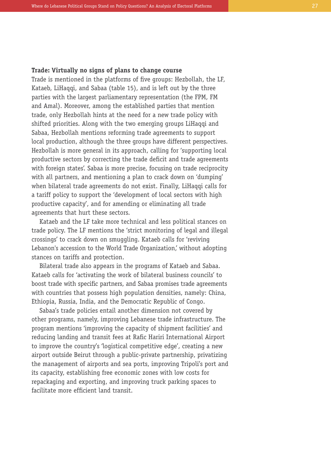## **Trade: Virtually no signs of plans to change course**

Trade is mentioned in the platforms of five groups: Hezbollah, the LF, Kataeb, LiHaqqi, and Sabaa (table 15), and is left out by the three parties with the largest parliamentary representation (the FPM, FM and Amal). Moreover, among the established parties that mention trade, only Hezbollah hints at the need for a new trade policy with shifted priorities. Along with the two emerging groups LiHaqqi and Sabaa, Hezbollah mentions reforming trade agreements to support local production, although the three groups have different perspectives. Hezbollah is more general in its approach, calling for 'supporting local productive sectors by correcting the trade deficit and trade agreements with foreign states'. Sabaa is more precise, focusing on trade reciprocity with all partners, and mentioning a plan to crack down on 'dumping' when bilateral trade agreements do not exist. Finally, LiHaqqi calls for a tariff policy to support the 'development of local sectors with high productive capacity', and for amending or eliminating all trade agreements that hurt these sectors.

Kataeb and the LF take more technical and less political stances on trade policy. The LF mentions the 'strict monitoring of legal and illegal crossings' to crack down on smuggling. Kataeb calls for 'reviving Lebanon's accession to the World Trade Organization,' without adopting stances on tariffs and protection.

Bilateral trade also appears in the programs of Kataeb and Sabaa. Kataeb calls for 'activating the work of bilateral business councils' to boost trade with specific partners, and Sabaa promises trade agreements with countries that possess high population densities, namely: China, Ethiopia, Russia, India, and the Democratic Republic of Congo.

Sabaa's trade policies entail another dimension not covered by other programs, namely, improving Lebanese trade infrastructure. The program mentions 'improving the capacity of shipment facilities' and reducing landing and transit fees at Rafic Hariri International Airport to improve the country's 'logistical competitive edge', creating a new airport outside Beirut through a public-private partnership, privatizing the management of airports and sea ports, improving Tripoli's port and its capacity, establishing free economic zones with low costs for repackaging and exporting, and improving truck parking spaces to facilitate more efficient land transit.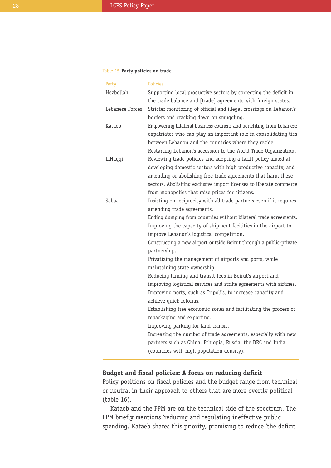## Table 15 **Party policies on trade**

| Party           | <b>Policies</b>                                                                                                                                                                                                                                                                                                                                                                                                                                                                                                                                                                                                                                                                                                                                                                                                                                                                                                                                                                                                              |
|-----------------|------------------------------------------------------------------------------------------------------------------------------------------------------------------------------------------------------------------------------------------------------------------------------------------------------------------------------------------------------------------------------------------------------------------------------------------------------------------------------------------------------------------------------------------------------------------------------------------------------------------------------------------------------------------------------------------------------------------------------------------------------------------------------------------------------------------------------------------------------------------------------------------------------------------------------------------------------------------------------------------------------------------------------|
| Hezbollah       | Supporting local productive sectors by correcting the deficit in<br>the trade balance and [trade] agreements with foreign states.                                                                                                                                                                                                                                                                                                                                                                                                                                                                                                                                                                                                                                                                                                                                                                                                                                                                                            |
| Lebanese Forces | Stricter monitoring of official and illegal crossings on Lebanon's<br>borders and cracking down on smuggling.                                                                                                                                                                                                                                                                                                                                                                                                                                                                                                                                                                                                                                                                                                                                                                                                                                                                                                                |
| Kataeb          | Empowering bilateral business councils and benefiting from Lebanese<br>expatriates who can play an important role in consolidating ties<br>between Lebanon and the countries where they reside.<br>Restarting Lebanon's accession to the World Trade Organization.                                                                                                                                                                                                                                                                                                                                                                                                                                                                                                                                                                                                                                                                                                                                                           |
| LiHaqqi         | Reviewing trade policies and adopting a tariff policy aimed at<br>developing domestic sectors with high productive capacity, and<br>amending or abolishing free trade agreements that harm these<br>sectors. Abolishing exclusive import licenses to liberate commerce<br>from monopolies that raise prices for citizens.                                                                                                                                                                                                                                                                                                                                                                                                                                                                                                                                                                                                                                                                                                    |
| Sabaa           | Insisting on reciprocity with all trade partners even if it requires<br>amending trade agreements.<br>Ending dumping from countries without bilateral trade agreements.<br>Improving the capacity of shipment facilities in the airport to<br>improve Lebanon's logistical competition.<br>Constructing a new airport outside Beirut through a public-private<br>partnership.<br>Privatizing the management of airports and ports, while<br>maintaining state ownership.<br>Reducing landing and transit fees in Beirut's airport and<br>improving logistical services and strike agreements with airlines.<br>Improving ports, such as Tripoli's, to increase capacity and<br>achieve quick reforms.<br>Establishing free economic zones and facilitating the process of<br>repackaging and exporting.<br>Improving parking for land transit.<br>Increasing the number of trade agreements, especially with new<br>partners such as China, Ethiopia, Russia, the DRC and India<br>(countries with high population density). |

# **Budget and fiscal policies: A focus on reducing deficit**

Policy positions on fiscal policies and the budget range from technical or neutral in their approach to others that are more overtly political (table 16).

Kataeb and the FPM are on the technical side of the spectrum. The FPM briefly mentions 'reducing and regulating ineffective public spending.' Kataeb shares this priority, promising to reduce 'the deficit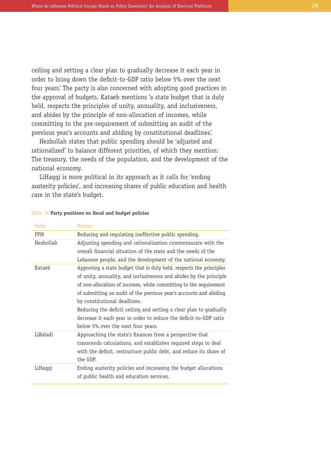ceiling and setting a clear plan to gradually decrease it each year in order to bring down the deficit-to-GDP ratio below 5% over the next four years.' The party is also concerned with adopting good practices in the approval of budgets. Kataeb mentions 'a state budget that is duly held, respects the principles of unity, annuality, and inclusiveness, and abides by the principle of non-allocation of incomes, while committing to the pre-requirement of submitting an audit of the previous year's accounts and abiding by constitutional deadlines.'

Hezbollah states that public spending should be 'adjusted and rationalized' to balance different priorities, of which they mention: The treasury, the needs of the population, and the development of the national economy.

LiHaqqi is more political in its approach as it calls for 'ending austerity policies', and increasing shares of public education and health care in the state's budget.

| Party      | Policies                                                            |
|------------|---------------------------------------------------------------------|
| <b>FPM</b> | Reducing and regulating ineffective public spending.                |
| Hezbollah  | Adjusting spending and rationalization commensurate with the        |
|            | overall financial situation of the state and the needs of the       |
|            | Lebanese people, and the development of the national economy.       |
| Kataeb     | Approving a state budget that is duly held, respects the principles |
|            | of unity, annuality, and inclusiveness and abides by the principle  |
|            | of non-allocation of incomes, while committing to the requirement   |
|            | of submitting an audit of the previous year's accounts and abiding  |
|            | by constitutional deadlines.                                        |
|            | Reducing the deficit ceiling and setting a clear plan to gradually  |
|            | decrease it each year in order to reduce the deficit-to-GDP ratio   |
|            | below 5% over the next four years.                                  |
| LiBaladi   | Approaching the state's finances from a perspective that            |
|            | transcends calculations, and establishes required steps to deal     |
|            | with the deficit, restructure public debt, and reduce its share of  |
|            | the GDP.                                                            |
| LiHaqqi    | Ending austerity policies and increasing the budget allocations     |
|            | of public health and education services.                            |
|            |                                                                     |

### Table 16 **Party positions on fiscal and budget policies**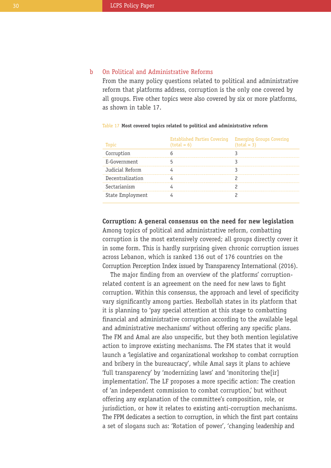#### On Political and Administrative Reforms b

From the many policy questions related to political and administrative reform that platforms address, corruption is the only one covered by all groups. Five other topics were also covered by six or more platforms, as shown in table 17.

| Topic            | <b>Established Parties Covering</b><br>$(total = 6)$ | <b>Emerging Groups Covering</b><br>$(total = 3)$ |
|------------------|------------------------------------------------------|--------------------------------------------------|
| Corruption       |                                                      |                                                  |
| E-Government     |                                                      |                                                  |
| Judicial Reform  |                                                      |                                                  |
| Decentralization |                                                      |                                                  |
| Sectarianism     |                                                      |                                                  |
| State Employment |                                                      |                                                  |

### Table 17 **Most covered topics related to political and administrative reform**

## **Corruption: A general consensus on the need for new legislation**

Among topics of political and administrative reform, combatting corruption is the most extensively covered; all groups directly cover it in some form. This is hardly surprising given chronic corruption issues across Lebanon, which is ranked 136 out of 176 countries on the Corruption Perception Index issued by Transparency International (2016).

The major finding from an overview of the platforms' corruptionrelated content is an agreement on the need for new laws to fight corruption. Within this consensus, the approach and level of specificity vary significantly among parties. Hezbollah states in its platform that it is planning to 'pay special attention at this stage to combatting financial and administrative corruption according to the available legal and administrative mechanisms' without offering any specific plans. The FM and Amal are also unspecific, but they both mention legislative action to improve existing mechanisms. The FM states that it would launch a 'legislative and organizational workshop to combat corruption and bribery in the bureaucracy', while Amal says it plans to achieve 'full transparency' by 'modernizing laws' and 'monitoring the[ir] implementation'. The LF proposes a more specific action: The creation of 'an independent commission to combat corruption,' but without offering any explanation of the committee's composition, role, or jurisdiction, or how it relates to existing anti-corruption mechanisms. The FPM dedicates a section to corruption, in which the first part contains a set of slogans such as: 'Rotation of power', 'changing leadership and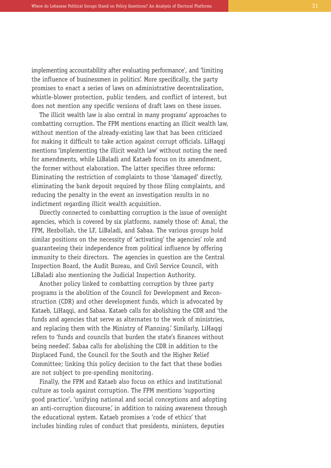implementing accountability after evaluating performance', and 'limiting the influence of businessmen in politics'. More specifically, the party promises to enact a series of laws on administrative decentralization, whistle-blower protection, public tenders, and conflict of interest, but does not mention any specific versions of draft laws on these issues.

The illicit wealth law is also central in many programs' approaches to combatting corruption. The FPM mentions enacting an illicit wealth law, without mention of the already-existing law that has been criticized for making it difficult to take action against corrupt officials. LiHaqqi mentions 'implementing the illicit wealth law' without noting the need for amendments, while LiBaladi and Kataeb focus on its amendment, the former without elaboration. The latter specifies three reforms: Eliminating the restriction of complaints to those 'damaged' directly, eliminating the bank deposit required by those filing complaints, and reducing the penalty in the event an investigation results in no indictment regarding illicit wealth acquisition.

Directly connected to combatting corruption is the issue of oversight agencies, which is covered by six platforms, namely those of: Amal, the FPM, Hezbollah, the LF, LiBaladi, and Sabaa. The various groups hold similar positions on the necessity of 'activating' the agencies' role and guaranteeing their independence from political influence by offering immunity to their directors. The agencies in question are the Central Inspection Board, the Audit Bureau, and Civil Service Council, with LiBaladi also mentioning the Judicial Inspection Authority.

Another policy linked to combatting corruption by three party programs is the abolition of the Council for Development and Reconstruction (CDR) and other development funds, which is advocated by Kataeb, LiHaqqi, and Sabaa. Kataeb calls for abolishing the CDR and 'the funds and agencies that serve as alternates to the work of ministries, and replacing them with the Ministry of Planning.' Similarly, LiHaqqi refers to 'funds and councils that burden the state's finances without being needed'. Sabaa calls for abolishing the CDR in addition to the Displaced Fund, the Council for the South and the Higher Relief Committee; linking this policy decision to the fact that these bodies are not subject to pre-spending monitoring.

Finally, the FPM and Kataeb also focus on ethics and institutional culture as tools against corruption. The FPM mentions 'supporting good practice', 'unifying national and social conceptions and adopting an anti-corruption discourse, in addition to raising awareness through the educational system. Kataeb promises a 'code of ethics' that includes binding rules of conduct that presidents, ministers, deputies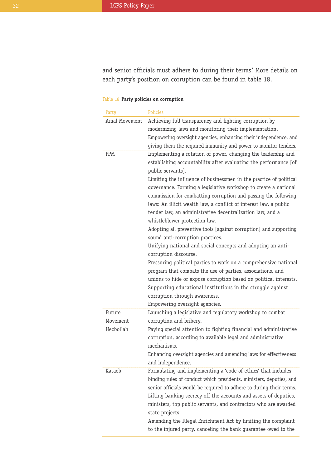and senior officials must adhere to during their terms.' More details on each party's position on corruption can be found in table 18.

## Table 18 **Party policies on corruption**

| Party              | <b>Policies</b>                                                                                                                                                                                                                                                                                                                                                                                                                                                                                                                                                                                                                                                                                                                                                                                                                                                                                                                                                                                                                                                                |
|--------------------|--------------------------------------------------------------------------------------------------------------------------------------------------------------------------------------------------------------------------------------------------------------------------------------------------------------------------------------------------------------------------------------------------------------------------------------------------------------------------------------------------------------------------------------------------------------------------------------------------------------------------------------------------------------------------------------------------------------------------------------------------------------------------------------------------------------------------------------------------------------------------------------------------------------------------------------------------------------------------------------------------------------------------------------------------------------------------------|
| Amal Movement      | Achieving full transparency and fighting corruption by<br>modernizing laws and monitoring their implementation.<br>Empowering oversight agencies, enhancing their independence, and<br>giving them the required immunity and power to monitor tenders.                                                                                                                                                                                                                                                                                                                                                                                                                                                                                                                                                                                                                                                                                                                                                                                                                         |
| FPM                | Implementing a rotation of power, changing the leadership and<br>establishing accountability after evaluating the performance [of<br>public servants].<br>Limiting the influence of businessmen in the practice of political<br>governance. Forming a legislative workshop to create a national<br>commission for combatting corruption and passing the following<br>laws: An illicit wealth law, a conflict of interest law, a public<br>tender law, an administrative decentralization law, and a<br>whistleblower protection law.<br>Adopting all preventive tools [against corruption] and supporting<br>sound anti-corruption practices.<br>Unifying national and social concepts and adopting an anti-<br>corruption discourse.<br>Pressuring political parties to work on a comprehensive national<br>program that combats the use of parties, associations, and<br>unions to hide or expose corruption based on political interests.<br>Supporting educational institutions in the struggle against<br>corruption through awareness.<br>Empowering oversight agencies. |
| Future<br>Movement | Launching a legislative and regulatory workshop to combat<br>corruption and bribery.                                                                                                                                                                                                                                                                                                                                                                                                                                                                                                                                                                                                                                                                                                                                                                                                                                                                                                                                                                                           |
| Hezbollah          | Paying special attention to fighting financial and administrative<br>corruption, according to available legal and administrative<br>mechanisms.<br>Enhancing oversight agencies and amending laws for effectiveness<br>and independence.                                                                                                                                                                                                                                                                                                                                                                                                                                                                                                                                                                                                                                                                                                                                                                                                                                       |
| Kataeb             | Formulating and implementing a 'code of ethics' that includes<br>binding rules of conduct which presidents, ministers, deputies, and<br>senior officials would be required to adhere to during their terms.<br>Lifting banking secrecy off the accounts and assets of deputies,<br>ministers, top public servants, and contractors who are awarded<br>state projects.<br>Amending the Illegal Enrichment Act by limiting the complaint<br>to the injured party, canceling the bank guarantee owed to the                                                                                                                                                                                                                                                                                                                                                                                                                                                                                                                                                                       |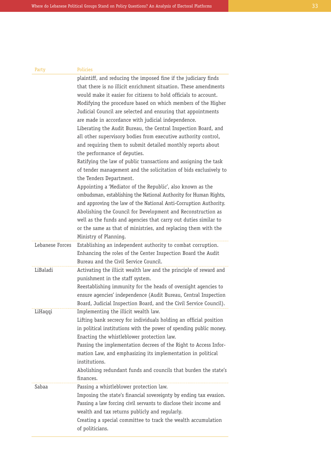| Party           | Policies                                                                                                                                                                                                                                                                                                                                                                                                                                                                                                                                                                                                                                                                                                                                                                                                                                                       |
|-----------------|----------------------------------------------------------------------------------------------------------------------------------------------------------------------------------------------------------------------------------------------------------------------------------------------------------------------------------------------------------------------------------------------------------------------------------------------------------------------------------------------------------------------------------------------------------------------------------------------------------------------------------------------------------------------------------------------------------------------------------------------------------------------------------------------------------------------------------------------------------------|
|                 | plaintiff, and reducing the imposed fine if the judiciary finds<br>that there is no illicit enrichment situation. These amendments<br>would make it easier for citizens to hold officials to account.<br>Modifying the procedure based on which members of the Higher<br>Judicial Council are selected and ensuring that appointments<br>are made in accordance with judicial independence.<br>Liberating the Audit Bureau, the Central Inspection Board, and<br>all other supervisory bodies from executive authority control,<br>and requiring them to submit detailed monthly reports about<br>the performance of deputies.<br>Ratifying the law of public transactions and assigning the task<br>of tender management and the solicitation of bids exclusively to<br>the Tenders Department.<br>Appointing a 'Mediator of the Republic', also known as the |
|                 | ombudsman, establishing the National Authority for Human Rights,<br>and approving the law of the National Anti-Corruption Authority.<br>Abolishing the Council for Development and Reconstruction as<br>well as the funds and agencies that carry out duties similar to<br>or the same as that of ministries, and replacing them with the<br>Ministry of Planning.                                                                                                                                                                                                                                                                                                                                                                                                                                                                                             |
| Lebanese Forces | Establishing an independent authority to combat corruption.<br>Enhancing the roles of the Center Inspection Board the Audit<br>Bureau and the Civil Service Council.                                                                                                                                                                                                                                                                                                                                                                                                                                                                                                                                                                                                                                                                                           |
| LiBaladi        | Activating the illicit wealth law and the principle of reward and<br>punishment in the staff system.<br>Reestablishing immunity for the heads of oversight agencies to<br>ensure agencies' independence (Audit Bureau, Central Inspection<br>Board, Judicial Inspection Board, and the Civil Service Council).                                                                                                                                                                                                                                                                                                                                                                                                                                                                                                                                                 |
| LiHaqqi         | Implementing the illicit wealth law.<br>Lifting bank secrecy for individuals holding an official position<br>in political institutions with the power of spending public money.<br>Enacting the whistleblower protection law.<br>Passing the implementation decrees of the Right to Access Infor-<br>mation Law, and emphasizing its implementation in political<br>institutions.<br>Abolishing redundant funds and councils that burden the state's<br>finances.                                                                                                                                                                                                                                                                                                                                                                                              |
| Sabaa           | Passing a whistleblower protection law.<br>Imposing the state's financial sovereignty by ending tax evasion.<br>Passing a law forcing civil servants to disclose their income and<br>wealth and tax returns publicly and regularly.<br>Creating a special committee to track the wealth accumulation<br>of politicians.                                                                                                                                                                                                                                                                                                                                                                                                                                                                                                                                        |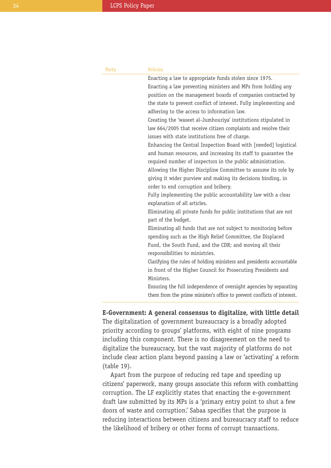| Party | <b>Policies</b>                                                         |
|-------|-------------------------------------------------------------------------|
|       | Enacting a law to appropriate funds stolen since 1975.                  |
|       | Enacting a law preventing ministers and MPs from holding any            |
|       | position on the management boards of companies contracted by            |
|       | the state to prevent conflict of interest. Fully implementing and       |
|       | adhering to the access to information law.                              |
|       | Creating the 'waseet al-Jumhouriya' institutions stipulated in          |
|       | law 664/2005 that receive citizen complaints and resolve their          |
|       | issues with state institutions free of charge.                          |
|       | Enhancing the Central Inspection Board with [needed] logistical         |
|       | and human resources, and increasing its staff to quarantee the          |
|       | required number of inspectors in the public administration.             |
|       | Allowing the Higher Discipline Committee to assume its role by          |
|       | giving it wider purview and making its decisions binding, in            |
|       | order to end corruption and bribery.                                    |
|       | Fully implementing the public accountability law with a clear           |
|       | explanation of all articles.                                            |
|       | Eliminating all private funds for public institutions that are not      |
|       | part of the budget.                                                     |
|       | Eliminating all funds that are not subject to monitoring before         |
|       | spending such as the High Relief Committee, the Displaced               |
|       | Fund, the South Fund, and the CDR; and moving all their                 |
|       | responsibilities to ministries.                                         |
|       | Clarifying the rules of holding ministers and presidents accountable    |
|       | in front of the Higher Council for Prosecuting Presidents and           |
|       | Ministers.                                                              |
|       | Ensuring the full independence of oversight agencies by separating      |
|       | them from the prime minister's office to prevent conflicts of interest. |

## **E-Government: A general consensus to digitalize, with little detail**

The digitalization of government bureaucracy is a broadly adopted priority according to groups' platforms, with eight of nine programs including this component. There is no disagreement on the need to digitalize the bureaucracy, but the vast majority of platforms do not include clear action plans beyond passing a law or 'activating' a reform (table 19).

Apart from the purpose of reducing red tape and speeding up citizens' paperwork, many groups associate this reform with combatting corruption. The LF explicitly states that enacting the e-government draft law submitted by its MPs is a 'primary entry point to shut a few doors of waste and corruption.' Sabaa specifies that the purpose is reducing interactions between citizens and bureaucracy staff to reduce the likelihood of bribery or other forms of corrupt transactions.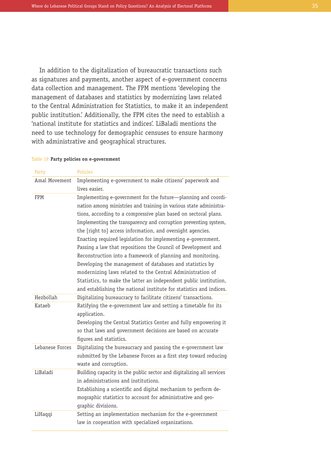In addition to the digitalization of bureaucratic transactions such as signatures and payments, another aspect of e-government concerns data collection and management. The FPM mentions 'developing the management of databases and statistics by modernizing laws related to the Central Administration for Statistics, to make it an independent public institution.' Additionally, the FPM cites the need to establish a 'national institute for statistics and indices'. LiBaladi mentions the need to use technology for demographic censuses to ensure harmony with administrative and geographical structures.

#### Table 19 **Party policies on e-government**

| Party           | <b>Policies</b>                                                                                                                                                                                                                                                                                                                                                                                                                                                                                                                                                                                                                                                                                                                                                                                             |
|-----------------|-------------------------------------------------------------------------------------------------------------------------------------------------------------------------------------------------------------------------------------------------------------------------------------------------------------------------------------------------------------------------------------------------------------------------------------------------------------------------------------------------------------------------------------------------------------------------------------------------------------------------------------------------------------------------------------------------------------------------------------------------------------------------------------------------------------|
| Amal Movement   | Implementing e-government to make citizens' paperwork and<br>lives easier.                                                                                                                                                                                                                                                                                                                                                                                                                                                                                                                                                                                                                                                                                                                                  |
| <b>FPM</b>      | Implementing e-government for the future-planning and coordi-<br>nation among ministries and training in various state administra-<br>tions, according to a compressive plan based on sectoral plans.<br>Implementing the transparency and corruption preventing system,<br>the [right to] access information, and oversight agencies.<br>Enacting required legislation for implementing e-government.<br>Passing a law that repositions the Council of Development and<br>Reconstruction into a framework of planning and monitoring.<br>Developing the management of databases and statistics by<br>modernizing laws related to the Central Administration of<br>Statistics, to make the latter an independent public institution,<br>and establishing the national institute for statistics and indices. |
| Hezbollah       | Digitalizing bureaucracy to facilitate citizens' transactions.                                                                                                                                                                                                                                                                                                                                                                                                                                                                                                                                                                                                                                                                                                                                              |
| Kataeb          | Ratifying the e-government law and setting a timetable for its<br>application.<br>Developing the Central Statistics Center and fully empowering it<br>so that laws and government decisions are based on accurate<br>figures and statistics.                                                                                                                                                                                                                                                                                                                                                                                                                                                                                                                                                                |
| Lebanese Forces | Digitalizing the bureaucracy and passing the e-government law<br>submitted by the Lebanese Forces as a first step toward reducing<br>waste and corruption.                                                                                                                                                                                                                                                                                                                                                                                                                                                                                                                                                                                                                                                  |
| LiBaladi        | Building capacity in the public sector and digitalizing all services<br>in administrations and institutions.<br>Establishing a scientific and digital mechanism to perform de-<br>mographic statistics to account for administrative and geo-<br>graphic divisions.                                                                                                                                                                                                                                                                                                                                                                                                                                                                                                                                         |
| LiHaqqi         | Setting an implementation mechanism for the e-government<br>law in cooperation with specialized organizations.                                                                                                                                                                                                                                                                                                                                                                                                                                                                                                                                                                                                                                                                                              |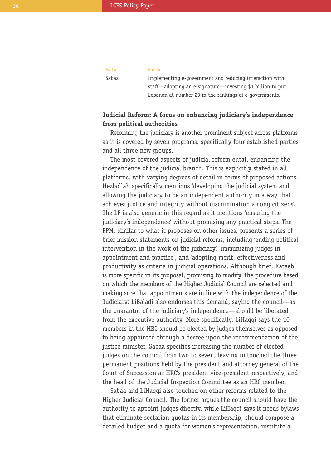|       | Party | <b>Policies</b>                                            |  |
|-------|-------|------------------------------------------------------------|--|
| Sabaa |       | Implementing e-government and reducing interaction with    |  |
|       |       | staff—adopting an e-signature—investing \$1 billion to put |  |
|       |       | Lebanon at number 23 in the rankings of e-governments.     |  |
|       |       |                                                            |  |

# **Judicial Reform: A focus on enhancing judiciary's independence from political authorities**

Reforming the judiciary is another prominent subject across platforms as it is covered by seven programs, specifically four established parties and all three new groups.

The most covered aspects of judicial reform entail enhancing the independence of the judicial branch. This is explicitly stated in all platforms, with varying degrees of detail in terms of proposed actions. Hezbollah specifically mentions 'developing the judicial system and allowing the judiciary to be an independent authority in a way that achieves justice and integrity without discrimination among citizens'. The LF is also generic in this regard as it mentions 'ensuring the judiciary's independence' without promising any practical steps. The FPM, similar to what it proposes on other issues, presents a series of brief mission statements on judicial reforms, including 'ending political intervention in the work of the judiciary, 'immunizing judges in appointment and practice', and 'adopting merit, effectiveness and productivity as criteria in judicial operations. Although brief, Kataeb is more specific in its proposal, promising to modify 'the procedure based on which the members of the Higher Judicial Council are selected and making sure that appointments are in line with the independence of the Judiciary.' LiBaladi also endorses this demand, saying the council—as the guarantor of the judiciary's independence—should be liberated from the executive authority. More specifically, LiHaqqi says the 10 members in the HRC should be elected by judges themselves as opposed to being appointed through a decree upon the recommendation of the justice minister. Sabaa specifies increasing the number of elected judges on the council from two to seven, leaving untouched the three permanent positions held by the president and attorney general of the Court of Succession as HRC's president vice-president respectively, and the head of the Judicial Inspection Committee as an HRC member.

Sabaa and LiHaqqi also touched on other reforms related to the Higher Judicial Council. The former argues the council should have the authority to appoint judges directly, while LiHaqqi says it needs bylaws that eliminate sectarian quotas in its membership, should compose a detailed budget and a quota for women's representation, institute a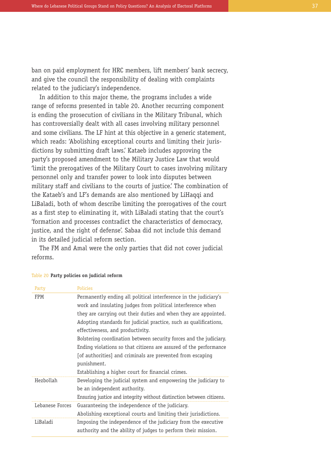ban on paid employment for HRC members, lift members' bank secrecy, and give the council the responsibility of dealing with complaints related to the judiciary's independence.

In addition to this major theme, the programs includes a wide range of reforms presented in table 20. Another recurring component is ending the prosecution of civilians in the Military Tribunal, which has controversially dealt with all cases involving military personnel and some civilians. The LF hint at this objective in a generic statement, which reads: 'Abolishing exceptional courts and limiting their jurisdictions by submitting draft laws.' Kataeb includes approving the party's proposed amendment to the Military Justice Law that would 'limit the prerogatives of the Military Court to cases involving military personnel only and transfer power to look into disputes between military staff and civilians to the courts of justice.' The combination of the Kataeb's and LF's demands are also mentioned by LiHaqqi and LiBaladi, both of whom describe limiting the prerogatives of the court as a first step to eliminating it, with LiBaladi stating that the court's 'formation and processes contradict the characteristics of democracy, justice, and the right of defense'. Sabaa did not include this demand in its detailed judicial reform section.

The FM and Amal were the only parties that did not cover judicial reforms.

| Party           | Policies                                                             |
|-----------------|----------------------------------------------------------------------|
| <b>FPM</b>      | Permanently ending all political interference in the judiciary's     |
|                 | work and insulating judges from political interference when          |
|                 | they are carrying out their duties and when they are appointed.      |
|                 | Adopting standards for judicial practice, such as qualifications,    |
|                 | effectiveness, and productivity.                                     |
|                 | Bolstering coordination between security forces and the judiciary.   |
|                 | Ending violations so that citizens are assured of the performance    |
|                 | [of authorities] and criminals are prevented from escaping           |
|                 | punishment.                                                          |
|                 | Establishing a higher court for financial crimes.                    |
| Hezbollah       | Developing the judicial system and empowering the judiciary to       |
|                 | be an independent authority.                                         |
|                 | Ensuring justice and integrity without distinction between citizens. |
| Lebanese Forces | Guaranteeing the independence of the judiciary.                      |
|                 | Abolishing exceptional courts and limiting their jurisdictions.      |
| LiBaladi        | Imposing the independence of the judiciary from the executive        |
|                 | authority and the ability of judges to perform their mission.        |

#### Table 20 **Party policies on judicial reform**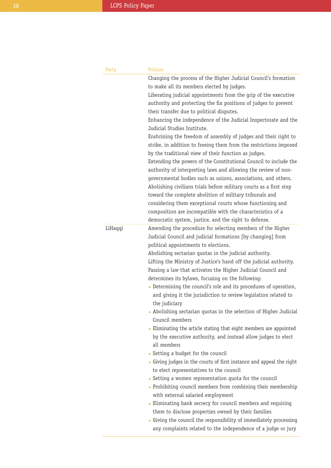| Party   | <b>Policies</b>                                                                                                                                                                                                                                                                                                                                                                                                                                                                                                                                                                                                                                                                                                           |
|---------|---------------------------------------------------------------------------------------------------------------------------------------------------------------------------------------------------------------------------------------------------------------------------------------------------------------------------------------------------------------------------------------------------------------------------------------------------------------------------------------------------------------------------------------------------------------------------------------------------------------------------------------------------------------------------------------------------------------------------|
|         | Changing the process of the Higher Judicial Council's formation                                                                                                                                                                                                                                                                                                                                                                                                                                                                                                                                                                                                                                                           |
|         | to make all its members elected by judges.                                                                                                                                                                                                                                                                                                                                                                                                                                                                                                                                                                                                                                                                                |
|         | Liberating judicial appointments from the grip of the executive                                                                                                                                                                                                                                                                                                                                                                                                                                                                                                                                                                                                                                                           |
|         | authority and protecting the fix positions of judges to prevent                                                                                                                                                                                                                                                                                                                                                                                                                                                                                                                                                                                                                                                           |
|         | their transfer due to political disputes.                                                                                                                                                                                                                                                                                                                                                                                                                                                                                                                                                                                                                                                                                 |
|         | Enhancing the independence of the Judicial Inspectorate and the<br>Judicial Studies Institute.                                                                                                                                                                                                                                                                                                                                                                                                                                                                                                                                                                                                                            |
|         | Enshrining the freedom of assembly of judges and their right to<br>strike, in addition to freeing them from the restrictions imposed<br>by the traditional view of their function as judges.<br>Extending the powers of the Constitutional Council to include the<br>authority of interpreting laws and allowing the review of non-<br>governmental bodies such as unions, associations, and others.<br>Abolishing civilians trials before military courts as a first step<br>toward the complete abolition of military tribunals and<br>considering them exceptional courts whose functioning and<br>composition are incompatible with the characteristics of a<br>democratic system, justice, and the right to defense. |
| LiHaqqi | Amending the procedure for selecting members of the Higher<br>Judicial Council and judicial formations [by changing] from<br>political appointments to elections.<br>Abolishing sectarian quotas in the judicial authority.<br>Lifting the Ministry of Justice's hand off the judicial authority.<br>Passing a law that activates the Higher Judicial Council and<br>determines its bylaws, focusing on the following:<br>Determining the council's role and its procedures of operation,<br>and giving it the jurisdiction to review legislation related to<br>the judiciary<br>- Abolishing sectarian quotas in the selection of Higher Judicial<br>Council members                                                     |
|         | • Eliminating the article stating that eight members are appointed<br>by the executive authority, and instead allow judges to elect<br>all members                                                                                                                                                                                                                                                                                                                                                                                                                                                                                                                                                                        |
|         | • Setting a budget for the council                                                                                                                                                                                                                                                                                                                                                                                                                                                                                                                                                                                                                                                                                        |
|         | Giving judges in the courts of first instance and appeal the right                                                                                                                                                                                                                                                                                                                                                                                                                                                                                                                                                                                                                                                        |
|         | to elect representatives to the council<br>• Setting a women representation quota for the council                                                                                                                                                                                                                                                                                                                                                                                                                                                                                                                                                                                                                         |
|         | - Prohibiting council members from combining their membership                                                                                                                                                                                                                                                                                                                                                                                                                                                                                                                                                                                                                                                             |
|         | with external salaried employment                                                                                                                                                                                                                                                                                                                                                                                                                                                                                                                                                                                                                                                                                         |
|         | - Eliminating bank secrecy for council members and requiring                                                                                                                                                                                                                                                                                                                                                                                                                                                                                                                                                                                                                                                              |
|         | them to disclose properties owned by their families<br>• Giving the council the responsibility of immediately processing<br>any complaints related to the independence of a judge or jury                                                                                                                                                                                                                                                                                                                                                                                                                                                                                                                                 |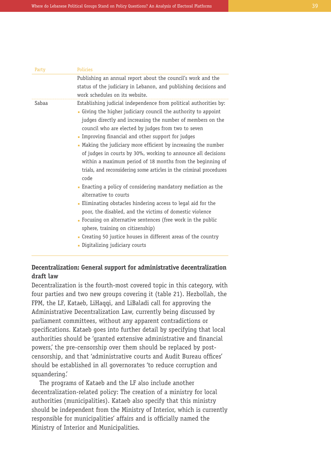| Party | Policies                                                                                                                                                                                                                                                                                                                                                                                                                                                                                                                                                                                                                                                                                                                                                                                                            |
|-------|---------------------------------------------------------------------------------------------------------------------------------------------------------------------------------------------------------------------------------------------------------------------------------------------------------------------------------------------------------------------------------------------------------------------------------------------------------------------------------------------------------------------------------------------------------------------------------------------------------------------------------------------------------------------------------------------------------------------------------------------------------------------------------------------------------------------|
|       | Publishing an annual report about the council's work and the                                                                                                                                                                                                                                                                                                                                                                                                                                                                                                                                                                                                                                                                                                                                                        |
|       | status of the judiciary in Lebanon, and publishing decisions and                                                                                                                                                                                                                                                                                                                                                                                                                                                                                                                                                                                                                                                                                                                                                    |
|       | work schedules on its website.                                                                                                                                                                                                                                                                                                                                                                                                                                                                                                                                                                                                                                                                                                                                                                                      |
| Sabaa | Establishing judicial independence from political authorities by:<br>• Giving the higher judiciary council the authority to appoint<br>judges directly and increasing the number of members on the<br>council who are elected by judges from two to seven<br>Improving financial and other support for judges<br>• Making the judiciary more efficient by increasing the number<br>of judges in courts by 30%, working to announce all decisions<br>within a maximum period of 18 months from the beginning of<br>trials, and reconsidering some articles in the criminal procedures<br>code<br>• Enacting a policy of considering mandatory mediation as the<br>alternative to courts<br>- Eliminating obstacles hindering access to legal aid for the<br>poor, the disabled, and the victims of domestic violence |
|       | • Focusing on alternative sentences (free work in the public                                                                                                                                                                                                                                                                                                                                                                                                                                                                                                                                                                                                                                                                                                                                                        |
|       | sphere, training on citizenship)                                                                                                                                                                                                                                                                                                                                                                                                                                                                                                                                                                                                                                                                                                                                                                                    |
|       | • Creating 50 justice houses in different areas of the country                                                                                                                                                                                                                                                                                                                                                                                                                                                                                                                                                                                                                                                                                                                                                      |
|       | • Digitalizing judiciary courts                                                                                                                                                                                                                                                                                                                                                                                                                                                                                                                                                                                                                                                                                                                                                                                     |

# **Decentralization: General support for administrative decentralization draft law**

Decentralization is the fourth-most covered topic in this category, with four parties and two new groups covering it (table 21). Hezbollah, the FPM, the LF, Kataeb, LiHaqqi, and LiBaladi call for approving the Administrative Decentralization Law, currently being discussed by parliament committees, without any apparent contradictions or specifications. Kataeb goes into further detail by specifying that local authorities should be 'granted extensive administrative and financial powers,' the pre-censorship over them should be replaced by postcensorship, and that 'administrative courts and Audit Bureau offices' should be established in all governorates 'to reduce corruption and squandering.'

The programs of Kataeb and the LF also include another decentralization-related policy: The creation of a ministry for local authorities (municipalities). Kataeb also specify that this ministry should be independent from the Ministry of Interior, which is currently responsible for municipalities' affairs and is officially named the Ministry of Interior and Municipalities.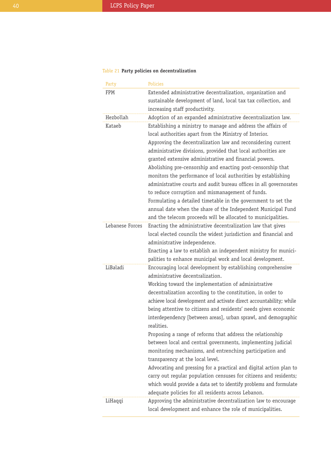## Table 21 **Party policies on decentralization**

| Party           | <b>Policies</b>                                                                                        |  |
|-----------------|--------------------------------------------------------------------------------------------------------|--|
| FPM             | Extended administrative decentralization, organization and                                             |  |
|                 | sustainable development of land, local tax tax collection, and                                         |  |
|                 | increasing staff productivity.                                                                         |  |
| Hezbollah       | Adoption of an expanded administrative decentralization law.                                           |  |
| Kataeb          | Establishing a ministry to manage and address the affairs of                                           |  |
|                 | local authorities apart from the Ministry of Interior.                                                 |  |
|                 | Approving the decentralization law and reconsidering current                                           |  |
|                 | administrative divisions, provided that local authorities are                                          |  |
|                 | granted extensive administrative and financial powers.                                                 |  |
|                 | Abolishing pre-censorship and enacting post-censorship that                                            |  |
|                 | monitors the performance of local authorities by establishing                                          |  |
|                 | administrative courts and audit bureau offices in all governorates                                     |  |
|                 | to reduce corruption and mismanagement of funds.                                                       |  |
|                 | Formulating a detailed timetable in the government to set the                                          |  |
|                 | annual date when the share of the Independent Municipal Fund                                           |  |
|                 | and the telecom proceeds will be allocated to municipalities.                                          |  |
| Lebanese Forces | Enacting the administrative decentralization law that gives                                            |  |
|                 | local elected councils the widest jurisdiction and financial and                                       |  |
|                 | administrative independence.                                                                           |  |
|                 | Enacting a law to establish an independent ministry for munici-                                        |  |
|                 | palities to enhance municipal work and local development.                                              |  |
| LiBaladi        | Encouraging local development by establishing comprehensive                                            |  |
|                 | administrative decentralization.                                                                       |  |
|                 | Working toward the implementation of administrative                                                    |  |
|                 | decentralization according to the constitution, in order to                                            |  |
|                 | achieve local development and activate direct accountability; while                                    |  |
|                 | being attentive to citizens and residents' needs given economic                                        |  |
|                 | interdependency [between areas], urban sprawl, and demographic                                         |  |
|                 | realities.                                                                                             |  |
|                 | Proposing a range of reforms that address the relationship                                             |  |
|                 | between local and central governments, implementing judicial                                           |  |
|                 | monitoring mechanisms, and entrenching participation and                                               |  |
|                 | transparency at the local level.<br>Advocating and pressing for a practical and digital action plan to |  |
|                 | carry out regular population censuses for citizens and residents;                                      |  |
|                 | which would provide a data set to identify problems and formulate                                      |  |
|                 | adequate policies for all residents across Lebanon.                                                    |  |
| LiHaqqi         | Approving the administrative decentralization law to encourage                                         |  |
|                 | local development and enhance the role of municipalities.                                              |  |
|                 |                                                                                                        |  |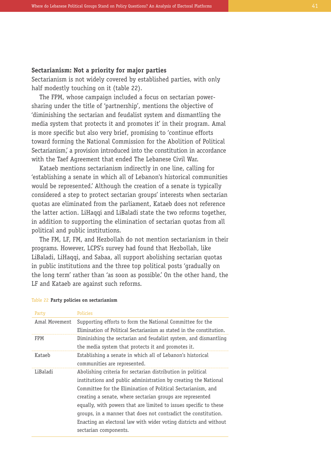#### **Sectarianism: Not a priority for major parties**

Sectarianism is not widely covered by established parties, with only half modestly touching on it (table 22).

The FPM, whose campaign included a focus on sectarian powersharing under the title of 'partnership', mentions the objective of 'diminishing the sectarian and feudalist system and dismantling the media system that protects it and promotes it' in their program. Amal is more specific but also very brief, promising to 'continue efforts toward forming the National Commission for the Abolition of Political Sectarianism,' a provision introduced into the constitution in accordance with the Taef Agreement that ended The Lebanese Civil War.

Kataeb mentions sectarianism indirectly in one line, calling for 'establishing a senate in which all of Lebanon's historical communities would be represented.' Although the creation of a senate is typically considered a step to protect sectarian groups' interests when sectarian quotas are eliminated from the parliament, Kataeb does not reference the latter action. LiHaqqi and LiBaladi state the two reforms together, in addition to supporting the elimination of sectarian quotas from all political and public institutions.

The FM, LF, FM, and Hezbollah do not mention sectarianism in their programs. However, LCPS's survey had found that Hezbollah, like LiBaladi, LiHaqqi, and Sabaa, all support abolishing sectarian quotas in public institutions and the three top political posts 'gradually on the long term' rather than 'as soon as possible.' On the other hand, the LF and Kataeb are against such reforms.

| Party         | <b>Policies</b>                                                      |
|---------------|----------------------------------------------------------------------|
| Amal Movement | Supporting efforts to form the National Committee for the            |
|               | Elimination of Political Sectarianism as stated in the constitution. |
| <b>FPM</b>    | Diminishing the sectarian and feudalist system, and dismantling      |
|               | the media system that protects it and promotes it.                   |
| Kataeb        | Establishing a senate in which all of Lebanon's historical           |
|               | communities are represented.                                         |
| LiBaladi      | Abolishing criteria for sectarian distribution in political          |
|               | institutions and public administration by creating the National      |
|               | Committee for the Elimination of Political Sectarianism, and         |
|               | creating a senate, where sectarian groups are represented            |
|               | equally, with powers that are limited to issues specific to these    |
|               | groups, in a manner that does not contradict the constitution.       |
|               | Enacting an electoral law with wider voting districts and without    |
|               | sectarian components.                                                |

#### Table 22 **Party policies on sectarianism**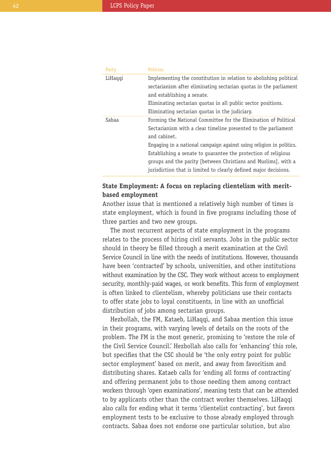| Party   | <b>Policies</b>                                                     |
|---------|---------------------------------------------------------------------|
| LiHaqqi | Implementing the constitution in relation to abolishing political   |
|         | sectarianism after eliminating sectarian quotas in the parliament   |
|         | and establishing a senate.                                          |
|         | Eliminating sectarian quotas in all public sector positions.        |
|         | Eliminating sectarian quotas in the judiciary.                      |
| Sabaa   | Forming the National Committee for the Elimination of Political     |
|         | Sectarianism with a clear timeline presented to the parliament      |
|         | and cabinet.                                                        |
|         | Engaging in a national campaign against using religion in politics. |
|         | Establishing a senate to quarantee the protection of religious      |
|         | groups and the parity (between Christians and Muslims), with a      |
|         | jurisdiction that is limited to clearly defined major decisions.    |

## **State Employment: A focus on replacing clientelism with meritbased employment**

Another issue that is mentioned a relatively high number of times is state employment, which is found in five programs including those of three parties and two new groups.

The most recurrent aspects of state employment in the programs relates to the process of hiring civil servants. Jobs in the public sector should in theory be filled through a merit examination at the Civil Service Council in line with the needs of institutions. However, thousands have been 'contracted' by schools, universities, and other institutions without examination by the CSC. They work without access to employment security, monthly-paid wages, or work benefits. This form of employment is often linked to clientelism, whereby politicians use their contacts to offer state jobs to loyal constituents, in line with an unofficial distribution of jobs among sectarian groups.

Hezbollah, the FM, Kataeb, LiHaqqi, and Sabaa mention this issue in their programs, with varying levels of details on the roots of the problem. The FM is the most generic, promising to 'restore the role of the Civil Service Council.' Hezbollah also calls for 'enhancing' this role, but specifies that the CSC should be 'the only entry point for public sector employment' based on merit, and away from favoritism and distributing shares. Kataeb calls for 'ending all forms of contracting' and offering permanent jobs to those needing them among contract workers through 'open examinations', meaning tests that can be attended to by applicants other than the contract worker themselves. LiHaqqi also calls for ending what it terms 'clientelist contracting', but favors employment tests to be exclusive to those already employed through contracts. Sabaa does not endorse one particular solution, but also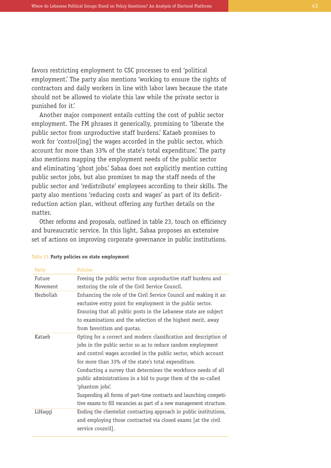favors restricting employment to CSC processes to end 'political employment.' The party also mentions 'working to ensure the rights of contractors and daily workers in line with labor laws because the state should not be allowed to violate this law while the private sector is punished for it.'

Another major component entails cutting the cost of public sector employment. The FM phrases it generically, promising to 'liberate the public sector from unproductive staff burdens.' Kataeb promises to work for 'control[ing] the wages accorded in the public sector, which account for more than 33% of the state's total expenditure.' The party also mentions mapping the employment needs of the public sector and eliminating 'ghost jobs.' Sabaa does not explicitly mention cutting public sector jobs, but also promises to map the staff needs of the public sector and 'redistribute' employees according to their skills. The party also mentions 'reducing costs and wages' as part of its deficitreduction action plan, without offering any further details on the matter.

Other reforms and proposals, outlined in table 23, touch on efficiency and bureaucratic service. In this light, Sabaa proposes an extensive set of actions on improving corporate governance in public institutions.

| raily     | ruuues                                                              |
|-----------|---------------------------------------------------------------------|
| Future    | Freeing the public sector from unproductive staff burdens and       |
| Movement  | restoring the role of the Civil Service Council.                    |
| Hezbollah | Enhancing the role of the Civil Service Council and making it an    |
|           | exclusive entry point for employment in the public sector.          |
|           | Ensuring that all public posts in the Lebanese state are subject    |
|           | to examinations and the selection of the highest merit, away        |
|           | from favoritism and quotas.                                         |
| Kataeb    | Opting for a correct and modern classification and description of   |
|           | jobs in the public sector so as to reduce random employment         |
|           | and control wages accorded in the public sector, which account      |
|           | for more than 33% of the state's total expenditure.                 |
|           | Conducting a survey that determines the workforce needs of all      |
|           | public administrations in a bid to purge them of the so-called      |
|           | 'phantom jobs'.                                                     |
|           | Suspending all forms of part-time contracts and launching competi-  |
|           | tive exams to fill vacancies as part of a new management structure. |
| LiHaqqi   | Ending the clientelist contracting approach in public institutions, |
|           | and employing those contracted via closed exams [at the civil       |
|           | service council].                                                   |
|           |                                                                     |

#### Table 23 **Party policies on state employment**

Party Policies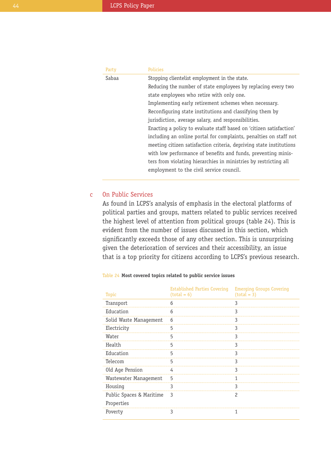| Party | <b>Policies</b>                                                     |
|-------|---------------------------------------------------------------------|
| Sabaa | Stopping clientelist employment in the state.                       |
|       | Reducing the number of state employees by replacing every two       |
|       | state employees who retire with only one.                           |
|       | Implementing early retirement schemes when necessary.               |
|       | Reconfiguring state institutions and classifying them by            |
|       | jurisdiction, average salary, and responsibilities.                 |
|       | Enacting a policy to evaluate staff based on 'citizen satisfaction' |
|       | including an online portal for complaints, penalties on staff not   |
|       | meeting citizen satisfaction criteria, depriving state institutions |
|       | with low performance of benefits and funds, preventing minis-       |
|       | ters from violating hierarchies in ministries by restricting all    |
|       | employment to the civil service council.                            |
|       |                                                                     |

#### On Public Services c

As found in LCPS's analysis of emphasis in the electoral platforms of political parties and groups, matters related to public services received the highest level of attention from political groups (table 24). This is evident from the number of issues discussed in this section, which significantly exceeds those of any other section. This is unsurprising given the deterioration of services and their accessibility, an issue that is a top priority for citizens according to LCPS's previous research.

Established Parties Covering

| Topic                                  | <b>Established Parties Covering</b><br>$(total = 6)$ | <b>Emerging Groups Covering</b><br>$(total = 3)$ |
|----------------------------------------|------------------------------------------------------|--------------------------------------------------|
| Transport                              | 6                                                    | 3                                                |
| Education                              | 6                                                    | 3                                                |
| Solid Waste Management                 | 6                                                    | 3                                                |
| Electricity                            | 5                                                    | 3                                                |
| Water                                  | 5                                                    | 3                                                |
| Health                                 | 5                                                    | 3                                                |
| Education                              | 5                                                    | 3                                                |
| Telecom                                | 5                                                    | 3                                                |
| Old Age Pension                        | 4                                                    | 3                                                |
| Wastewater Management                  | 5                                                    | 1                                                |
| Housing                                | 3                                                    | 3                                                |
| Public Spaces & Maritime<br>Properties | 3                                                    | $\overline{c}$                                   |
| Poverty                                | 3                                                    | 1                                                |

#### Table 24 **Most covered topics related to public service issues**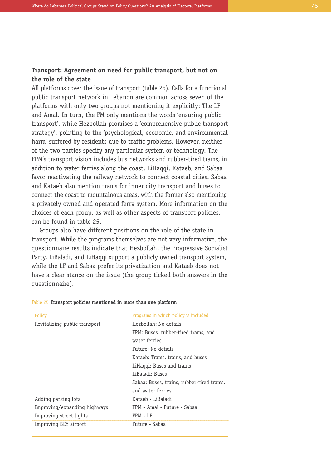## **Transport: Agreement on need for public transport, but not on the role of the state**

All platforms cover the issue of transport (table 25). Calls for a functional public transport network in Lebanon are common across seven of the platforms with only two groups not mentioning it explicitly: The LF and Amal. In turn, the FM only mentions the words 'ensuring public transport', while Hezbollah promises a 'comprehensive public transport strategy', pointing to the 'psychological, economic, and environmental harm' suffered by residents due to traffic problems. However, neither of the two parties specify any particular system or technology. The FPM's transport vision includes bus networks and rubber-tired trams, in addition to water ferries along the coast. LiHaqqi, Kataeb, and Sabaa favor reactivating the railway network to connect coastal cities. Sabaa and Kataeb also mention trams for inner city transport and buses to connect the coast to mountainous areas, with the former also mentioning a privately owned and operated ferry system. More information on the choices of each group, as well as other aspects of transport policies, can be found in table 25.

Groups also have different positions on the role of the state in transport. While the programs themselves are not very informative, the questionnaire results indicate that Hezbollah, the Progressive Socialist Party, LiBaladi, and LiHaqqi support a publicly owned transport system, while the LF and Sabaa prefer its privatization and Kataeb does not have a clear stance on the issue (the group ticked both answers in the questionnaire).

| Policy                        | Programs in which policy is included      |
|-------------------------------|-------------------------------------------|
| Revitalizing public transport | Hezbollah: No details                     |
|                               | FPM: Buses, rubber-tired trams, and       |
|                               | water ferries                             |
|                               | Future: No details                        |
|                               | Kataeb: Trams, trains, and buses          |
|                               | LiHaqqi: Buses and trains                 |
|                               | LiBaladi: Buses                           |
|                               | Sabaa: Buses, trains, rubber-tired trams, |
|                               | and water ferries                         |
| Adding parking lots           | Kataeb - LiBaladi                         |
| Improving/expanding highways  | FPM - Amal - Future - Sabaa               |
| Improving street lights       | FPM - LF                                  |
| Improving BEY airport         | Future - Sabaa                            |

#### Table 25 **Transport policies mentioned in more than one platform**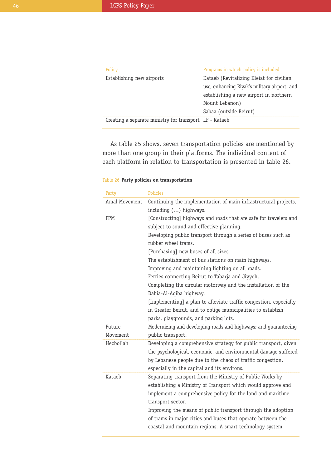| Policy                                                 | Programs in which policy is included         |
|--------------------------------------------------------|----------------------------------------------|
| Establishing new airports                              | Kataeb (Revitalizing Kleiat for civilian     |
|                                                        | use, enhancing Riyak's military airport, and |
|                                                        | establishing a new airport in northern       |
|                                                        | Mount Lebanon)                               |
|                                                        | Sabaa (outside Beirut)                       |
| Creating a separate ministry for transport LF - Kataeb |                                              |

As table 25 shows, seven transportation policies are mentioned by more than one group in their platforms. The individual content of each platform in relation to transportation is presented in table 26.

#### Table 26 **Party policies on transportation**

| Party              | <b>Policies</b>                                                                                                                                                                                                                                                                                                                                                                                                                                                                                                                                                                                                                                                                       |
|--------------------|---------------------------------------------------------------------------------------------------------------------------------------------------------------------------------------------------------------------------------------------------------------------------------------------------------------------------------------------------------------------------------------------------------------------------------------------------------------------------------------------------------------------------------------------------------------------------------------------------------------------------------------------------------------------------------------|
| Amal Movement      | Continuing the implementation of main infrastructural projects,<br>including () highways.                                                                                                                                                                                                                                                                                                                                                                                                                                                                                                                                                                                             |
| <b>FPM</b>         | [Constructing] highways and roads that are safe for travelers and<br>subject to sound and effective planning.<br>Developing public transport through a series of buses such as<br>rubber wheel trams.<br>[Purchasing] new buses of all sizes.<br>The establishment of bus stations on main highways.<br>Improving and maintaining lighting on all roads.<br>Ferries connecting Beirut to Tabarja and Jiyyeh.<br>Completing the circular motorway and the installation of the<br>Dabia-Al-Aqiba highway.<br>[Implementing] a plan to alleviate traffic congestion, especially<br>in Greater Beirut, and to oblige municipalities to establish<br>parks, playgrounds, and parking lots. |
| Future<br>Movement | Modernizing and developing roads and highways; and guaranteeing<br>public transport.                                                                                                                                                                                                                                                                                                                                                                                                                                                                                                                                                                                                  |
| Hezbollah          | Developing a comprehensive strategy for public transport, given<br>the psychological, economic, and environmental damage suffered<br>by Lebanese people due to the chaos of traffic congestion,<br>especially in the capital and its environs.                                                                                                                                                                                                                                                                                                                                                                                                                                        |
| Kataeb             | Separating transport from the Ministry of Public Works by<br>establishing a Ministry of Transport which would approve and<br>implement a comprehensive policy for the land and maritime<br>transport sector.<br>Improving the means of public transport through the adoption<br>of trams in major cities and buses that operate between the<br>coastal and mountain regions. A smart technology system                                                                                                                                                                                                                                                                                |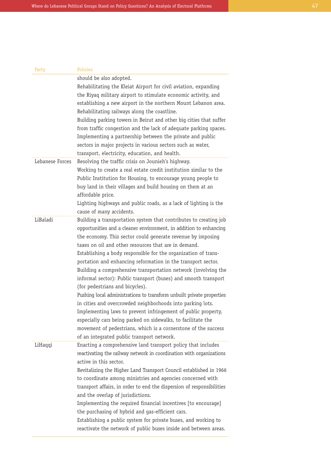| Party           | Policies                                                                                                                                                                                                                                                                                                                                                                                                                                                                                                                                                                                                                                                                                                                                                                                                                                                                                                                                      |
|-----------------|-----------------------------------------------------------------------------------------------------------------------------------------------------------------------------------------------------------------------------------------------------------------------------------------------------------------------------------------------------------------------------------------------------------------------------------------------------------------------------------------------------------------------------------------------------------------------------------------------------------------------------------------------------------------------------------------------------------------------------------------------------------------------------------------------------------------------------------------------------------------------------------------------------------------------------------------------|
|                 | should be also adopted.<br>Rehabilitating the Kleiat Airport for civil aviation, expanding<br>the Riyaq military airport to stimulate economic activity, and<br>establishing a new airport in the northern Mount Lebanon area.<br>Rehabilitating railways along the coastline.<br>Building parking towers in Beirut and other big cities that suffer<br>from traffic congestion and the lack of adequate parking spaces.<br>Implementing a partnership between the private and public<br>sectors in major projects in various sectors such as water,<br>transport, electricity, education, and health.                                                                                                                                                                                                                                                                                                                                        |
| Lebanese Forces | Resolving the traffic crisis on Jounieh's highway.<br>Working to create a real estate credit institution similar to the<br>Public Institution for Housing, to encourage young people to<br>buy land in their villages and build housing on them at an<br>affordable price.<br>Lighting highways and public roads, as a lack of lighting is the                                                                                                                                                                                                                                                                                                                                                                                                                                                                                                                                                                                                |
| LiBaladi        | cause of many accidents.<br>Building a transportation system that contributes to creating job<br>opportunities and a cleaner environment, in addition to enhancing<br>the economy. This sector could generate revenue by imposing<br>taxes on oil and other resources that are in demand.<br>Establishing a body responsible for the organization of trans-<br>portation and enhancing reformation in the transport sector.<br>Building a comprehensive transportation network (involving the<br>informal sector): Public transport (buses) and smooth transport<br>(for pedestrians and bicycles).<br>Pushing local administrations to transform unbuilt private properties<br>in cities and overcrowded neighborhoods into parking lots.<br>Implementing laws to prevent infringement of public property,<br>especially cars being parked on sidewalks, to facilitate the<br>movement of pedestrians, which is a cornerstone of the success |
| LiHaqqi         | of an integrated public transport network.<br>Enacting a comprehensive land transport policy that includes<br>reactivating the railway network in coordination with organizations<br>active in this sector.<br>Revitalizing the Higher Land Transport Council established in 1966<br>to coordinate among ministries and agencies concerned with<br>transport affairs, in order to end the dispersion of responsibilities<br>and the overlap of jurisdictions.<br>Implementing the required financial incentives [to encourage]<br>the purchasing of hybrid and gas-efficient cars.<br>Establishing a public system for private buses, and working to<br>reactivate the network of public buses inside and between areas.                                                                                                                                                                                                                      |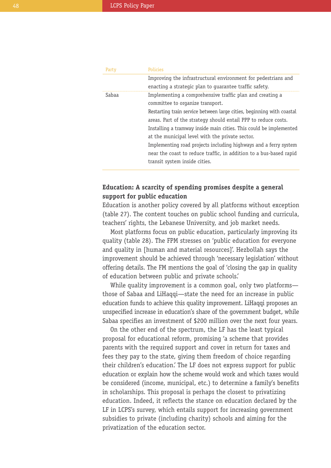| Party | <b>Policies</b>                                                       |
|-------|-----------------------------------------------------------------------|
|       | Improving the infrastructural environment for pedestrians and         |
|       | enacting a strategic plan to quarantee traffic safety.                |
| Sabaa | Implementing a comprehensive traffic plan and creating a              |
|       | committee to organize transport.                                      |
|       | Restarting train service between large cities, beginning with coastal |
|       | areas. Part of the strategy should entail PPP to reduce costs.        |
|       | Installing a tramway inside main cities. This could be implemented    |
|       | at the municipal level with the private sector.                       |
|       | Implementing road projects including highways and a ferry system      |
|       | near the coast to reduce traffic, in addition to a bus-based rapid    |
|       | transit system inside cities.                                         |

## **Education: A scarcity of spending promises despite a general support for public education**

Education is another policy covered by all platforms without exception (table 27). The content touches on public school funding and curricula, teachers' rights, the Lebanese University, and job market needs.

Most platforms focus on public education, particularly improving its quality (table 28). The FPM stresses on 'public education for everyone and quality in [human and material resources]'. Hezbollah says the improvement should be achieved through 'necessary legislation' without offering details. The FM mentions the goal of 'closing the gap in quality of education between public and private schools.'

While quality improvement is a common goal, only two platforms those of Sabaa and LiHaqqi—state the need for an increase in public education funds to achieve this quality improvement. LiHaqqi proposes an unspecified increase in education's share of the government budget, while Sabaa specifies an investment of \$200 million over the next four years.

On the other end of the spectrum, the LF has the least typical proposal for educational reform, promising 'a scheme that provides parents with the required support and cover in return for taxes and fees they pay to the state, giving them freedom of choice regarding their children's education.' The LF does not express support for public education or explain how the scheme would work and which taxes would be considered (income, municipal, etc.) to determine a family's benefits in scholarships. This proposal is perhaps the closest to privatizing education. Indeed, it reflects the stance on education declared by the LF in LCPS's survey, which entails support for increasing government subsidies to private (including charity) schools and aiming for the privatization of the education sector.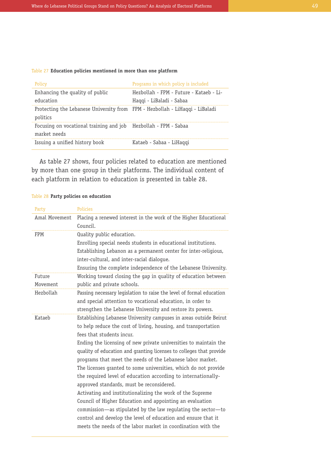### Table 27 **Education policies mentioned in more than one platform**

| Policy                                                                                   | Programs in which policy is included    |
|------------------------------------------------------------------------------------------|-----------------------------------------|
| Enhancing the quality of public                                                          | Hezbollah - FPM - Future - Kataeb - Li- |
| education                                                                                | Haqqi - LiBaladi - Sabaa                |
| Protecting the Lebanese University from FPM - Hezbollah - LiHaqqi - LiBaladi<br>politics |                                         |
| Focusing on vocational training and job<br>market needs                                  | Hezbollah - FPM - Sabaa                 |
| Issuing a unified history book                                                           | Kataeb - Sabaa - LiHaqqi                |

As table 27 shows, four policies related to education are mentioned by more than one group in their platforms. The individual content of each platform in relation to education is presented in table 28.

#### Table 28 **Party policies on education**

| Party         | Policies                                                             |
|---------------|----------------------------------------------------------------------|
| Amal Movement | Placing a renewed interest in the work of the Higher Educational     |
|               | Council.                                                             |
| FPM           | Quality public education.                                            |
|               | Enrolling special needs students in educational institutions.        |
|               | Establishing Lebanon as a permanent center for inter-religious,      |
|               | inter-cultural, and inter-racial dialogue.                           |
|               | Ensuring the complete independence of the Lebanese University.       |
| Future        | Working toward closing the gap in quality of education between       |
| Movement      | public and private schools.                                          |
| Hezbollah     | Passing necessary legislation to raise the level of formal education |
|               | and special attention to vocational education, in order to           |
|               | strengthen the Lebanese University and restore its powers.           |
| Kataeb        | Establishing Lebanese University campuses in areas outside Beirut    |
|               | to help reduce the cost of living, housing, and transportation       |
|               | fees that students incur.                                            |
|               | Ending the licensing of new private universities to maintain the     |
|               | quality of education and granting licenses to colleges that provide  |
|               | programs that meet the needs of the Lebanese labor market.           |
|               | The licenses granted to some universities, which do not provide      |
|               | the required level of education according to internationally-        |
|               | approved standards, must be reconsidered.                            |
|               | Activating and institutionalizing the work of the Supreme            |
|               | Council of Higher Education and appointing an evaluation             |
|               | commission—as stipulated by the law regulating the sector—to         |
|               | control and develop the level of education and ensure that it        |
|               | meets the needs of the labor market in coordination with the         |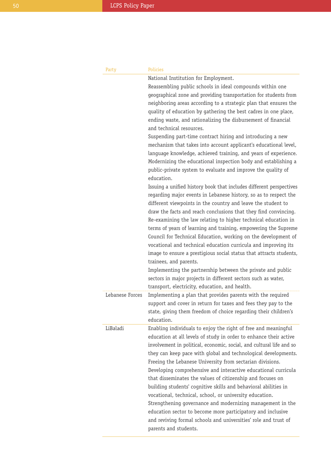| Party           | Policies                                                                                                                                                                                                                                                                                                                                                                                                                                                                                                                                                                                                                                                                                                                                                                                                                                                                                              |
|-----------------|-------------------------------------------------------------------------------------------------------------------------------------------------------------------------------------------------------------------------------------------------------------------------------------------------------------------------------------------------------------------------------------------------------------------------------------------------------------------------------------------------------------------------------------------------------------------------------------------------------------------------------------------------------------------------------------------------------------------------------------------------------------------------------------------------------------------------------------------------------------------------------------------------------|
|                 | National Institution for Employment.                                                                                                                                                                                                                                                                                                                                                                                                                                                                                                                                                                                                                                                                                                                                                                                                                                                                  |
|                 | Reassembling public schools in ideal compounds within one                                                                                                                                                                                                                                                                                                                                                                                                                                                                                                                                                                                                                                                                                                                                                                                                                                             |
|                 | geographical zone and providing transportation for students from                                                                                                                                                                                                                                                                                                                                                                                                                                                                                                                                                                                                                                                                                                                                                                                                                                      |
|                 | neighboring areas according to a strategic plan that ensures the                                                                                                                                                                                                                                                                                                                                                                                                                                                                                                                                                                                                                                                                                                                                                                                                                                      |
|                 | quality of education by gathering the best cadres in one place,<br>ending waste, and rationalizing the disbursement of financial<br>and technical resources.                                                                                                                                                                                                                                                                                                                                                                                                                                                                                                                                                                                                                                                                                                                                          |
|                 | Suspending part-time contract hiring and introducing a new                                                                                                                                                                                                                                                                                                                                                                                                                                                                                                                                                                                                                                                                                                                                                                                                                                            |
|                 | mechanism that takes into account applicant's educational level,<br>language knowledge, achieved training, and years of experience.<br>Modernizing the educational inspection body and establishing a<br>public-private system to evaluate and improve the quality of<br>education.                                                                                                                                                                                                                                                                                                                                                                                                                                                                                                                                                                                                                   |
| Lebanese Forces | Issuing a unified history book that includes different perspectives<br>regarding major events in Lebanese history, so as to respect the<br>different viewpoints in the country and leave the student to<br>draw the facts and reach conclusions that they find convincing.<br>Re-examining the law relating to higher technical education in<br>terms of years of learning and training, empowering the Supreme<br>Council for Technical Education, working on the development of<br>vocational and technical education curricula and improving its<br>image to ensure a prestigious social status that attracts students,<br>trainees, and parents.<br>Implementing the partnership between the private and public<br>sectors in major projects in different sectors such as water,<br>transport, electricity, education, and health.<br>Implementing a plan that provides parents with the required |
|                 | support and cover in return for taxes and fees they pay to the<br>state, giving them freedom of choice regarding their children's<br>education.                                                                                                                                                                                                                                                                                                                                                                                                                                                                                                                                                                                                                                                                                                                                                       |
| LiBaladi        | Enabling individuals to enjoy the right of free and meaningful<br>education at all levels of study in order to enhance their active<br>involvement in political, economic, social, and cultural life and so<br>they can keep pace with global and technological developments.<br>Freeing the Lebanese University from sectarian divisions.<br>Developing comprehensive and interactive educational curricula<br>that disseminates the values of citizenship and focuses on<br>building students' cognitive skills and behavioral abilities in<br>vocational, technical, school, or university education.<br>Strengthening governance and modernizing management in the<br>education sector to become more participatory and inclusive<br>and reviving formal schools and universities' role and trust of<br>parents and students.                                                                     |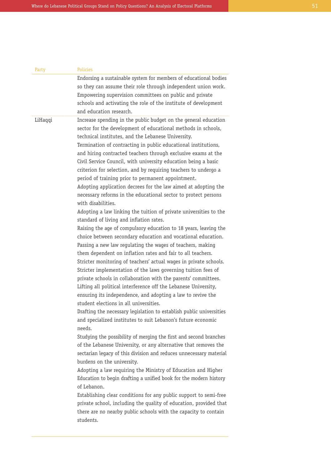| Party   | Policies                                                                                                                                                                                                                                                                                                                                                                                                                                                                                                                                                                                                                                                                                                                                                                                                                                                                                                                                                                                                                                                                                                                                                                                                                                                                                                                                                                                                                                                                                                                                                                                                                                                                                                                                                                                                                                                                                                                                                                                                                                                                                                                                                                                                                        |
|---------|---------------------------------------------------------------------------------------------------------------------------------------------------------------------------------------------------------------------------------------------------------------------------------------------------------------------------------------------------------------------------------------------------------------------------------------------------------------------------------------------------------------------------------------------------------------------------------------------------------------------------------------------------------------------------------------------------------------------------------------------------------------------------------------------------------------------------------------------------------------------------------------------------------------------------------------------------------------------------------------------------------------------------------------------------------------------------------------------------------------------------------------------------------------------------------------------------------------------------------------------------------------------------------------------------------------------------------------------------------------------------------------------------------------------------------------------------------------------------------------------------------------------------------------------------------------------------------------------------------------------------------------------------------------------------------------------------------------------------------------------------------------------------------------------------------------------------------------------------------------------------------------------------------------------------------------------------------------------------------------------------------------------------------------------------------------------------------------------------------------------------------------------------------------------------------------------------------------------------------|
|         | Endorsing a sustainable system for members of educational bodies                                                                                                                                                                                                                                                                                                                                                                                                                                                                                                                                                                                                                                                                                                                                                                                                                                                                                                                                                                                                                                                                                                                                                                                                                                                                                                                                                                                                                                                                                                                                                                                                                                                                                                                                                                                                                                                                                                                                                                                                                                                                                                                                                                |
|         | so they can assume their role through independent union work.                                                                                                                                                                                                                                                                                                                                                                                                                                                                                                                                                                                                                                                                                                                                                                                                                                                                                                                                                                                                                                                                                                                                                                                                                                                                                                                                                                                                                                                                                                                                                                                                                                                                                                                                                                                                                                                                                                                                                                                                                                                                                                                                                                   |
|         | Empowering supervision committees on public and private                                                                                                                                                                                                                                                                                                                                                                                                                                                                                                                                                                                                                                                                                                                                                                                                                                                                                                                                                                                                                                                                                                                                                                                                                                                                                                                                                                                                                                                                                                                                                                                                                                                                                                                                                                                                                                                                                                                                                                                                                                                                                                                                                                         |
|         | schools and activating the role of the institute of development                                                                                                                                                                                                                                                                                                                                                                                                                                                                                                                                                                                                                                                                                                                                                                                                                                                                                                                                                                                                                                                                                                                                                                                                                                                                                                                                                                                                                                                                                                                                                                                                                                                                                                                                                                                                                                                                                                                                                                                                                                                                                                                                                                 |
|         | and education research.                                                                                                                                                                                                                                                                                                                                                                                                                                                                                                                                                                                                                                                                                                                                                                                                                                                                                                                                                                                                                                                                                                                                                                                                                                                                                                                                                                                                                                                                                                                                                                                                                                                                                                                                                                                                                                                                                                                                                                                                                                                                                                                                                                                                         |
| LiHaqqi | Increase spending in the public budget on the general education<br>sector for the development of educational methods in schools,<br>technical institutes, and the Lebanese University.<br>Termination of contracting in public educational institutions,<br>and hiring contracted teachers through exclusive exams at the<br>Civil Service Council, with university education being a basic<br>criterion for selection, and by requiring teachers to undergo a<br>period of training prior to permanent appointment.<br>Adopting application decrees for the law aimed at adopting the<br>necessary reforms in the educational sector to protect persons<br>with disabilities.<br>Adopting a law linking the tuition of private universities to the<br>standard of living and inflation rates.<br>Raising the age of compulsory education to 18 years, leaving the<br>choice between secondary education and vocational education.<br>Passing a new law regulating the wages of teachers, making<br>them dependent on inflation rates and fair to all teachers.<br>Stricter monitoring of teachers' actual wages in private schools.<br>Stricter implementation of the laws governing tuition fees of<br>private schools in collaboration with the parents' committees.<br>Lifting all political interference off the Lebanese University,<br>ensuring its independence, and adopting a law to revive the<br>student elections in all universities.<br>Drafting the necessary legislation to establish public universities<br>and specialized institutes to suit Lebanon's future economic<br>needs.<br>Studying the possibility of merging the first and second branches<br>of the Lebanese University, or any alternative that removes the<br>sectarian legacy of this division and reduces unnecessary material<br>burdens on the university.<br>Adopting a law requiring the Ministry of Education and Higher<br>Education to begin drafting a unified book for the modern history<br>of Lebanon.<br>Establishing clear conditions for any public support to semi-free<br>private school, including the quality of education, provided that<br>there are no nearby public schools with the capacity to contain<br>students. |
|         |                                                                                                                                                                                                                                                                                                                                                                                                                                                                                                                                                                                                                                                                                                                                                                                                                                                                                                                                                                                                                                                                                                                                                                                                                                                                                                                                                                                                                                                                                                                                                                                                                                                                                                                                                                                                                                                                                                                                                                                                                                                                                                                                                                                                                                 |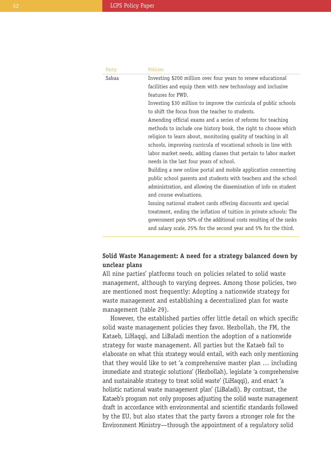| Party | <b>Policies</b>                                                    |
|-------|--------------------------------------------------------------------|
| Sabaa | Investing \$200 million over four years to renew educational       |
|       | facilities and equip them with new technology and inclusive        |
|       | features for PWD.                                                  |
|       | Investing \$30 million to improve the curricula of public schools  |
|       | to shift the focus from the teacher to students.                   |
|       | Amending official exams and a series of reforms for teaching       |
|       | methods to include one history book, the right to choose which     |
|       | religion to learn about, monitoring quality of teaching in all     |
|       | schools, improving curricula of vocational schools in line with    |
|       | labor market needs, adding classes that pertain to labor market    |
|       | needs in the last four years of school.                            |
|       | Building a new online portal and mobile application connecting     |
|       | public school parents and students with teachers and the school    |
|       | administration, and allowing the dissemination of info on student  |
|       | and course evaluations.                                            |
|       | Issuing national student cards offering discounts and special      |
|       | treatment, ending the inflation of tuition in private schools: The |
|       | government pays 50% of the additional costs resulting of the ranks |
|       | and salary scale, 25% for the second year and 5% for the third.    |

## **Solid Waste Management: A need for a strategy balanced down by unclear plans**

All nine parties' platforms touch on policies related to solid waste management, although to varying degrees. Among those policies, two are mentioned most frequently: Adopting a nationwide strategy for waste management and establishing a decentralized plan for waste management (table 29).

However, the established parties offer little detail on which specific solid waste management policies they favor. Hezbollah, the FM, the Kataeb, LiHaqqi, and LiBaladi mention the adoption of a nationwide strategy for waste management. All parties but the Kataeb fail to elaborate on what this strategy would entail, with each only mentioning that they would like to set 'a comprehensive master plan … including immediate and strategic solutions' (Hezbollah), legislate 'a comprehensive and sustainable strategy to treat solid waste' (LiHaqqi), and enact 'a holistic national waste management plan' (LiBaladi). By contrast, the Kataeb's program not only proposes adjusting the solid waste management draft in accordance with environmental and scientific standards followed by the EU, but also states that the party favors a stronger role for the Environment Ministry—through the appointment of a regulatory solid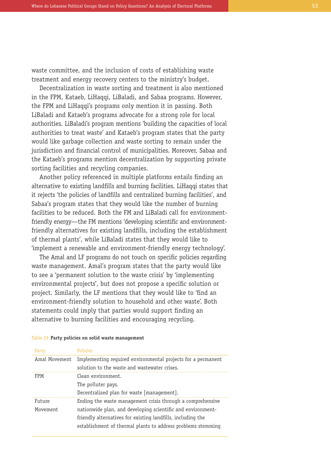waste committee, and the inclusion of costs of establishing waste treatment and energy recovery centers to the ministry's budget.

Decentralization in waste sorting and treatment is also mentioned in the FPM, Kataeb, LiHaqqi, LiBaladi, and Sabaa programs. However, the FPM and LiHaqqi's programs only mention it in passing. Both LiBaladi and Kataeb's programs advocate for a strong role for local authorities. LiBaladi's program mentions 'building the capacities of local authorities to treat waste' and Kataeb's program states that the party would like garbage collection and waste sorting to remain under the jurisdiction and financial control of municipalities. Moreover, Sabaa and the Kataeb's programs mention decentralization by supporting private sorting facilities and recycling companies.

Another policy referenced in multiple platforms entails finding an alternative to existing landfills and burning facilities. LiHaqqi states that it rejects 'the policies of landfills and centralized burning facilities', and Sabaa's program states that they would like the number of burning facilities to be reduced. Both the FM and LiBaladi call for environmentfriendly energy—the FM mentions 'developing scientific and environmentfriendly alternatives for existing landfills, including the establishment of thermal plants', while LiBaladi states that they would like to 'implement a renewable and environment-friendly energy technology'.

The Amal and LF programs do not touch on specific policies regarding waste management. Amal's program states that the party would like to see a 'permanent solution to the waste crisis' by 'implementing environmental projects', but does not propose a specific solution or project. Similarly, the LF mentions that they would like to 'find an environment-friendly solution to household and other waste'. Both statements could imply that parties would support finding an alternative to burning facilities and encouraging recycling.

| Party              | <b>Policies</b>                                                                                                                                                                                                                                          |
|--------------------|----------------------------------------------------------------------------------------------------------------------------------------------------------------------------------------------------------------------------------------------------------|
| Amal Movement      | Implementing required environmental projects for a permanent<br>solution to the waste and wastewater crises.                                                                                                                                             |
| <b>FPM</b>         | Clean environment.<br>The polluter pays.<br>Decentralized plan for waste [management].                                                                                                                                                                   |
| Future<br>Movement | Ending the waste management crisis through a comprehensive<br>nationwide plan, and developing scientific and environment-<br>friendly alternatives for existing landfills, including the<br>establishment of thermal plants to address problems stemming |

#### Table 29 **Party policies on solid waste management**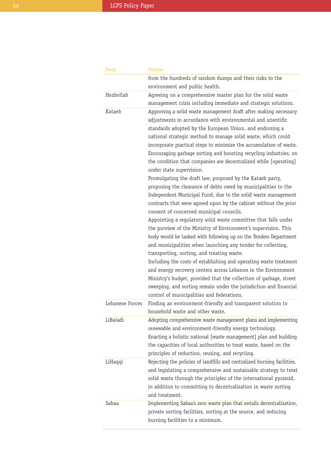| Party           | <b>Policies</b>                                                                                                                                                                                                                                                                                                                                                                                                                                                                                                                                                                                                                                                                                                                                                                                                                                                                                                     |
|-----------------|---------------------------------------------------------------------------------------------------------------------------------------------------------------------------------------------------------------------------------------------------------------------------------------------------------------------------------------------------------------------------------------------------------------------------------------------------------------------------------------------------------------------------------------------------------------------------------------------------------------------------------------------------------------------------------------------------------------------------------------------------------------------------------------------------------------------------------------------------------------------------------------------------------------------|
|                 | from the hundreds of random dumps and their risks to the                                                                                                                                                                                                                                                                                                                                                                                                                                                                                                                                                                                                                                                                                                                                                                                                                                                            |
|                 | environment and public health.                                                                                                                                                                                                                                                                                                                                                                                                                                                                                                                                                                                                                                                                                                                                                                                                                                                                                      |
| Hezbollah       | Agreeing on a comprehensive master plan for the solid waste                                                                                                                                                                                                                                                                                                                                                                                                                                                                                                                                                                                                                                                                                                                                                                                                                                                         |
|                 | management crisis including immediate and strategic solutions.                                                                                                                                                                                                                                                                                                                                                                                                                                                                                                                                                                                                                                                                                                                                                                                                                                                      |
| Kataeb          | Approving a solid waste management draft after making necessary<br>adjustments in accordance with environmental and scientific<br>standards adopted by the European Union, and endorsing a<br>national strategic method to manage solid waste, which could<br>incorporate practical steps to minimize the accumulation of waste.<br>Encouraging garbage sorting and boosting recycling industries, on<br>the condition that companies are decentralized while [operating]<br>under state supervision.                                                                                                                                                                                                                                                                                                                                                                                                               |
|                 | Promulgating the draft law, proposed by the Kataeb party,<br>proposing the clearance of debts owed by municipalities to the<br>Independent Municipal Fund, due to the solid waste management<br>contracts that were agreed upon by the cabinet without the prior<br>consent of concerned municipal councils.<br>Appointing a regulatory solid waste committee that falls under<br>the purview of the Ministry of Environment's supervision. This<br>body would be tasked with following up on the Tenders Department<br>and municipalities when launching any tender for collecting,<br>transporting, sorting, and treating waste.<br>Including the costs of establishing and operating waste treatment<br>and energy recovery centers across Lebanon in the Environment<br>Ministry's budget, provided that the collection of garbage, street<br>sweeping, and sorting remain under the jurisdiction and financial |
| Lebanese Forces | control of municipalities and federations.<br>Finding an environment-friendly and transparent solution to<br>household waste and other waste.                                                                                                                                                                                                                                                                                                                                                                                                                                                                                                                                                                                                                                                                                                                                                                       |
| LiBaladi        | Adopting comprehensive waste management plans and implementing<br>renewable and environment-friendly energy technology.<br>Enacting a holistic national [waste management] plan and building<br>the capacities of local authorities to treat waste, based on the<br>principles of reduction, reusing, and recycling.                                                                                                                                                                                                                                                                                                                                                                                                                                                                                                                                                                                                |
| LiHaqqi         | Rejecting the policies of landfills and centralized burning facilities,<br>and legislating a comprehensive and sustainable strategy to treat<br>solid waste through the principles of the international pyramid,<br>in addition to committing to decentralization in waste sorting<br>and treatment.                                                                                                                                                                                                                                                                                                                                                                                                                                                                                                                                                                                                                |
| Sabaa           | Implementing Sabaa's zero waste plan that entails decentralization,<br>private sorting facilities, sorting at the source, and reducing<br>burning facilities to a minimum.                                                                                                                                                                                                                                                                                                                                                                                                                                                                                                                                                                                                                                                                                                                                          |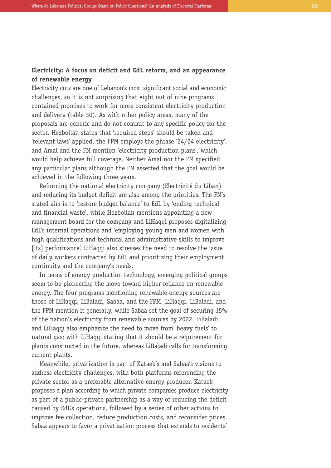## **Electricity: A focus on deficit and EdL reform, and an appearance of renewable energy**

Electricity cuts are one of Lebanon's most significant social and economic challenges, so it is not surprising that eight out of nine programs contained promises to work for more consistent electricity production and delivery (table 30). As with other policy areas, many of the proposals are generic and do not commit to any specific policy for the sector. Hezbollah states that 'required steps' should be taken and 'relevant laws' applied, the FPM employs the phrase '24/24 electricity', and Amal and the FM mention 'electricity production plans', which would help achieve full coverage. Neither Amal nor the FM specified any particular plans although the FM asserted that the goal would be achieved in the following three years.

Reforming the national electricity company (Electricité du Liban) and reducing its budget deficit are also among the priorities. The FM's stated aim is to 'restore budget balance' to EdL by 'ending technical and financial waste', while Hezbollah mentions appointing a new management board for the company and LiHaqqi proposes digitalizing EdL's internal operations and 'employing young men and women with high qualifications and technical and administrative skills to improve [its] performance'. LiHaqqi also stresses the need to resolve the issue of daily workers contracted by EdL and prioritizing their employment continuity and the company's needs.

In terms of energy production technology, emerging political groups seem to be pioneering the move toward higher reliance on renewable energy. The four programs mentioning renewable energy sources are those of LiHaqqi, LiBaladi, Sabaa, and the FPM. LiHaqqi, LiBaladi, and the FPM mention it generally, while Sabaa set the goal of securing 15% of the nation's electricity from renewable sources by 2022. LiBaladi and LiHaqqi also emphasize the need to move from 'heavy fuels' to natural gas; with LiHaqqi stating that it should be a requirement for plants constructed in the future, whereas LiBaladi calls for transforming current plants.

Meanwhile, privatization is part of Kataeb's and Sabaa's visions to address electricity challenges, with both platforms referencing the private sector as a preferable alternative energy producer. Kataeb proposes a plan according to which private companies produce electricity as part of a public-private partnership as a way of reducing the deficit caused by EdL's operations, followed by a series of other actions to improve fee collection, reduce production costs, and reconsider prices. Sabaa appears to favor a privatization process that extends to residents'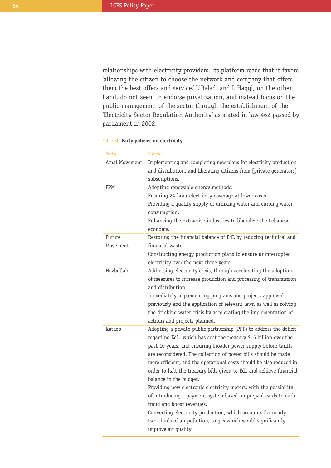relationships with electricity providers. Its platform reads that it favors 'allowing the citizen to choose the network and company that offers them the best offers and service.' LiBaladi and LiHaqqi, on the other hand, do not seem to endorse privatization, and instead focus on the public management of the sector through the establishment of the 'Electricity Sector Regulation Authority' as stated in law 462 passed by parliament in 2002.

| Party              | <b>Policies</b>                                                                                                                                                                                                                                                                                                                                                                                                                                                                                                                                                                                                                                                                                                                                                                  |
|--------------------|----------------------------------------------------------------------------------------------------------------------------------------------------------------------------------------------------------------------------------------------------------------------------------------------------------------------------------------------------------------------------------------------------------------------------------------------------------------------------------------------------------------------------------------------------------------------------------------------------------------------------------------------------------------------------------------------------------------------------------------------------------------------------------|
| Amal Movement      | Implementing and completing new plans for electricity production<br>and distribution, and liberating citizens from [private generators]<br>subscriptions.                                                                                                                                                                                                                                                                                                                                                                                                                                                                                                                                                                                                                        |
| FPM                | Adopting renewable energy methods.<br>Ensuring 24-hour electricity coverage at lower costs.<br>Providing a quality supply of drinking water and curbing water<br>consumption.<br>Enhancing the extractive industries to liberalize the Lebanese<br>economy.                                                                                                                                                                                                                                                                                                                                                                                                                                                                                                                      |
| Future<br>Movement | Restoring the financial balance of EdL by reducing technical and<br>financial waste.<br>Constructing energy production plans to ensure uninterrupted<br>electricity over the next three years.                                                                                                                                                                                                                                                                                                                                                                                                                                                                                                                                                                                   |
| Hezbollah          | Addressing electricity crisis, through accelerating the adoption<br>of measures to increase production and processing of transmission<br>and distribution.<br>Immediately implementing programs and projects approved<br>previously and the application of relevant laws, as well as solving<br>the drinking water crisis by accelerating the implementation of<br>actions and projects planned.                                                                                                                                                                                                                                                                                                                                                                                 |
| Kataeb             | Adopting a private-public partnership (PPP) to address the deficit<br>regarding EdL, which has cost the treasury \$15 billion over the<br>past 10 years, and ensuring broader power supply before tariffs<br>are reconsidered. The collection of power bills should be made<br>more efficient, and the operational costs should be also reduced in<br>order to halt the treasury bills given to EdL and achieve financial<br>balance in the budget.<br>Providing new electronic electricity meters, with the possibility<br>of introducing a payment system based on prepaid cards to curb<br>fraud and boost revenues.<br>Converting electricity production, which accounts for nearly<br>two-thirds of air pollution, to gas which would significantly<br>improve air quality. |

#### Table 30 **Party policies on electricity**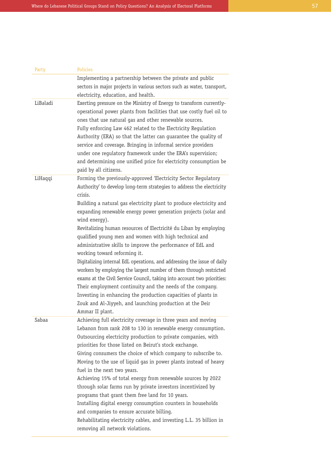| Party    | <b>Policies</b>                                                                                                                                                                                       |
|----------|-------------------------------------------------------------------------------------------------------------------------------------------------------------------------------------------------------|
|          | Implementing a partnership between the private and public                                                                                                                                             |
|          | sectors in major projects in various sectors such as water, transport,                                                                                                                                |
|          | electricity, education, and health.                                                                                                                                                                   |
| LiBaladi | Exerting pressure on the Ministry of Energy to transform currently-<br>operational power plants from facilities that use costly fuel oil to<br>ones that use natural gas and other renewable sources. |
|          | Fully enforcing Law 462 related to the Electricity Regulation<br>Authority (ERA) so that the latter can guarantee the quality of                                                                      |
|          | service and coverage. Bringing in informal service providers                                                                                                                                          |
|          | under one regulatory framework under the ERA's supervision;                                                                                                                                           |
|          | and determining one unified price for electricity consumption be<br>paid by all citizens.                                                                                                             |
| LiHaqqi  | Forming the previously-approved 'Electricity Sector Regulatory                                                                                                                                        |
|          | Authority' to develop long-term strategies to address the electricity<br>crisis.                                                                                                                      |
|          | Building a natural gas electricity plant to produce electricity and                                                                                                                                   |
|          | expanding renewable energy power generation projects (solar and<br>wind energy).                                                                                                                      |
|          | Revitalizing human resources of Electricité du Liban by employing                                                                                                                                     |
|          | qualified young men and women with high technical and                                                                                                                                                 |
|          | administrative skills to improve the performance of EdL and                                                                                                                                           |
|          | working toward reforming it.                                                                                                                                                                          |
|          | Digitalizing internal EdL operations, and addressing the issue of daily                                                                                                                               |
|          | workers by employing the largest number of them through restricted                                                                                                                                    |
|          | exams at the Civil Service Council, taking into account two priorities:                                                                                                                               |
|          | Their employment continuity and the needs of the company.                                                                                                                                             |
|          | Investing in enhancing the production capacities of plants in                                                                                                                                         |
|          | Zouk and Al-Jiyyeh, and launching production at the Deir                                                                                                                                              |
|          | Ammar II plant.                                                                                                                                                                                       |
| Sabaa    | Achieving full electricity coverage in three years and moving                                                                                                                                         |
|          | Lebanon from rank 208 to 130 in renewable energy consumption.                                                                                                                                         |
|          | Outsourcing electricity production to private companies, with                                                                                                                                         |
|          | priorities for those listed on Beirut's stock exchange.                                                                                                                                               |
|          | Giving consumers the choice of which company to subscribe to.                                                                                                                                         |
|          | Moving to the use of liquid gas in power plants instead of heavy                                                                                                                                      |
|          | fuel in the next two years.                                                                                                                                                                           |
|          | Achieving 15% of total energy from renewable sources by 2022                                                                                                                                          |
|          | through solar farms run by private investors incentivized by                                                                                                                                          |
|          | programs that grant them free land for 10 years.                                                                                                                                                      |
|          | Installing digital energy consumption counters in households                                                                                                                                          |
|          | and companies to ensure accurate billing.                                                                                                                                                             |
|          | Rehabilitating electricity cables, and investing L.L. 35 billion in                                                                                                                                   |
|          | removing all network violations.                                                                                                                                                                      |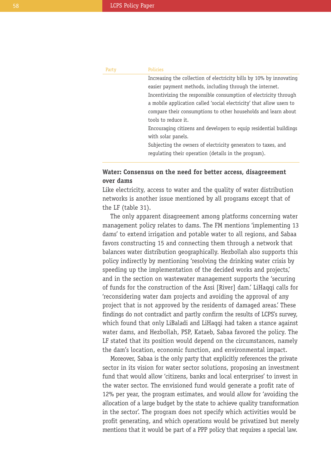| Party | <b>Policies</b>                                                      |
|-------|----------------------------------------------------------------------|
|       | Increasing the collection of electricity bills by 10% by innovating  |
|       | easier payment methods, including through the internet.              |
|       | Incentivizing the responsible consumption of electricity through     |
|       | a mobile application called 'social electricity' that allow users to |
|       | compare their consumptions to other households and learn about       |
|       | tools to reduce it.                                                  |
|       | Encouraging citizens and developers to equip residential buildings   |
|       | with solar panels.                                                   |
|       | Subjecting the owners of electricity generators to taxes, and        |
|       | regulating their operation (details in the program).                 |
|       |                                                                      |

## **Water: Consensus on the need for better access, disagreement over dams**

Like electricity, access to water and the quality of water distribution networks is another issue mentioned by all programs except that of the LF (table 31).

The only apparent disagreement among platforms concerning water management policy relates to dams. The FM mentions 'implementing 13 dams' to extend irrigation and potable water to all regions, and Sabaa favors constructing 15 and connecting them through a network that balances water distribution geographically. Hezbollah also supports this policy indirectly by mentioning 'resolving the drinking water crisis by speeding up the implementation of the decided works and projects,' and in the section on wastewater management supports the 'securing of funds for the construction of the Assi [River] dam.' LiHaqqi calls for 'reconsidering water dam projects and avoiding the approval of any project that is not approved by the residents of damaged areas.' These findings do not contradict and partly confirm the results of LCPS's survey, which found that only LiBaladi and LiHaqqi had taken a stance against water dams, and Hezbollah, PSP, Kataeb, Sabaa favored the policy. The LF stated that its position would depend on the circumstances, namely the dam's location, economic function, and environmental impact.

Moreover, Sabaa is the only party that explicitly references the private sector in its vision for water sector solutions, proposing an investment fund that would allow 'citizens, banks and local enterprises' to invest in the water sector. The envisioned fund would generate a profit rate of 12% per year, the program estimates, and would allow for 'avoiding the allocation of a large budget by the state to achieve quality transformation in the sector'. The program does not specify which activities would be profit generating, and which operations would be privatized but merely mentions that it would be part of a PPP policy that requires a special law.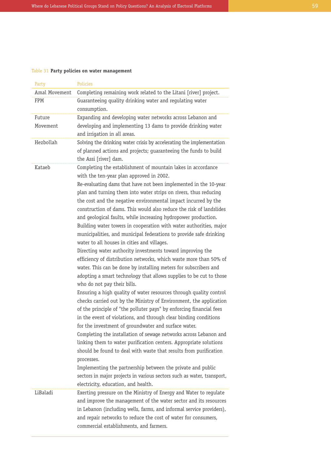#### Table 31 **Party policies on water management**

| Party         | <b>Policies</b>                                                                                                                                                                                                                                                                                                                                                                                                                                                                                                                                                                                                                                                                                                                                                                                                                                                                                                                                                                                                                                                                                                                                                                                                                                                                                                                                                                                                                                                                                                                                                              |
|---------------|------------------------------------------------------------------------------------------------------------------------------------------------------------------------------------------------------------------------------------------------------------------------------------------------------------------------------------------------------------------------------------------------------------------------------------------------------------------------------------------------------------------------------------------------------------------------------------------------------------------------------------------------------------------------------------------------------------------------------------------------------------------------------------------------------------------------------------------------------------------------------------------------------------------------------------------------------------------------------------------------------------------------------------------------------------------------------------------------------------------------------------------------------------------------------------------------------------------------------------------------------------------------------------------------------------------------------------------------------------------------------------------------------------------------------------------------------------------------------------------------------------------------------------------------------------------------------|
| Amal Movement | Completing remaining work related to the Litani [river] project.                                                                                                                                                                                                                                                                                                                                                                                                                                                                                                                                                                                                                                                                                                                                                                                                                                                                                                                                                                                                                                                                                                                                                                                                                                                                                                                                                                                                                                                                                                             |
| FPM           | Guaranteeing quality drinking water and regulating water                                                                                                                                                                                                                                                                                                                                                                                                                                                                                                                                                                                                                                                                                                                                                                                                                                                                                                                                                                                                                                                                                                                                                                                                                                                                                                                                                                                                                                                                                                                     |
|               | consumption.                                                                                                                                                                                                                                                                                                                                                                                                                                                                                                                                                                                                                                                                                                                                                                                                                                                                                                                                                                                                                                                                                                                                                                                                                                                                                                                                                                                                                                                                                                                                                                 |
| Future        | Expanding and developing water networks across Lebanon and                                                                                                                                                                                                                                                                                                                                                                                                                                                                                                                                                                                                                                                                                                                                                                                                                                                                                                                                                                                                                                                                                                                                                                                                                                                                                                                                                                                                                                                                                                                   |
| Movement      | developing and implementing 13 dams to provide drinking water<br>and irrigation in all areas.                                                                                                                                                                                                                                                                                                                                                                                                                                                                                                                                                                                                                                                                                                                                                                                                                                                                                                                                                                                                                                                                                                                                                                                                                                                                                                                                                                                                                                                                                |
| Hezbollah     | Solving the drinking water crisis by accelerating the implementation<br>of planned actions and projects; guaranteeing the funds to build<br>the Assi [river] dam.                                                                                                                                                                                                                                                                                                                                                                                                                                                                                                                                                                                                                                                                                                                                                                                                                                                                                                                                                                                                                                                                                                                                                                                                                                                                                                                                                                                                            |
| Kataeb        | Completing the establishment of mountain lakes in accordance<br>with the ten-year plan approved in 2002.                                                                                                                                                                                                                                                                                                                                                                                                                                                                                                                                                                                                                                                                                                                                                                                                                                                                                                                                                                                                                                                                                                                                                                                                                                                                                                                                                                                                                                                                     |
|               | Re-evaluating dams that have not been implemented in the 10-year<br>plan and turning them into water strips on rivers, thus reducing<br>the cost and the negative environmental impact incurred by the<br>construction of dams. This would also reduce the risk of landslides<br>and geological faults, while increasing hydropower production.<br>Building water towers in cooperation with water authorities, major<br>municipalities, and municipal federations to provide safe drinking<br>water to all houses in cities and villages.<br>Directing water authority investments toward improving the<br>efficiency of distribution networks, which waste more than 50% of<br>water. This can be done by installing meters for subscribers and<br>adopting a smart technology that allows supplies to be cut to those<br>who do not pay their bills.<br>Ensuring a high quality of water resources through quality control<br>checks carried out by the Ministry of Environment, the application<br>of the principle of "the polluter pays" by enforcing financial fees<br>in the event of violations, and through clear binding conditions<br>for the investment of groundwater and surface water.<br>Completing the installation of sewage networks across Lebanon and<br>linking them to water purification centers. Appropriate solutions<br>should be found to deal with waste that results from purification<br>processes.<br>Implementing the partnership between the private and public<br>sectors in major projects in various sectors such as water, transport, |
| LiBaladi      | electricity, education, and health.<br>Exerting pressure on the Ministry of Energy and Water to regulate<br>and improve the management of the water sector and its resources                                                                                                                                                                                                                                                                                                                                                                                                                                                                                                                                                                                                                                                                                                                                                                                                                                                                                                                                                                                                                                                                                                                                                                                                                                                                                                                                                                                                 |
|               | in Lebanon (including wells, farms, and informal service providers),<br>and repair networks to reduce the cost of water for consumers,<br>commercial establishments, and farmers.                                                                                                                                                                                                                                                                                                                                                                                                                                                                                                                                                                                                                                                                                                                                                                                                                                                                                                                                                                                                                                                                                                                                                                                                                                                                                                                                                                                            |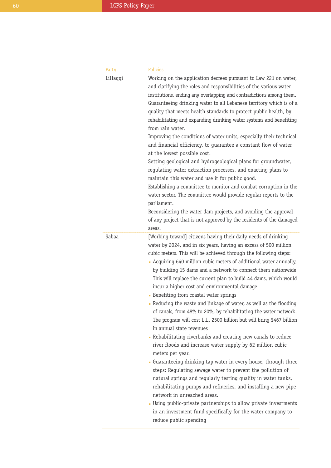| Party   | Policies                                                                                                                                                                                                                                                                                                                                                                                                                                                                                                                                                                                                                                                                                                                                                                                                                                                                                                                                                                                                                                                                                                                                                                                                                                                                                                                                                                   |
|---------|----------------------------------------------------------------------------------------------------------------------------------------------------------------------------------------------------------------------------------------------------------------------------------------------------------------------------------------------------------------------------------------------------------------------------------------------------------------------------------------------------------------------------------------------------------------------------------------------------------------------------------------------------------------------------------------------------------------------------------------------------------------------------------------------------------------------------------------------------------------------------------------------------------------------------------------------------------------------------------------------------------------------------------------------------------------------------------------------------------------------------------------------------------------------------------------------------------------------------------------------------------------------------------------------------------------------------------------------------------------------------|
| LiHaqqi | Working on the application decrees pursuant to Law 221 on water,<br>and clarifying the roles and responsibilities of the various water<br>institutions, ending any overlapping and contradictions among them.<br>Guaranteeing drinking water to all Lebanese territory which is of a<br>quality that meets health standards to protect public health, by<br>rehabilitating and expanding drinking water systems and benefiting<br>from rain water.<br>Improving the conditions of water units, especially their technical<br>and financial efficiency, to guarantee a constant flow of water<br>at the lowest possible cost.<br>Setting geological and hydrogeological plans for groundwater,<br>regulating water extraction processes, and enacting plans to<br>maintain this water and use it for public good.<br>Establishing a committee to monitor and combat corruption in the<br>water sector. The committee would provide regular reports to the<br>parliament.<br>Reconsidering the water dam projects, and avoiding the approval<br>of any project that is not approved by the residents of the damaged<br>areas.                                                                                                                                                                                                                                                |
| Sabaa   | [Working toward] citizens having their daily needs of drinking<br>water by 2024, and in six years, having an excess of 500 million<br>cubic meters. This will be achieved through the following steps:<br>• Acquiring 640 million cubic meters of additional water annually,<br>by building 15 dams and a network to connect them nationwide<br>This will replace the current plan to build 44 dams, which would<br>incur a higher cost and environmental damage<br>• Benefiting from coastal water springs<br>• Reducing the waste and linkage of water, as well as the flooding<br>of canals, from 48% to 20%, by rehabilitating the water network.<br>The program will cost L.L. 2500 billion but will bring \$467 billion<br>in annual state revenues<br>• Rehabilitating riverbanks and creating new canals to reduce<br>river floods and increase water supply by 62 million cubic<br>meters per year.<br>Guaranteeing drinking tap water in every house, through three<br>steps: Regulating sewage water to prevent the pollution of<br>natural springs and regularly testing quality in water tanks,<br>rehabilitating pumps and refineries, and installing a new pipe<br>network in unreached areas.<br>• Using public-private partnerships to allow private investments<br>in an investment fund specifically for the water company to<br>reduce public spending |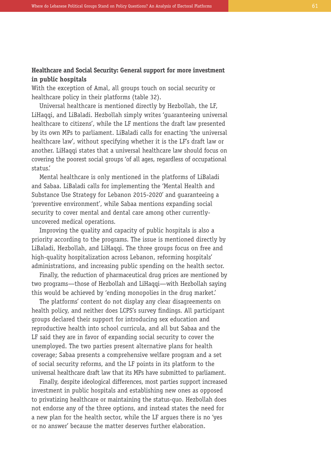## **Healthcare and Social Security: General support for more investment in public hospitals**

With the exception of Amal, all groups touch on social security or healthcare policy in their platforms (table 32).

Universal healthcare is mentioned directly by Hezbollah, the LF, LiHaqqi, and LiBaladi. Hezbollah simply writes 'guaranteeing universal healthcare to citizens', while the LF mentions the draft law presented by its own MPs to parliament. LiBaladi calls for enacting 'the universal healthcare law', without specifying whether it is the LF's draft law or another. LiHaqqi states that a universal healthcare law should focus on covering the poorest social groups 'of all ages, regardless of occupational status.'

Mental healthcare is only mentioned in the platforms of LiBaladi and Sabaa. LiBaladi calls for implementing the 'Mental Health and Substance Use Strategy for Lebanon 2015-2020' and guaranteeing a 'preventive environment', while Sabaa mentions expanding social security to cover mental and dental care among other currentlyuncovered medical operations.

Improving the quality and capacity of public hospitals is also a priority according to the programs. The issue is mentioned directly by LiBaladi, Hezbollah, and LiHaqqi. The three groups focus on free and high-quality hospitalization across Lebanon, reforming hospitals' administrations, and increasing public spending on the health sector.

Finally, the reduction of pharmaceutical drug prices are mentioned by two programs—those of Hezbollah and LiHagqi—with Hezbollah saying this would be achieved by 'ending monopolies in the drug market.'

The platforms' content do not display any clear disagreements on health policy, and neither does LCPS's survey findings. All participant groups declared their support for introducing sex education and reproductive health into school curricula, and all but Sabaa and the LF said they are in favor of expanding social security to cover the unemployed. The two parties present alternative plans for health coverage; Sabaa presents a comprehensive welfare program and a set of social security reforms, and the LF points in its platform to the universal healthcare draft law that its MPs have submitted to parliament.

Finally, despite ideological differences, most parties support increased investment in public hospitals and establishing new ones as opposed to privatizing healthcare or maintaining the status-quo. Hezbollah does not endorse any of the three options, and instead states the need for a new plan for the health sector, while the LF argues there is no 'yes or no answer' because the matter deserves further elaboration.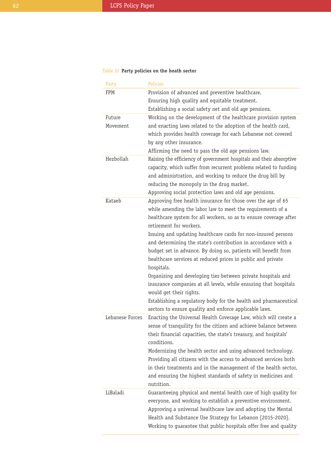## Table 32 **Party policies on the heath sector**

| Party           | <b>Policies</b>                                                                                                                  |
|-----------------|----------------------------------------------------------------------------------------------------------------------------------|
| FPM             | Provision of advanced and preventive healthcare.                                                                                 |
|                 | Ensuring high quality and equitable treatment.                                                                                   |
|                 | Establishing a social safety net and old age pensions.                                                                           |
| Future          | Working on the development of the healthcare provision system                                                                    |
| Movement        | and enacting laws related to the adoption of the health card,                                                                    |
|                 | which provides health coverage for each Lebanese not covered                                                                     |
|                 | by any other insurance.                                                                                                          |
|                 | Affirming the need to pass the old age pensions law.                                                                             |
| Hezbollah       | Raising the efficiency of government hospitals and their absorptive                                                              |
|                 | capacity, which suffer from recurrent problems related to funding                                                                |
|                 | and administration, and working to reduce the drug bill by                                                                       |
|                 | reducing the monopoly in the drug market.                                                                                        |
|                 | Approving social protection laws and old age pensions.                                                                           |
| Kataeb          | Approving free health insurance for those over the age of 65                                                                     |
|                 | while amending the labor law to meet the requirements of a                                                                       |
|                 | healthcare system for all workers, so as to ensure coverage after                                                                |
|                 | retirement for workers.                                                                                                          |
|                 | Issuing and updating healthcare cards for non-insured persons                                                                    |
|                 | and determining the state's contribution in accordance with a                                                                    |
|                 | budget set in advance. By doing so, patients will benefit from                                                                   |
|                 | healthcare services at reduced prices in public and private                                                                      |
|                 | hospitals.                                                                                                                       |
|                 | Organizing and developing ties between private hospitals and                                                                     |
|                 | insurance companies at all levels, while ensuring that hospitals                                                                 |
|                 | would get their rights.                                                                                                          |
|                 | Establishing a regulatory body for the health and pharmaceutical                                                                 |
|                 | sectors to ensure quality and enforce applicable laws.                                                                           |
| Lebanese Forces | Enacting the Universal Health Coverage Law, which will create a                                                                  |
|                 | sense of tranquility for the citizen and achieve balance between                                                                 |
|                 | their financial capacities, the state's treasury, and hospitals'                                                                 |
|                 | conditions.                                                                                                                      |
|                 | Modernizing the health sector and using advanced technology.                                                                     |
|                 | Providing all citizens with the access to advanced services both                                                                 |
|                 | in their treatments and in the management of the health sector,                                                                  |
|                 | and ensuring the highest standards of safety in medicines and                                                                    |
| LiBaladi        | nutrition.                                                                                                                       |
|                 | Guaranteeing physical and mental health care of high quality for<br>everyone, and working to establish a preventive environment. |
|                 | Approving a universal healthcare law and adopting the Mental                                                                     |
|                 | Health and Substance Use Strategy for Lebanon [2015-2020].                                                                       |
|                 |                                                                                                                                  |
|                 | Working to guarantee that public hospitals offer free and quality                                                                |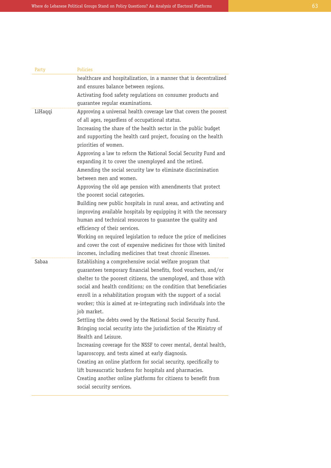| Party   | <b>Policies</b>                                                                                                                                                                                                                                                                                                                                               |
|---------|---------------------------------------------------------------------------------------------------------------------------------------------------------------------------------------------------------------------------------------------------------------------------------------------------------------------------------------------------------------|
|         | healthcare and hospitalization, in a manner that is decentralized                                                                                                                                                                                                                                                                                             |
|         | and ensures balance between regions.                                                                                                                                                                                                                                                                                                                          |
|         | Activating food safety regulations on consumer products and                                                                                                                                                                                                                                                                                                   |
|         | guarantee regular examinations.                                                                                                                                                                                                                                                                                                                               |
| LiHaqqi | Approving a universal health coverage law that covers the poorest<br>of all ages, regardless of occupational status.                                                                                                                                                                                                                                          |
|         | Increasing the share of the health sector in the public budget                                                                                                                                                                                                                                                                                                |
|         | and supporting the health card project, focusing on the health<br>priorities of women.                                                                                                                                                                                                                                                                        |
|         | Approving a law to reform the National Social Security Fund and<br>expanding it to cover the unemployed and the retired.                                                                                                                                                                                                                                      |
|         |                                                                                                                                                                                                                                                                                                                                                               |
|         | Amending the social security law to eliminate discrimination<br>between men and women.                                                                                                                                                                                                                                                                        |
|         | Approving the old age pension with amendments that protect                                                                                                                                                                                                                                                                                                    |
|         | the poorest social categories.                                                                                                                                                                                                                                                                                                                                |
|         | Building new public hospitals in rural areas, and activating and                                                                                                                                                                                                                                                                                              |
|         | improving available hospitals by equipping it with the necessary                                                                                                                                                                                                                                                                                              |
|         | human and technical resources to guarantee the quality and                                                                                                                                                                                                                                                                                                    |
|         | efficiency of their services.                                                                                                                                                                                                                                                                                                                                 |
|         | Working on required legislation to reduce the price of medicines                                                                                                                                                                                                                                                                                              |
|         | and cover the cost of expensive medicines for those with limited                                                                                                                                                                                                                                                                                              |
|         | incomes, including medicines that treat chronic illnesses.                                                                                                                                                                                                                                                                                                    |
| Sabaa   | Establishing a comprehensive social welfare program that                                                                                                                                                                                                                                                                                                      |
|         | guarantees temporary financial benefits, food vouchers, and/or<br>shelter to the poorest citizens, the unemployed, and those with<br>social and health conditions; on the condition that beneficiaries<br>enroll in a rehabilitation program with the support of a social<br>worker; this is aimed at re-integrating such individuals into the<br>job market. |
|         | Settling the debts owed by the National Social Security Fund.<br>Bringing social security into the jurisdiction of the Ministry of                                                                                                                                                                                                                            |
|         | Health and Leisure.                                                                                                                                                                                                                                                                                                                                           |
|         | Increasing coverage for the NSSF to cover mental, dental health,<br>laparoscopy, and tests aimed at early diagnosis.                                                                                                                                                                                                                                          |
|         | Creating an online platform for social security, specifically to                                                                                                                                                                                                                                                                                              |
|         | lift bureaucratic burdens for hospitals and pharmacies.                                                                                                                                                                                                                                                                                                       |
|         | Creating another online platforms for citizens to benefit from<br>social security services.                                                                                                                                                                                                                                                                   |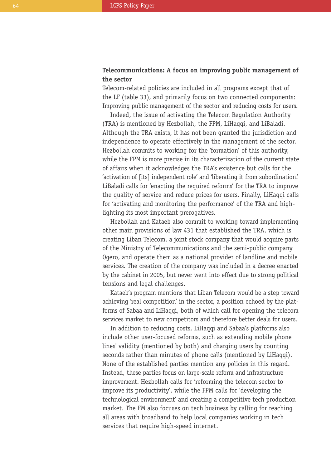## **Telecommunications: A focus on improving public management of the sector**

Telecom-related policies are included in all programs except that of the LF (table 33), and primarily focus on two connected components: Improving public management of the sector and reducing costs for users.

Indeed, the issue of activating the Telecom Regulation Authority (TRA) is mentioned by Hezbollah, the FPM, LiHaqqi, and LiBaladi. Although the TRA exists, it has not been granted the jurisdiction and independence to operate effectively in the management of the sector. Hezbollah commits to working for the 'formation' of this authority, while the FPM is more precise in its characterization of the current state of affairs when it acknowledges the TRA's existence but calls for the 'activation of [its] independent role' and 'liberating it from subordination.' LiBaladi calls for 'enacting the required reforms' for the TRA to improve the quality of service and reduce prices for users. Finally, LiHaqqi calls for 'activating and monitoring the performance' of the TRA and highlighting its most important prerogatives.

Hezbollah and Kataeb also commit to working toward implementing other main provisions of law 431 that established the TRA, which is creating Liban Telecom, a joint stock company that would acquire parts of the Ministry of Telecommunications and the semi-public company Ogero, and operate them as a national provider of landline and mobile services. The creation of the company was included in a decree enacted by the cabinet in 2005, but never went into effect due to strong political tensions and legal challenges.

Kataeb's program mentions that Liban Telecom would be a step toward achieving 'real competition' in the sector, a position echoed by the platforms of Sabaa and LiHaqqi, both of which call for opening the telecom services market to new competitors and therefore better deals for users.

In addition to reducing costs, LiHaqqi and Sabaa's platforms also include other user-focused reforms, such as extending mobile phone lines' validity (mentioned by both) and charging users by counting seconds rather than minutes of phone calls (mentioned by LiHaqqi). None of the established parties mention any policies in this regard. Instead, these parties focus on large-scale reform and infrastructure improvement. Hezbollah calls for 'reforming the telecom sector to improve its productivity', while the FPM calls for 'developing the technological environment' and creating a competitive tech production market. The FM also focuses on tech business by calling for reaching all areas with broadband to help local companies working in tech services that require high-speed internet.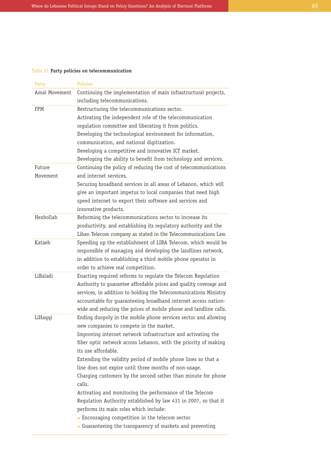#### Table 33 **Party policies on telecommunication**

| Party         | <b>Policies</b>                                                                                                                    |
|---------------|------------------------------------------------------------------------------------------------------------------------------------|
| Amal Movement | Continuing the implementation of main infrastructural projects,                                                                    |
|               | including telecommunications.                                                                                                      |
| FPM           | Restructuring the telecommunications sector.                                                                                       |
|               | Activating the independent role of the telecommunication                                                                           |
|               | regulation committee and liberating it from politics.                                                                              |
|               | Developing the technological environment for information,                                                                          |
|               | communication, and national digitization.                                                                                          |
|               | Developing a competitive and innovative ICT market.                                                                                |
|               | Developing the ability to benefit from technology and services.                                                                    |
| Future        | Continuing the policy of reducing the cost of telecommunications                                                                   |
| Movement      | and internet services.                                                                                                             |
|               | Securing broadband services in all areas of Lebanon, which will                                                                    |
|               | give an important impetus to local companies that need high                                                                        |
|               | speed internet to export their software and services and                                                                           |
|               | innovative products.                                                                                                               |
| Hezbollah     | Reforming the telecommunications sector to increase its                                                                            |
|               | productivity, and establishing its regulatory authority and the                                                                    |
|               | Liban Telecom company as stated in the Telecommunications Law.                                                                     |
| Kataeb        | Speeding up the establishment of LIBA Telecom, which would be                                                                      |
|               | responsible of managing and developing the landlines network,                                                                      |
|               | in addition to establishing a third mobile phone operator in                                                                       |
|               | order to achieve real competition.                                                                                                 |
| LiBaladi      | Enacting required reforms to regulate the Telecom Regulation                                                                       |
|               | Authority to guarantee affordable prices and quality coverage and                                                                  |
|               | services, in addition to holding the Telecommunications Ministry                                                                   |
|               | accountable for guaranteeing broadband internet access nation-<br>wide and reducing the prices of mobile phone and landline calls. |
| LiHaqqi       | Ending duopoly in the mobile phone services sector and allowing                                                                    |
|               | new companies to compete in the market.                                                                                            |
|               | Improving internet network infrastructure and activating the                                                                       |
|               | fiber optic network across Lebanon, with the priority of making                                                                    |
|               | its use affordable.                                                                                                                |
|               | Extending the validity period of mobile phone lines so that a                                                                      |
|               | line does not expire until three months of non-usage.                                                                              |
|               | Charging customers by the second rather than minute for phone                                                                      |
|               | calls.                                                                                                                             |
|               | Activating and monitoring the performance of the Telecom                                                                           |
|               | Regulation Authority established by law 431 in 2007, so that it                                                                    |
|               | performs its main roles which include:                                                                                             |
|               | • Encouraging competition in the telecom sector                                                                                    |
|               | Guaranteeing the transparency of markets and preventing                                                                            |
|               |                                                                                                                                    |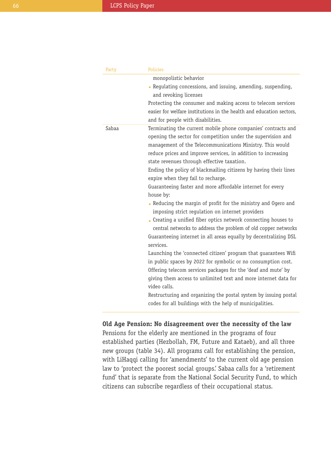| Party | <b>Policies</b>                                                      |
|-------|----------------------------------------------------------------------|
|       | monopolistic behavior                                                |
|       | Regulating concessions, and issuing, amending, suspending,           |
|       | and revoking licenses                                                |
|       | Protecting the consumer and making access to telecom services        |
|       | easier for welfare institutions in the health and education sectors, |
|       | and for people with disabilities.                                    |
| Sabaa | Terminating the current mobile phone companies' contracts and        |
|       | opening the sector for competition under the supervision and         |
|       | management of the Telecommunications Ministry. This would            |
|       | reduce prices and improve services, in addition to increasing        |
|       | state revenues through effective taxation.                           |
|       | Ending the policy of blackmailing citizens by having their lines     |
|       | expire when they fail to recharge.                                   |
|       | Guaranteeing faster and more affordable internet for every           |
|       | house by:                                                            |
|       | Reducing the margin of profit for the ministry and Ogero and         |
|       | imposing strict regulation on internet providers                     |
|       | • Creating a unified fiber optics network connecting houses to       |
|       | central networks to address the problem of old copper networks       |
|       | Guaranteeing internet in all areas equally by decentralizing DSL     |
|       | services.                                                            |
|       | Launching the 'connected citizen' program that quarantees Wifi       |
|       | in public spaces by 2022 for symbolic or no consumption cost.        |
|       | Offering telecom services packages for the 'deaf and mute' by        |
|       | giving them access to unlimited text and more internet data for      |
|       | video calls.                                                         |
|       | Restructuring and organizing the postal system by issuing postal     |
|       | codes for all buildings with the help of municipalities.             |

#### **Old Age Pension: No disagreement over the necessity of the law**

Pensions for the elderly are mentioned in the programs of four established parties (Hezbollah, FM, Future and Kataeb), and all three new groups (table 34). All programs call for establishing the pension, with LiHaqqi calling for 'amendments' to the current old age pension law to 'protect the poorest social groups.' Sabaa calls for a 'retirement fund' that is separate from the National Social Security Fund, to which citizens can subscribe regardless of their occupational status.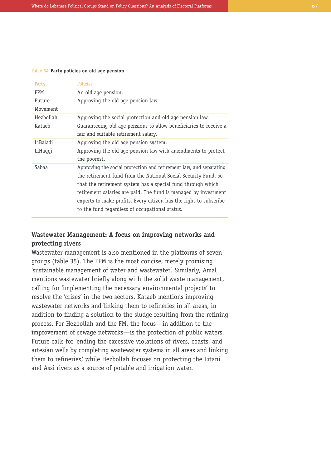#### Table 34 **Party policies on old age pension**

| Party     | <b>Policies</b>                                                    |
|-----------|--------------------------------------------------------------------|
| FPM       | An old age pension.                                                |
| Future    | Approving the old age pension law.                                 |
| Movement  |                                                                    |
| Hezbollah | Approving the social protection and old age pension law.           |
| Kataeb    | Guaranteeing old age pensions to allow beneficiaries to receive a  |
|           | fair and suitable retirement salary.                               |
| LiBaladi  | Approving the old age pension system.                              |
| LiHaqqi   | Approving the old age pension law with amendments to protect       |
|           | the poorest.                                                       |
| Sabaa     | Approving the social protection and retirement law, and separating |
|           | the retirement fund from the National Social Security Fund, so     |
|           | that the retirement system has a special fund through which        |
|           | retirement salaries are paid. The fund is managed by investment    |
|           | experts to make profits. Every citizen has the right to subscribe  |
|           | to the fund regardless of occupational status.                     |

## **Wastewater Management: A focus on improving networks and protecting rivers**

Wastewater management is also mentioned in the platforms of seven groups (table 35). The FPM is the most concise, merely promising 'sustainable management of water and wastewater'. Similarly, Amal mentions wastewater briefly along with the solid waste management, calling for 'implementing the necessary environmental projects' to resolve the 'crises' in the two sectors. Kataeb mentions improving wastewater networks and linking them to refineries in all areas, in addition to finding a solution to the sludge resulting from the refining process. For Hezbollah and the FM, the focus—in addition to the improvement of sewage networks—is the protection of public waters. Future calls for 'ending the excessive violations of rivers, coasts, and artesian wells by completing wastewater systems in all areas and linking them to refineries,' while Hezbollah focuses on protecting the Litani and Assi rivers as a source of potable and irrigation water.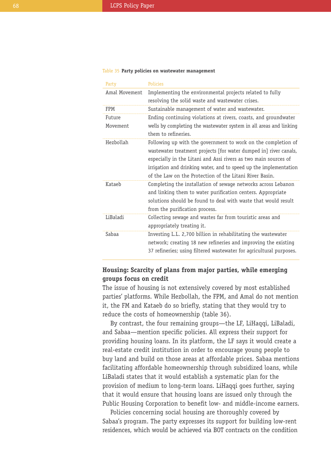#### Table 35 **Party policies on wastewater management**

| Party         | Policies                                                                                                                                                                                                                                                                                                                              |
|---------------|---------------------------------------------------------------------------------------------------------------------------------------------------------------------------------------------------------------------------------------------------------------------------------------------------------------------------------------|
| Amal Movement | Implementing the environmental projects related to fully<br>resolving the solid waste and wastewater crises.                                                                                                                                                                                                                          |
| FPM           | Sustainable management of water and wastewater.                                                                                                                                                                                                                                                                                       |
| Future        | Ending continuing violations at rivers, coasts, and groundwater                                                                                                                                                                                                                                                                       |
| Movement      | wells by completing the wastewater system in all areas and linking<br>them to refineries.                                                                                                                                                                                                                                             |
| Hezbollah     | Following up with the government to work on the completion of<br>wastewater treatment projects [for water dumped in] river canals,<br>especially in the Litani and Assi rivers as two main sources of<br>irrigation and drinking water, and to speed up the implementation<br>of the Law on the Protection of the Litani River Basin. |
| Kataeh        | Completing the installation of sewage networks across Lebanon<br>and linking them to water purification centers. Appropriate<br>solutions should be found to deal with waste that would result<br>from the purification process.                                                                                                      |
| LiBaladi      | Collecting sewage and wastes far from touristic areas and<br>appropriately treating it.                                                                                                                                                                                                                                               |
| Sabaa         | Investing L.L. 2,700 billion in rehabilitating the wastewater<br>network; creating 18 new refineries and improving the existing<br>37 refineries; using filtered wastewater for agricultural purposes.                                                                                                                                |

## **Housing: Scarcity of plans from major parties, while emerging groups focus on credit**

The issue of housing is not extensively covered by most established parties' platforms. While Hezbollah, the FPM, and Amal do not mention it, the FM and Kataeb do so briefly, stating that they would try to reduce the costs of homeownership (table 36).

By contrast, the four remaining groups—the LF, LiHaqqi, LiBaladi, and Sabaa—mention specific policies. All express their support for providing housing loans. In its platform, the LF says it would create a real-estate credit institution in order to encourage young people to buy land and build on those areas at affordable prices. Sabaa mentions facilitating affordable homeownership through subsidized loans, while LiBaladi states that it would establish a systematic plan for the provision of medium to long-term loans. LiHaqqi goes further, saying that it would ensure that housing loans are issued only through the Public Housing Corporation to benefit low- and middle-income earners.

Policies concerning social housing are thoroughly covered by Sabaa's program. The party expresses its support for building low-rent residences, which would be achieved via BOT contracts on the condition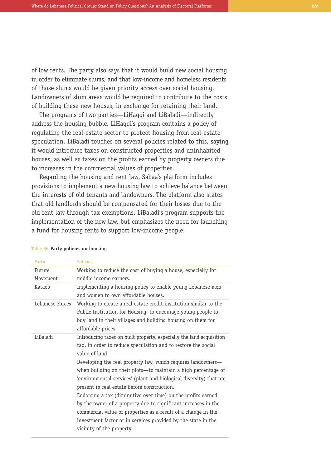of low rents. The party also says that it would build new social housing in order to eliminate slums, and that low-income and homeless residents of those slums would be given priority access over social housing. Landowners of slum areas would be required to contribute to the costs of building these new houses, in exchange for retaining their land.

The programs of two parties—LiHaqqi and LiBaladi—indirectly address the housing bubble. LiHaqqi's program contains a policy of regulating the real-estate sector to protect housing from real-estate speculation. LiBaladi touches on several policies related to this, saying it would introduce taxes on constructed properties and uninhabited houses, as well as taxes on the profits earned by property owners due to increases in the commercial values of properties.

Regarding the housing and rent law, Sabaa's platform includes provisions to implement a new housing law to achieve balance between the interests of old tenants and landowners. The platform also states that old landlords should be compensated for their losses due to the old rent law through tax exemptions. LiBaladi's program supports the implementation of the new law, but emphasizes the need for launching a fund for housing rents to support low-income people.

| Party              | <b>Policies</b>                                                                                                                                                                                                                                                                                                                                                                                                                                                                                                                                                                                                                                                                                                |
|--------------------|----------------------------------------------------------------------------------------------------------------------------------------------------------------------------------------------------------------------------------------------------------------------------------------------------------------------------------------------------------------------------------------------------------------------------------------------------------------------------------------------------------------------------------------------------------------------------------------------------------------------------------------------------------------------------------------------------------------|
| Future<br>Movement | Working to reduce the cost of buying a house, especially for<br>middle income earners.                                                                                                                                                                                                                                                                                                                                                                                                                                                                                                                                                                                                                         |
| Kataeb             | Implementing a housing policy to enable young Lebanese men<br>and women to own affordable houses.                                                                                                                                                                                                                                                                                                                                                                                                                                                                                                                                                                                                              |
| Lebanese Forces    | Working to create a real estate credit institution similar to the<br>Public Institution for Housing, to encourage young people to<br>buy land in their villages and building housing on them for<br>affordable prices.                                                                                                                                                                                                                                                                                                                                                                                                                                                                                         |
| LiBaladi           | Introducing taxes on built property, especially the land acquisition<br>tax, in order to reduce speculation and to restore the social<br>value of land.<br>Developing the real property law, which requires landowners—<br>when building on their plots—to maintain a high percentage of<br>'environmental services' (plant and biological diversity) that are<br>present in real estate before construction.<br>Endorsing a tax (diminutive over time) on the profits earned<br>by the owner of a property due to significant increases in the<br>commercial value of properties as a result of a change in the<br>investment factor or in services provided by the state in the<br>vicinity of the property. |

#### Table 36 **Party policies on housing**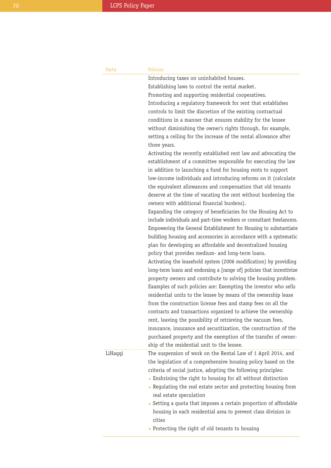| Party   | <b>Policies</b>                                                      |
|---------|----------------------------------------------------------------------|
|         | Introducing taxes on uninhabited houses.                             |
|         | Establishing laws to control the rental market.                      |
|         | Promoting and supporting residential cooperatives.                   |
|         | Introducing a regulatory framework for rent that establishes         |
|         | controls to limit the discretion of the existing contractual         |
|         | conditions in a manner that ensures stability for the lessee         |
|         | without diminishing the owner's rights through, for example,         |
|         | setting a ceiling for the increase of the rental allowance after     |
|         | three years.                                                         |
|         | Activating the recently established rent law and advocating the      |
|         | establishment of a committee responsible for executing the law       |
|         | in addition to launching a fund for housing rents to support         |
|         | low-income individuals and introducing reforms on it (calculate      |
|         | the equivalent allowances and compensation that old tenants          |
|         | deserve at the time of vacating the rent without burdening the       |
|         | owners with additional financial burdens).                           |
|         | Expanding the category of beneficiaries for the Housing Act to       |
|         | include individuals and part-time workers or consultant freelancers. |
|         | Empowering the General Establishment for Housing to substantiate     |
|         | building housing and accessories in accordance with a systematic     |
|         | plan for developing an affordable and decentralized housing          |
|         | policy that provides medium- and long-term loans.                    |
|         | Activating the leasehold system (2006 modification) by providing     |
|         | long-term loans and endorsing a [range of] policies that incentivize |
|         | property owners and contribute to solving the housing problem.       |
|         | Examples of such policies are: Exempting the investor who sells      |
|         | residential units to the lessee by means of the ownership lease      |
|         | from the construction license fees and stamp fees on all the         |
|         | contracts and transactions organized to achieve the ownership        |
|         | rent, leaving the possibility of retrieving the vacuum fees,         |
|         | insurance, insurance and securitization, the construction of the     |
|         | purchased property and the exemption of the transfer of owner-       |
|         | ship of the residential unit to the lessee.                          |
| LiHaqqi | The suspension of work on the Rental Law of 1 April 2014, and        |
|         | the legislation of a comprehensive housing policy based on the       |
|         | criteria of social justice, adopting the following principles:       |
|         | • Enshrining the right to housing for all without distinction        |
|         | - Regulating the real estate sector and protecting housing from      |
|         | real estate speculation                                              |
|         | • Setting a quota that imposes a certain proportion of affordable    |
|         | housing in each residential area to prevent class division in        |
|         | cities                                                               |
|         | • Protecting the right of old tenants to housing                     |
|         |                                                                      |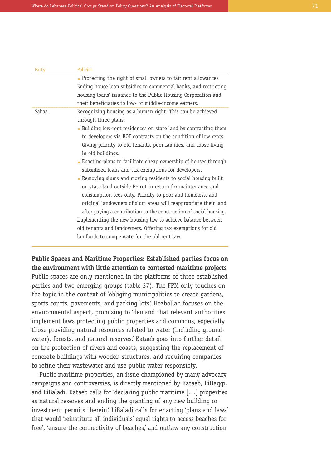| Party | <b>Policies</b>                                                                                                                                                                                                                                                                                                                                                                                                                                                                                                                                                                                                                                                                                                                                                                                                                                                                                                                                               |
|-------|---------------------------------------------------------------------------------------------------------------------------------------------------------------------------------------------------------------------------------------------------------------------------------------------------------------------------------------------------------------------------------------------------------------------------------------------------------------------------------------------------------------------------------------------------------------------------------------------------------------------------------------------------------------------------------------------------------------------------------------------------------------------------------------------------------------------------------------------------------------------------------------------------------------------------------------------------------------|
|       | . Protecting the right of small owners to fair rent allowances<br>Ending house loan subsidies to commercial banks, and restricting<br>housing loans' issuance to the Public Housing Corporation and<br>their beneficiaries to low- or middle-income earners.                                                                                                                                                                                                                                                                                                                                                                                                                                                                                                                                                                                                                                                                                                  |
| Sabaa | Recognizing housing as a human right. This can be achieved<br>through three plans:<br>. Building low-rent residences on state land by contracting them<br>to developers via BOT contracts on the condition of low rents.<br>Giving priority to old tenants, poor families, and those living<br>in old buildings.<br>• Enacting plans to facilitate cheap ownership of houses through<br>subsidized loans and tax exemptions for developers.<br>Removing slums and moving residents to social housing built<br>on state land outside Beirut in return for maintenance and<br>consumption fees only. Priority to poor and homeless, and<br>original landowners of slum areas will reappropriate their land<br>after paying a contribution to the construction of social housing.<br>Implementing the new housing law to achieve balance between<br>old tenants and landowners. Offering tax exemptions for old<br>landlords to compensate for the old rent law. |

**Public Spaces and Maritime Properties: Established parties focus on the environment with little attention to contested maritime projects** Public spaces are only mentioned in the platforms of three established parties and two emerging groups (table 37). The FPM only touches on the topic in the context of 'obliging municipalities to create gardens, sports courts, pavements, and parking lots.' Hezbollah focuses on the environmental aspect, promising to 'demand that relevant authorities implement laws protecting public properties and commons, especially those providing natural resources related to water (including groundwater), forests, and natural reserves.' Kataeb goes into further detail on the protection of rivers and coasts, suggesting the replacement of concrete buildings with wooden structures, and requiring companies to refine their wastewater and use public water responsibly.

Public maritime properties, an issue championed by many advocacy campaigns and controversies, is directly mentioned by Kataeb, LiHaqqi, and LiBaladi. Kataeb calls for 'declaring public maritime […] properties as natural reserves and ending the granting of any new building or investment permits therein.' LiBaladi calls for enacting 'plans and laws' that would 'reinstitute all individuals' equal rights to access beaches for free', 'ensure the connectivity of beaches', and outlaw any construction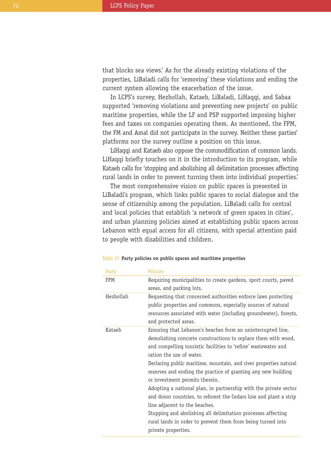that blocks sea views.' As for the already existing violations of the properties, LiBaladi calls for 'removing' these violations and ending the current system allowing the exacerbation of the issue.

In LCPS's survey, Hezbollah, Kataeb, LiBaladi, LiHaqqi, and Sabaa supported 'removing violations and preventing new projects' on public maritime properties, while the LF and PSP supported imposing higher fees and taxes on companies operating them. As mentioned, the FPM, the FM and Amal did not participate in the survey. Neither these parties' platforms nor the survey outline a position on this issue.

LiHaqqi and Kataeb also oppose the commodification of common lands. LiHaqqi briefly touches on it in the introduction to its program, while Kataeb calls for 'stopping and abolishing all delimitation processes affecting rural lands in order to prevent turning them into individual properties.'

The most comprehensive vision on public spaces is presented in LiBaladi's program, which links public spaces to social dialogue and the sense of citizenship among the population. LiBaladi calls for central and local policies that establish 'a network of green spaces in cities', and urban planning policies aimed at establishing public spaces across Lebanon with equal access for all citizens, with special attention paid to people with disabilities and children.

| Party     | Policies                                                           |
|-----------|--------------------------------------------------------------------|
| FPM       | Requiring municipalities to create gardens, sport courts, paved    |
|           | areas, and parking lots.                                           |
| Hezbollah | Requesting that concerned authorities enforce laws protecting      |
|           | public properties and commons, especially sources of natural       |
|           | resources associated with water (including groundwater), forests,  |
|           | and protected areas.                                               |
| Kataeb    | Ensuring that Lebanon's beaches form an uninterrupted line,        |
|           | demolishing concrete constructions to replace them with wood,      |
|           | and compelling touristic facilities to 'refine' wastewater and     |
|           | ration the use of water.                                           |
|           | Declaring public maritime, mountain, and river properties natural  |
|           | reserves and ending the practice of granting any new building      |
|           | or investment permits therein.                                     |
|           | Adopting a national plan, in partnership with the private sector   |
|           | and donor countries, to reforest the Cedars line and plant a strip |
|           | line adjacent to the beaches.                                      |
|           | Stopping and abolishing all delimitation processes affecting       |
|           | rural lands in order to prevent them from being turned into        |
|           | private properties.                                                |

#### Table 37 **Party policies on public spaces and maritime properties**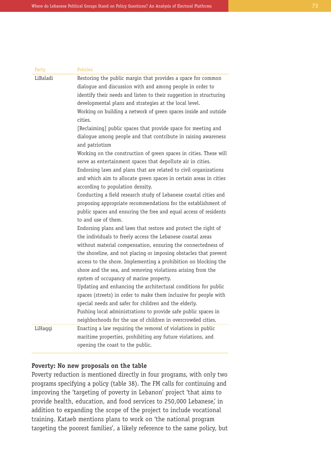| Party    | <b>Policies</b>                                                                                                                                                                                                                                                                                                                                                                                                                                                                                                                                                                                                                                                                                                                                                                                                                                                                                                                                                                                                                                                                                                                                                                                                                                                                                                                                                                                                                                                                                                                                                                                                                                                                                    |
|----------|----------------------------------------------------------------------------------------------------------------------------------------------------------------------------------------------------------------------------------------------------------------------------------------------------------------------------------------------------------------------------------------------------------------------------------------------------------------------------------------------------------------------------------------------------------------------------------------------------------------------------------------------------------------------------------------------------------------------------------------------------------------------------------------------------------------------------------------------------------------------------------------------------------------------------------------------------------------------------------------------------------------------------------------------------------------------------------------------------------------------------------------------------------------------------------------------------------------------------------------------------------------------------------------------------------------------------------------------------------------------------------------------------------------------------------------------------------------------------------------------------------------------------------------------------------------------------------------------------------------------------------------------------------------------------------------------------|
| LiBaladi | Restoring the public margin that provides a space for common<br>dialogue and discussion with and among people in order to<br>identify their needs and listen to their suggestion in structuring<br>developmental plans and strategies at the local level.<br>Working on building a network of green spaces inside and outside<br>cities.<br>[Reclaiming] public spaces that provide space for meeting and<br>dialogue among people and that contribute in raising awareness<br>and patriotism<br>Working on the construction of green spaces in cities. These will<br>serve as entertainment spaces that depollute air in cities.<br>Endorsing laws and plans that are related to civil organizations<br>and which aim to allocate green spaces in certain areas in cities<br>according to population density.<br>Conducting a field research study of Lebanese coastal cities and<br>proposing appropriate recommendations for the establishment of<br>public spaces and ensuring the free and equal access of residents<br>to and use of them.<br>Endorsing plans and laws that restore and protect the right of<br>the individuals to freely access the Lebanese coastal areas<br>without material compensation, ensuring the connectedness of<br>the shoreline, and not placing or imposing obstacles that prevent<br>access to the shore. Implementing a prohibition on blocking the<br>shore and the sea, and removing violations arising from the<br>system of occupancy of marine property.<br>Updating and enhancing the architectural conditions for public<br>spaces (streets) in order to make them inclusive for people with<br>special needs and safer for children and the elderly. |
|          | Pushing local administrations to provide safe public spaces in<br>neighborhoods for the use of children in overcrowded cities.                                                                                                                                                                                                                                                                                                                                                                                                                                                                                                                                                                                                                                                                                                                                                                                                                                                                                                                                                                                                                                                                                                                                                                                                                                                                                                                                                                                                                                                                                                                                                                     |
| LiHaqqi  | Enacting a law requiring the removal of violations in public<br>maritime properties, prohibiting any future violations, and<br>opening the coast to the public.                                                                                                                                                                                                                                                                                                                                                                                                                                                                                                                                                                                                                                                                                                                                                                                                                                                                                                                                                                                                                                                                                                                                                                                                                                                                                                                                                                                                                                                                                                                                    |

## **Poverty: No new proposals on the table**

Poverty reduction is mentioned directly in four programs, with only two programs specifying a policy (table 38). The FM calls for continuing and improving the 'targeting of poverty in Lebanon' project 'that aims to provide health, education, and food services to 250,000 Lebanese,' in addition to expanding the scope of the project to include vocational training. Kataeb mentions plans to work on 'the national program targeting the poorest families', a likely reference to the same policy, but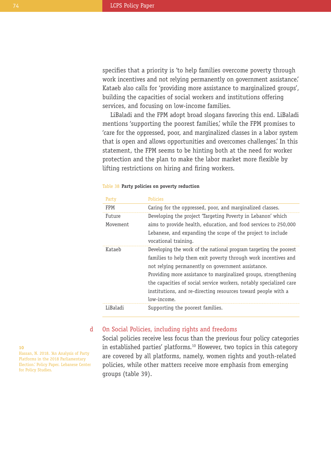specifies that a priority is 'to help families overcome poverty through work incentives and not relying permanently on government assistance.' Kataeb also calls for 'providing more assistance to marginalized groups', building the capacities of social workers and institutions offering services, and focusing on low-income families.

LiBaladi and the FPM adopt broad slogans favoring this end. LiBaladi mentions 'supporting the poorest families,' while the FPM promises to 'care for the oppressed, poor, and marginalized classes in a labor system that is open and allows opportunities and overcomes challenges.' In this statement, the FPM seems to be hinting both at the need for worker protection and the plan to make the labor market more flexible by lifting restrictions on hiring and firing workers.

| Party      | <b>Policies</b>                                                                                                                                                                                                                                                                                                                                                                                                   |
|------------|-------------------------------------------------------------------------------------------------------------------------------------------------------------------------------------------------------------------------------------------------------------------------------------------------------------------------------------------------------------------------------------------------------------------|
| <b>FPM</b> | Caring for the oppressed, poor, and marginalized classes.                                                                                                                                                                                                                                                                                                                                                         |
| Future     | Developing the project 'Targeting Poverty in Lebanon' which                                                                                                                                                                                                                                                                                                                                                       |
| Movement   | aims to provide health, education, and food services to 250,000<br>Lebanese, and expanding the scope of the project to include<br>vocational training.                                                                                                                                                                                                                                                            |
| Kataeh     | Developing the work of the national program targeting the poorest<br>families to help them exit poverty through work incentives and<br>not relying permanently on government assistance.<br>Providing more assistance to marginalized groups, strengthening<br>the capacities of social service workers, notably specialized care<br>institutions, and re-directing resources toward people with a<br>low-income. |
| LiBaladi   | Supporting the poorest families.                                                                                                                                                                                                                                                                                                                                                                                  |

#### Table 38 **Party policies on poverty reduction**

#### On Social Policies, including rights and freedoms d

Social policies receive less focus than the previous four policy categories in established parties' platforms.<sup>10</sup> However, two topics in this category are covered by all platforms, namely, women rights and youth-related policies, while other matters receive more emphasis from emerging groups (table 39).

**10** Hassan, N. 2018. 'An Analysis of Party Platforms in the 2018 Parliamentary Election.' Policy Paper. Lebanese Center for Policy Studies.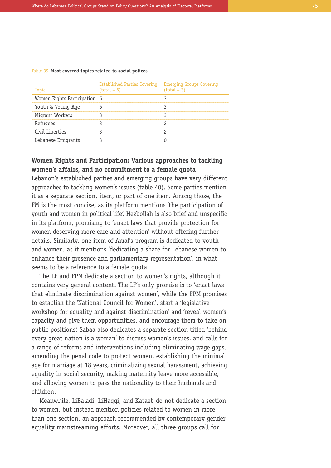| Table 39 Most covered topics related to social polices |  |  |  |
|--------------------------------------------------------|--|--|--|
|--------------------------------------------------------|--|--|--|

| Topic                        | Established Parties Covering<br>$(total = 6)$ | <b>Emerging Groups Covering</b><br>$(total = 3)$ |
|------------------------------|-----------------------------------------------|--------------------------------------------------|
| Women Rights Participation 6 |                                               |                                                  |
| Youth & Voting Age           |                                               |                                                  |
| Migrant Workers              |                                               |                                                  |
| Refugees                     |                                               |                                                  |
| Civil Liberties              |                                               |                                                  |
| Lebanese Emigrants           |                                               |                                                  |

# **Women Rights and Participation: Various approaches to tackling women's affairs, and no commitment to a female quota**

Lebanon's established parties and emerging groups have very different approaches to tackling women's issues (table 40). Some parties mention it as a separate section, item, or part of one item. Among those, the FM is the most concise, as its platform mentions 'the participation of youth and women in political life'. Hezbollah is also brief and unspecific in its platform, promising to 'enact laws that provide protection for women deserving more care and attention' without offering further details. Similarly, one item of Amal's program is dedicated to youth and women, as it mentions 'dedicating a share for Lebanese women to enhance their presence and parliamentary representation', in what seems to be a reference to a female quota.

The LF and FPM dedicate a section to women's rights, although it contains very general content. The LF's only promise is to 'enact laws that eliminate discrimination against women', while the FPM promises to establish the 'National Council for Women', start a 'legislative workshop for equality and against discrimination' and 'reveal women's capacity and give them opportunities, and encourage them to take on public positions.' Sabaa also dedicates a separate section titled 'behind every great nation is a woman' to discuss women's issues, and calls for a range of reforms and interventions including eliminating wage gaps, amending the penal code to protect women, establishing the minimal age for marriage at 18 years, criminalizing sexual harassment, achieving equality in social security, making maternity leave more accessible, and allowing women to pass the nationality to their husbands and children.

Meanwhile, LiBaladi, LiHaqqi, and Kataeb do not dedicate a section to women, but instead mention policies related to women in more than one section, an approach recommended by contemporary gender equality mainstreaming efforts. Moreover, all three groups call for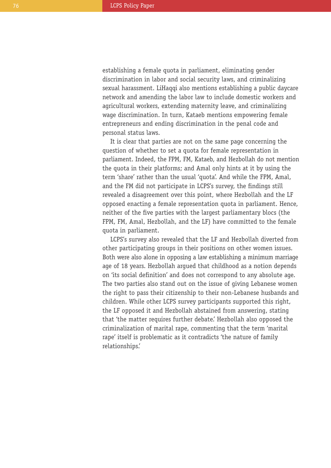establishing a female quota in parliament, eliminating gender discrimination in labor and social security laws, and criminalizing sexual harassment. LiHaqqi also mentions establishing a public daycare network and amending the labor law to include domestic workers and agricultural workers, extending maternity leave, and criminalizing wage discrimination. In turn, Kataeb mentions empowering female entrepreneurs and ending discrimination in the penal code and personal status laws.

It is clear that parties are not on the same page concerning the question of whether to set a quota for female representation in parliament. Indeed, the FPM, FM, Kataeb, and Hezbollah do not mention the quota in their platforms; and Amal only hints at it by using the term 'share' rather than the usual 'quota'. And while the FPM, Amal, and the FM did not participate in LCPS's survey, the findings still revealed a disagreement over this point, where Hezbollah and the LF opposed enacting a female representation quota in parliament. Hence, neither of the five parties with the largest parliamentary blocs (the FPM, FM, Amal, Hezbollah, and the LF) have committed to the female quota in parliament.

LCPS's survey also revealed that the LF and Hezbollah diverted from other participating groups in their positions on other women issues. Both were also alone in opposing a law establishing a minimum marriage age of 18 years. Hezbollah argued that childhood as a notion depends on 'its social definition' and does not correspond to any absolute age. The two parties also stand out on the issue of giving Lebanese women the right to pass their citizenship to their non-Lebanese husbands and children. While other LCPS survey participants supported this right, the LF opposed it and Hezbollah abstained from answering, stating that 'the matter requires further debate.' Hezbollah also opposed the criminalization of marital rape, commenting that the term 'marital rape' itself is problematic as it contradicts 'the nature of family relationships.'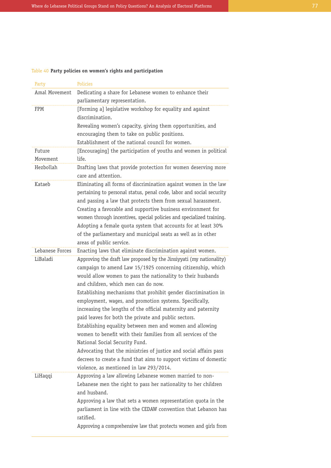# Table 40 **Party policies on women's rights and participation**

| Party              | <b>Policies</b>                                                                                                                                                                                                                                                                                                                                                                                                                                                                                                                                                                                                                                                                                                                                                                                                                                     |
|--------------------|-----------------------------------------------------------------------------------------------------------------------------------------------------------------------------------------------------------------------------------------------------------------------------------------------------------------------------------------------------------------------------------------------------------------------------------------------------------------------------------------------------------------------------------------------------------------------------------------------------------------------------------------------------------------------------------------------------------------------------------------------------------------------------------------------------------------------------------------------------|
| Amal Movement      | Dedicating a share for Lebanese women to enhance their<br>parliamentary representation.                                                                                                                                                                                                                                                                                                                                                                                                                                                                                                                                                                                                                                                                                                                                                             |
| FPM                | [Forming a] legislative workshop for equality and against<br>discrimination.<br>Revealing women's capacity, giving them opportunities, and<br>encouraging them to take on public positions.<br>Establishment of the national council for women.                                                                                                                                                                                                                                                                                                                                                                                                                                                                                                                                                                                                     |
| Future<br>Movement | [Encouraging] the participation of youths and women in political<br>life.                                                                                                                                                                                                                                                                                                                                                                                                                                                                                                                                                                                                                                                                                                                                                                           |
| Hezbollah          | Drafting laws that provide protection for women deserving more<br>care and attention.                                                                                                                                                                                                                                                                                                                                                                                                                                                                                                                                                                                                                                                                                                                                                               |
| Kataeb             | Eliminating all forms of discrimination against women in the law<br>pertaining to personal status, penal code, labor and social security<br>and passing a law that protects them from sexual harassment.<br>Creating a favorable and supportive business environment for<br>women through incentives, special policies and specialized training.<br>Adopting a female quota system that accounts for at least 30%<br>of the parliamentary and municipal seats as well as in other<br>areas of public service.                                                                                                                                                                                                                                                                                                                                       |
| Lebanese Forces    | Enacting laws that eliminate discrimination against women.                                                                                                                                                                                                                                                                                                                                                                                                                                                                                                                                                                                                                                                                                                                                                                                          |
| LiBaladi           | Approving the draft law proposed by the Jinsiyyati (my nationality)<br>campaign to amend Law 15/1925 concerning citizenship, which<br>would allow women to pass the nationality to their husbands<br>and children, which men can do now.<br>Establishing mechanisms that prohibit gender discrimination in<br>employment, wages, and promotion systems. Specifically,<br>increasing the lengths of the official maternity and paternity<br>paid leaves for both the private and public sectors.<br>Establishing equality between men and women and allowing<br>women to benefit with their families from all services of the<br>National Social Security Fund.<br>Advocating that the ministries of justice and social affairs pass<br>decrees to create a fund that aims to support victims of domestic<br>violence, as mentioned in law 293/2014. |
| LiHaqqi            | Approving a law allowing Lebanese women married to non-<br>Lebanese men the right to pass her nationality to her children<br>and husband.<br>Approving a law that sets a women representation quota in the<br>parliament in line with the CEDAW convention that Lebanon has<br>ratified.<br>Approving a comprehensive law that protects women and girls from                                                                                                                                                                                                                                                                                                                                                                                                                                                                                        |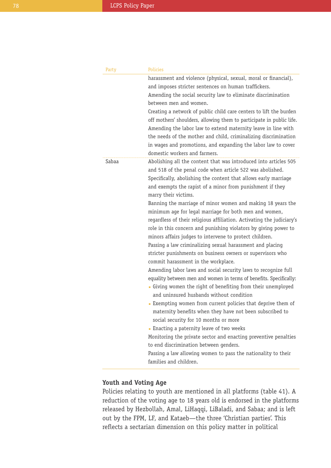| Party | Policies                                                                                                                                                                                                                                                                                                                                                                                                                                                                                                                                                                                                                                                                                                                                                                                                                                                                                                                                                                                                                                                                                                                                                                                                                                                                                                                                                                                                                                                            |
|-------|---------------------------------------------------------------------------------------------------------------------------------------------------------------------------------------------------------------------------------------------------------------------------------------------------------------------------------------------------------------------------------------------------------------------------------------------------------------------------------------------------------------------------------------------------------------------------------------------------------------------------------------------------------------------------------------------------------------------------------------------------------------------------------------------------------------------------------------------------------------------------------------------------------------------------------------------------------------------------------------------------------------------------------------------------------------------------------------------------------------------------------------------------------------------------------------------------------------------------------------------------------------------------------------------------------------------------------------------------------------------------------------------------------------------------------------------------------------------|
|       | harassment and violence (physical, sexual, moral or financial),<br>and imposes stricter sentences on human traffickers.<br>Amending the social security law to eliminate discrimination<br>between men and women.<br>Creating a network of public child care centers to lift the burden<br>off mothers' shoulders, allowing them to participate in public life.<br>Amending the labor law to extend maternity leave in line with<br>the needs of the mother and child, criminalizing discrimination<br>in wages and promotions, and expanding the labor law to cover<br>domestic workers and farmers.                                                                                                                                                                                                                                                                                                                                                                                                                                                                                                                                                                                                                                                                                                                                                                                                                                                               |
| Sabaa | Abolishing all the content that was introduced into articles 505<br>and 518 of the penal code when article 522 was abolished.<br>Specifically, abolishing the content that allows early marriage<br>and exempts the rapist of a minor from punishment if they<br>marry their victims.<br>Banning the marriage of minor women and making 18 years the<br>minimum age for legal marriage for both men and women,<br>regardless of their religious affiliation. Activating the judiciary's<br>role in this concern and punishing violators by giving power to<br>minors affairs judges to intervene to protect children.<br>Passing a law criminalizing sexual harassment and placing<br>stricter punishments on business owners or supervisors who<br>commit harassment in the workplace.<br>Amending labor laws and social security laws to recognize full<br>equality between men and women in terms of benefits. Specifically:<br>• Giving women the right of benefiting from their unemployed<br>and uninsured husbands without condition<br>Exempting women from current policies that deprive them of<br>maternity benefits when they have not been subscribed to<br>social security for 10 months or more<br>- Enacting a paternity leave of two weeks<br>Monitoring the private sector and enacting preventive penalties<br>to end discrimination between genders.<br>Passing a law allowing women to pass the nationality to their<br>families and children. |

# **Youth and Voting Age**

Policies relating to youth are mentioned in all platforms (table 41). A reduction of the voting age to 18 years old is endorsed in the platforms released by Hezbollah, Amal, LiHaqqi, LiBaladi, and Sabaa; and is left out by the FPM, LF, and Kataeb—the three 'Christian parties'. This reflects a sectarian dimension on this policy matter in political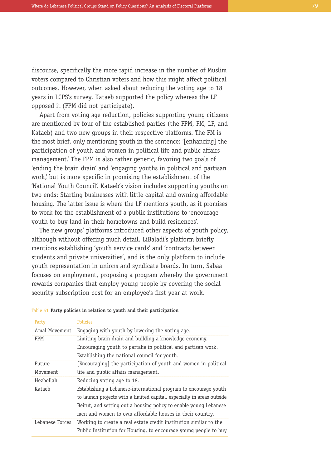discourse, specifically the more rapid increase in the number of Muslim voters compared to Christian voters and how this might affect political outcomes. However, when asked about reducing the voting age to 18 years in LCPS's survey, Kataeb supported the policy whereas the LF opposed it (FPM did not participate).

Apart from voting age reduction, policies supporting young citizens are mentioned by four of the established parties (the FPM, FM, LF, and Kataeb) and two new groups in their respective platforms. The FM is the most brief, only mentioning youth in the sentence: '[enhancing] the participation of youth and women in political life and public affairs management.' The FPM is also rather generic, favoring two goals of 'ending the brain drain' and 'engaging youths in political and partisan work,' but is more specific in promising the establishment of the 'National Youth Council'. Kataeb's vision includes supporting youths on two ends: Starting businesses with little capital and owning affordable housing. The latter issue is where the LF mentions youth, as it promises to work for the establishment of a public institutions to 'encourage youth to buy land in their hometowns and build residences'.

The new groups' platforms introduced other aspects of youth policy, although without offering much detail. LiBaladi's platform briefly mentions establishing 'youth service cards' and 'contracts between students and private universities', and is the only platform to include youth representation in unions and syndicate boards. In turn, Sabaa focuses on employment, proposing a program whereby the government rewards companies that employ young people by covering the social security subscription cost for an employee's first year at work.

#### Table 41 **Party policies in relation to youth and their participation**

| Party           | <b>Policies</b>                                                        |
|-----------------|------------------------------------------------------------------------|
| Amal Movement   | Engaging with youth by lowering the voting age.                        |
| <b>FPM</b>      | Limiting brain drain and building a knowledge economy.                 |
|                 | Encouraging youth to partake in political and partisan work.           |
|                 | Establishing the national council for youth.                           |
| Future          | [Encouraging] the participation of youth and women in political        |
| Movement        | life and public affairs management.                                    |
| Hezbollah       | Reducing voting age to 18.                                             |
| Kataeb          | Establishing a Lebanese-international program to encourage youth       |
|                 | to launch projects with a limited capital, especially in areas outside |
|                 | Beirut, and setting out a housing policy to enable young Lebanese      |
|                 |                                                                        |
|                 | men and women to own affordable houses in their country.               |
| Lebanese Forces | Working to create a real estate credit institution similar to the      |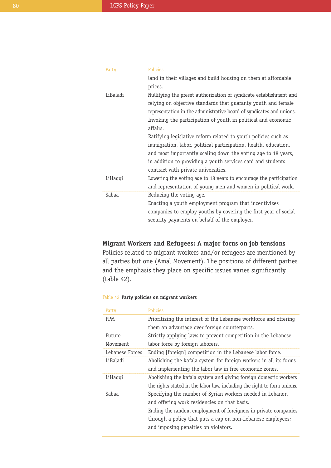| Party    | <b>Policies</b>                                                      |
|----------|----------------------------------------------------------------------|
|          | land in their villages and build housing on them at affordable       |
|          | prices.                                                              |
| LiBaladi | Nullifying the preset authorization of syndicate establishment and   |
|          | relying on objective standards that guaranty youth and female        |
|          | representation in the administrative board of syndicates and unions. |
|          | Invoking the participation of youth in political and economic        |
|          | affairs.                                                             |
|          | Ratifying legislative reform related to youth policies such as       |
|          | immigration, labor, political participation, health, education,      |
|          | and most importantly scaling down the voting age to 18 years,        |
|          | in addition to providing a youth services card and students          |
|          | contract with private universities.                                  |
| LiHaqqi  | Lowering the voting age to 18 years to encourage the participation   |
|          | and representation of young men and women in political work.         |
| Sabaa    | Reducing the voting age.                                             |
|          | Enacting a youth employment program that incentivizes                |
|          | companies to employ youths by covering the first year of social      |
|          | security payments on behalf of the employer.                         |
|          |                                                                      |

**Migrant Workers and Refugees: A major focus on job tensions**

Policies related to migrant workers and/or refugees are mentioned by all parties but one (Amal Movement). The positions of different parties and the emphasis they place on specific issues varies significantly (table 42).

### Table 42 **Party policies on migrant workers**

| Party           | Policies                                                                |
|-----------------|-------------------------------------------------------------------------|
| FPM             | Prioritizing the interest of the Lebanese workforce and offering        |
|                 | them an advantage over foreign counterparts.                            |
| Future          | Strictly applying laws to prevent competition in the Lebanese           |
| Movement        | labor force by foreign laborers.                                        |
| Lebanese Forces | Ending [foreign] competition in the Lebanese labor force.               |
| LiBaladi        | Abolishing the kafala system for foreign workers in all its forms       |
|                 | and implementing the labor law in free economic zones.                  |
| LiHaqqi         | Abolishing the kafala system and giving foreign domestic workers        |
|                 | the rights stated in the labor law, including the right to form unions. |
| Sabaa           | Specifying the number of Syrian workers needed in Lebanon               |
|                 | and offering work residencies on that basis.                            |
|                 | Ending the random employment of foreigners in private companies         |
|                 | through a policy that puts a cap on non-Lebanese employees;             |
|                 | and imposing penalties on violators.                                    |
|                 |                                                                         |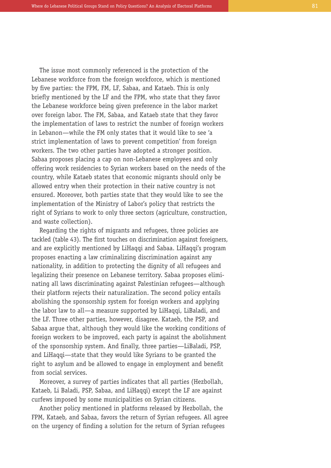The issue most commonly referenced is the protection of the Lebanese workforce from the foreign workforce, which is mentioned by five parties: the FPM, FM, LF, Sabaa, and Kataeb. This is only briefly mentioned by the LF and the FPM, who state that they favor the Lebanese workforce being given preference in the labor market over foreign labor. The FM, Sabaa, and Kataeb state that they favor the implementation of laws to restrict the number of foreign workers in Lebanon—while the FM only states that it would like to see 'a strict implementation of laws to prevent competition' from foreign workers. The two other parties have adopted a stronger position. Sabaa proposes placing a cap on non-Lebanese employees and only offering work residencies to Syrian workers based on the needs of the country, while Kataeb states that economic migrants should only be allowed entry when their protection in their native country is not ensured. Moreover, both parties state that they would like to see the implementation of the Ministry of Labor's policy that restricts the right of Syrians to work to only three sectors (agriculture, construction, and waste collection).

Regarding the rights of migrants and refugees, three policies are tackled (table 43). The first touches on discrimination against foreigners, and are explicitly mentioned by LiHaqqi and Sabaa. LiHaqqi's program proposes enacting a law criminalizing discrimination against any nationality, in addition to protecting the dignity of all refugees and legalizing their presence on Lebanese territory. Sabaa proposes eliminating all laws discriminating against Palestinian refugees—although their platform rejects their naturalization. The second policy entails abolishing the sponsorship system for foreign workers and applying the labor law to all—a measure supported by LiHaqqi, LiBaladi, and the LF. Three other parties, however, disagree. Kataeb, the PSP, and Sabaa argue that, although they would like the working conditions of foreign workers to be improved, each party is against the abolishment of the sponsorship system. And finally, three parties—LiBaladi, PSP, and LiHaqqi—state that they would like Syrians to be granted the right to asylum and be allowed to engage in employment and benefit from social services.

Moreover, a survey of parties indicates that all parties (Hezbollah, Kataeb, Li Baladi, PSP, Sabaa, and LiHaqqi) except the LF are against curfews imposed by some municipalities on Syrian citizens.

Another policy mentioned in platforms released by Hezbollah, the FPM, Kataeb, and Sabaa, favors the return of Syrian refugees. All agree on the urgency of finding a solution for the return of Syrian refugees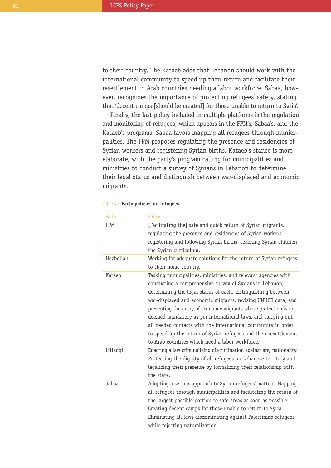to their country. The Kataeb adds that Lebanon should work with the international community to speed up their return and facilitate their resettlement in Arab countries needing a labor workforce. Sabaa, however, recognizes the importance of protecting refugees' safety, stating that 'decent camps [should be created] for those unable to return to Syria'.

Finally, the last policy included in multiple platforms is the regulation and monitoring of refugees, which appears in the FPM's, Sabaa's, and the Kataeb's programs. Sabaa favors mapping all refugees through municipalities. The FPM proposes regulating the presence and residencies of Syrian workers and registering Syrian births. Kataeb's stance is more elaborate, with the party's program calling for municipalities and ministries to conduct a survey of Syrians in Lebanon to determine their legal status and distinguish between war-displaced and economic migrants.

#### Table 43 **Party policies on refugees**

| Party     | <b>Policies</b>                                                                                                                                                                                                                                                                                                                                                                                                                                                                                                                                                                          |
|-----------|------------------------------------------------------------------------------------------------------------------------------------------------------------------------------------------------------------------------------------------------------------------------------------------------------------------------------------------------------------------------------------------------------------------------------------------------------------------------------------------------------------------------------------------------------------------------------------------|
| FPM       | [Facilitating the] safe and quick return of Syrian migrants,<br>regulating the presence and residencies of Syrian workers,<br>registering and following Syrian births, teaching Syrian children<br>the Syrian curriculum.                                                                                                                                                                                                                                                                                                                                                                |
| Hezbollah | Working for adequate solutions for the return of Syrian refugees<br>to their home country.                                                                                                                                                                                                                                                                                                                                                                                                                                                                                               |
| Kataeb    | Tasking municipalities, ministries, and relevant agencies with<br>conducting a comprehensive survey of Syrians in Lebanon,<br>determining the legal status of each, distinguishing between<br>war-displaced and economic migrants, revising UNHCR data, and<br>preventing the entry of economic migrants whose protection is not<br>deemed mandatory as per international laws, and carrying out<br>all needed contacts with the international community in order<br>to speed up the return of Syrian refugees and their resettlement<br>to Arab countries which need a labor workforce. |
| LiHaqqi   | Enacting a law criminalizing discrimination against any nationality.<br>Protecting the dignity of all refugees on Lebanese territory and<br>legalizing their presence by formalizing their relationship with<br>the state.                                                                                                                                                                                                                                                                                                                                                               |
| Sabaa     | Adopting a serious approach to Syrian refugees' matters: Mapping<br>all refugees through municipalities and facilitating the return of<br>the largest possible portion to safe areas as soon as possible.<br>Creating decent camps for those unable to return to Syria.<br>Eliminating all laws discriminating against Palestinian refugees<br>while rejecting naturalization.                                                                                                                                                                                                           |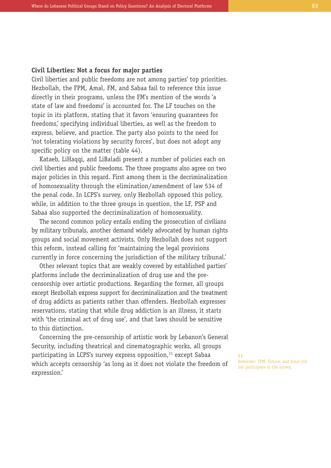## **Civil Liberties: Not a focus for major parties**

Civil liberties and public freedoms are not among parties' top priorities. Hezbollah, the FPM, Amal, FM, and Sabaa fail to reference this issue directly in their programs, unless the FM's mention of the words 'a state of law and freedoms' is accounted for. The LF touches on the topic in its platform, stating that it favors 'ensuring guarantees for freedoms,' specifying individual liberties, as well as the freedom to express, believe, and practice. The party also points to the need for 'not tolerating violations by security forces', but does not adopt any specific policy on the matter (table 44).

Kataeb, LiHaqqi, and LiBaladi present a number of policies each on civil liberties and public freedoms. The three programs also agree on two major policies in this regard. First among them is the decriminalization of homosexuality through the elimination/amendment of law 534 of the penal code. In LCPS's survey, only Hezbollah opposed this policy, while, in addition to the three groups in question, the LF, PSP and Sabaa also supported the decriminalization of homosexuality.

The second common policy entails ending the prosecution of civilians by military tribunals, another demand widely advocated by human rights groups and social movement activists. Only Hezbollah does not support this reform, instead calling for 'maintaining the legal provisions currently in force concerning the jurisdiction of the military tribunal.'

Other relevant topics that are weakly covered by established parties' platforms include the decriminalization of drug use and the precensorship over artistic productions. Regarding the former, all groups except Hezbollah express support for decriminalization and the treatment of drug addicts as patients rather than offenders. Hezbollah expresses reservations, stating that while drug addiction is an illness, it starts with 'the criminal act of drug use', and that laws should be sensitive to this distinction.

Concerning the pre-censorship of artistic work by Lebanon's General Security, including theatrical and cinematographic works, all groups participating in LCPS's survey express opposition, <sup>11</sup> except Sabaa which accepts censorship 'as long as it does not violate the freedom of expression.'

**11** Reminder: FPM, Future, and Amal did not participate in the survey.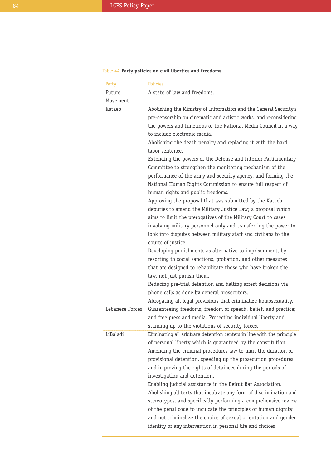# Table 44 **Party policies on civil liberties and freedoms**

| Party           | Policies                                                                                                                                                                                                                                                                                                                                                                                                                                                                                                                                                                                                                                                                                                                                                                                                                                                                                                                                                                                                                                                                                                        |
|-----------------|-----------------------------------------------------------------------------------------------------------------------------------------------------------------------------------------------------------------------------------------------------------------------------------------------------------------------------------------------------------------------------------------------------------------------------------------------------------------------------------------------------------------------------------------------------------------------------------------------------------------------------------------------------------------------------------------------------------------------------------------------------------------------------------------------------------------------------------------------------------------------------------------------------------------------------------------------------------------------------------------------------------------------------------------------------------------------------------------------------------------|
| Future          | A state of law and freedoms.                                                                                                                                                                                                                                                                                                                                                                                                                                                                                                                                                                                                                                                                                                                                                                                                                                                                                                                                                                                                                                                                                    |
| Movement        |                                                                                                                                                                                                                                                                                                                                                                                                                                                                                                                                                                                                                                                                                                                                                                                                                                                                                                                                                                                                                                                                                                                 |
| Kataeb          | Abolishing the Ministry of Information and the General Security's<br>pre-censorship on cinematic and artistic works, and reconsidering<br>the powers and functions of the National Media Council in a way<br>to include electronic media.<br>Abolishing the death penalty and replacing it with the hard<br>labor sentence.<br>Extending the powers of the Defense and Interior Parliamentary<br>Committee to strengthen the monitoring mechanism of the<br>performance of the army and security agency, and forming the<br>National Human Rights Commission to ensure full respect of<br>human rights and public freedoms.<br>Approving the proposal that was submitted by the Kataeb<br>deputies to amend the Military Justice Law; a proposal which<br>aims to limit the prerogatives of the Military Court to cases<br>involving military personnel only and transferring the power to<br>look into disputes between military staff and civilians to the<br>courts of justice.<br>Developing punishments as alternative to imprisonment, by<br>resorting to social sanctions, probation, and other measures |
|                 | that are designed to rehabilitate those who have broken the<br>law, not just punish them.<br>Reducing pre-trial detention and halting arrest decisions via<br>phone calls as done by general prosecutors.                                                                                                                                                                                                                                                                                                                                                                                                                                                                                                                                                                                                                                                                                                                                                                                                                                                                                                       |
|                 | Abrogating all legal provisions that criminalize homosexuality.                                                                                                                                                                                                                                                                                                                                                                                                                                                                                                                                                                                                                                                                                                                                                                                                                                                                                                                                                                                                                                                 |
| Lebanese Forces | Guaranteeing freedoms; freedom of speech, belief, and practice;<br>and free press and media. Protecting individual liberty and<br>standing up to the violations of security forces.                                                                                                                                                                                                                                                                                                                                                                                                                                                                                                                                                                                                                                                                                                                                                                                                                                                                                                                             |
| LiBaladi        | Eliminating all arbitrary detention centers in line with the principle<br>of personal liberty which is guaranteed by the constitution.<br>Amending the criminal procedures law to limit the duration of<br>provisional detention, speeding up the prosecution procedures<br>and improving the rights of detainees during the periods of<br>investigation and detention.<br>Enabling judicial assistance in the Beirut Bar Association.<br>Abolishing all texts that inculcate any form of discrimination and<br>stereotypes, and specifically performing a comprehensive review<br>of the penal code to inculcate the principles of human dignity<br>and not criminalize the choice of sexual orientation and gender<br>identity or any intervention in personal life and choices                                                                                                                                                                                                                                                                                                                               |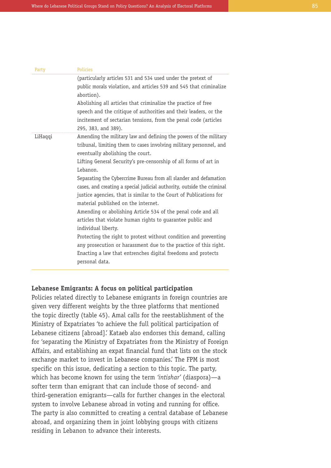| Party   | Policies                                                                                                                                                                                                                                                                                                                                                                                                                                                                                                                                                                                                                                                                                                                                                                                                                                                                                              |
|---------|-------------------------------------------------------------------------------------------------------------------------------------------------------------------------------------------------------------------------------------------------------------------------------------------------------------------------------------------------------------------------------------------------------------------------------------------------------------------------------------------------------------------------------------------------------------------------------------------------------------------------------------------------------------------------------------------------------------------------------------------------------------------------------------------------------------------------------------------------------------------------------------------------------|
|         | (particularly articles 531 and 534 used under the pretext of<br>public morals violation, and articles 539 and 545 that criminalize<br>abortion).<br>Abolishing all articles that criminalize the practice of free<br>speech and the critique of authorities and their leaders, or the<br>incitement of sectarian tensions, from the penal code (articles<br>295, 383, and 389).                                                                                                                                                                                                                                                                                                                                                                                                                                                                                                                       |
| LiHaqqi | Amending the military law and defining the powers of the military<br>tribunal, limiting them to cases involving military personnel, and<br>eventually abolishing the court.<br>Lifting General Security's pre-censorship of all forms of art in<br>Lebanon.<br>Separating the Cybercrime Bureau from all slander and defamation<br>cases, and creating a special judicial authority, outside the criminal<br>justice agencies, that is similar to the Court of Publications for<br>material published on the internet.<br>Amending or abolishing Article 534 of the penal code and all<br>articles that violate human rights to quarantee public and<br>individual liberty.<br>Protecting the right to protest without condition and preventing<br>any prosecution or harassment due to the practice of this right.<br>Enacting a law that entrenches digital freedoms and protects<br>personal data. |

## **Lebanese Emigrants: A focus on political participation**

Policies related directly to Lebanese emigrants in foreign countries are given very different weights by the three platforms that mentioned the topic directly (table 45). Amal calls for the reestablishment of the Ministry of Expatriates 'to achieve the full political participation of Lebanese citizens [abroad].' Kataeb also endorses this demand, calling for 'separating the Ministry of Expatriates from the Ministry of Foreign Affairs, and establishing an expat financial fund that lists on the stock exchange market to invest in Lebanese companies.' The FPM is most specific on this issue, dedicating a section to this topic. The party, which has become known for using the term *'intishar'* (diaspora)—a softer term than emigrant that can include those of second- and third-generation emigrants—calls for further changes in the electoral system to involve Lebanese abroad in voting and running for office. The party is also committed to creating a central database of Lebanese abroad, and organizing them in joint lobbying groups with citizens residing in Lebanon to advance their interests.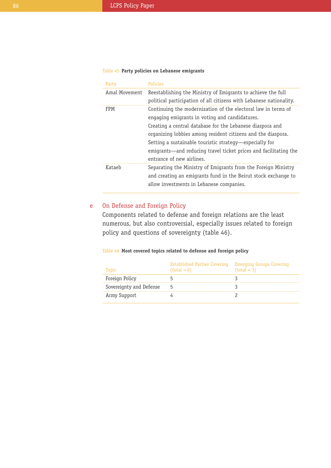## Table 45 **Party policies on Lebanese emigrants**

| Party         | <b>Policies</b>                                                    |
|---------------|--------------------------------------------------------------------|
| Amal Movement | Reestablishing the Ministry of Emigrants to achieve the full       |
|               | political participation of all citizens with Lebanese nationality. |
| <b>FPM</b>    | Continuing the modernization of the electoral law in terms of      |
|               | engaging emigrants in voting and candidatures.                     |
|               | Creating a central database for the Lebanese diaspora and          |
|               | organizing lobbies among resident citizens and the diaspora.       |
|               | Setting a sustainable touristic strategy—especially for            |
|               | emigrants—and reducing travel ticket prices and facilitating the   |
|               | entrance of new airlines.                                          |
| Kataeh        | Separating the Ministry of Emigrants from the Foreign Ministry     |
|               | and creating an emigrants fund in the Beirut stock exchange to     |
|               | allow investments in Lebanese companies.                           |
|               |                                                                    |

#### On Defense and Foreign Policy e

Components related to defense and foreign relations are the least numerous, but also controversial, especially issues related to foreign policy and questions of sovereignty (table 46).

### Table 46 **Most covered topics related to defense and foreign policy**

| Tonic                   | Established Parties Covering Emerging Groups Covering<br>$(total = 6)$ | $(total = 3)$ |
|-------------------------|------------------------------------------------------------------------|---------------|
| Foreign Policy          |                                                                        |               |
| Sovereignty and Defense |                                                                        |               |
| Army Support            |                                                                        |               |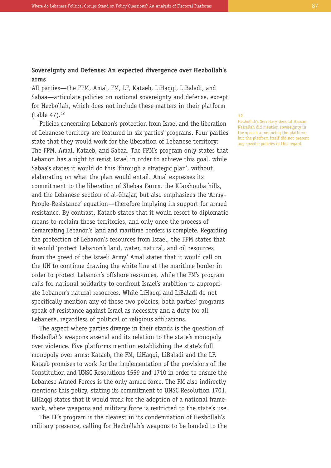## **Sovereignty and Defense: An expected divergence over Hezbollah's arms**

All parties—the FPM, Amal, FM, LF, Kataeb, LiHaqqi, LiBaladi, and Sabaa—articulate policies on national sovereignty and defense, except for Hezbollah, which does not include these matters in their platform (table 47). 12

Policies concerning Lebanon's protection from Israel and the liberation of Lebanese territory are featured in six parties' programs. Four parties state that they would work for the liberation of Lebanese territory: The FPM, Amal, Kataeb, and Sabaa. The FPM's program only states that Lebanon has a right to resist Israel in order to achieve this goal, while Sabaa's states it would do this 'through a strategic plan', without elaborating on what the plan would entail. Amal expresses its commitment to the liberation of Shebaa Farms, the Kfarshouba hills, and the Lebanese section of al-Ghajar, but also emphasizes the 'Army-People-Resistance' equation—therefore implying its support for armed resistance. By contrast, Kataeb states that it would resort to diplomatic means to reclaim these territories, and only once the process of demarcating Lebanon's land and maritime borders is complete. Regarding the protection of Lebanon's resources from Israel, the FPM states that it would 'protect Lebanon's land, water, natural, and oil resources from the greed of the Israeli Army.' Amal states that it would call on the UN to continue drawing the white line at the maritime border in order to protect Lebanon's offshore resources, while the FM's program calls for national solidarity to confront Israel's ambition to appropriate Lebanon's natural resources. While LiHaqqi and LiBaladi do not specifically mention any of these two policies, both parties' programs speak of resistance against Israel as necessity and a duty for all Lebanese, regardless of political or religious affiliations.

The aspect where parties diverge in their stands is the question of Hezbollah's weapons arsenal and its relation to the state's monopoly over violence. Five platforms mention establishing the state's full monopoly over arms: Kataeb, the FM, LiHaqqi, LiBaladi and the LF. Kataeb promises to work for the implementation of the provisions of the Constitution and UNSC Resolutions 1559 and 1710 in order to ensure the Lebanese Armed Forces is the only armed force. The FM also indirectly mentions this policy, stating its commitment to UNSC Resolution 1701. LiHaqqi states that it would work for the adoption of a national framework, where weapons and military force is restricted to the state's use.

The LF's program is the clearest in its condemnation of Hezbollah's military presence, calling for Hezbollah's weapons to be handed to the **12**

Hezbollah's Secretary General Hassan Nasrallah did mention sovereignty in the speech announcing the platform, but the platform itself did not present any specific policies in this regard.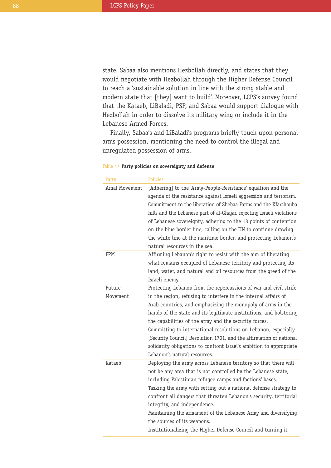state. Sabaa also mentions Hezbollah directly, and states that they would negotiate with Hezbollah through the Higher Defense Council to reach a 'sustainable solution in line with the strong stable and modern state that [they] want to build'. Moreover, LCPS's survey found that the Kataeb, LiBaladi, PSP, and Sabaa would support dialogue with Hezbollah in order to dissolve its military wing or include it in the Lebanese Armed Forces.

Finally, Sabaa's and LiBaladi's programs briefly touch upon personal arms possession, mentioning the need to control the illegal and unregulated possession of arms.

### Table 47 **Party policies on sovereignty and defense**

| Party              | <b>Policies</b>                                                                                                                                                                                                                                                                                                                                                                                                                                                                                                                                                                    |
|--------------------|------------------------------------------------------------------------------------------------------------------------------------------------------------------------------------------------------------------------------------------------------------------------------------------------------------------------------------------------------------------------------------------------------------------------------------------------------------------------------------------------------------------------------------------------------------------------------------|
| Amal Movement      | [Adhering] to the 'Army-People-Resistance' equation and the<br>agenda of the resistance against Israeli aggression and terrorism.<br>Commitment to the liberation of Shebaa Farms and the Kfarshouba<br>hills and the Lebanese part of al-Ghajar, rejecting Israeli violations<br>of Lebanese sovereignty, adhering to the 13 points of contention<br>on the blue border line, calling on the UN to continue drawing<br>the white line at the maritime border, and protecting Lebanon's<br>natural resources in the sea.                                                           |
| FPM                | Affirming Lebanon's right to resist with the aim of liberating<br>what remains occupied of Lebanese territory and protecting its<br>land, water, and natural and oil resources from the greed of the<br>Israeli enemy.                                                                                                                                                                                                                                                                                                                                                             |
| Future<br>Movement | Protecting Lebanon from the repercussions of war and civil strife<br>in the region, refusing to interfere in the internal affairs of<br>Arab countries, and emphasizing the monopoly of arms in the<br>hands of the state and its legitimate institutions, and bolstering<br>the capabilities of the army and the security forces.<br>Committing to international resolutions on Lebanon, especially<br>[Security Council] Resolution 1701, and the affirmation of national<br>solidarity obligations to confront Israel's ambition to appropriate<br>Lebanon's natural resources. |
| Kataeb             | Deploying the army across Lebanese territory so that there will<br>not be any area that is not controlled by the Lebanese state,<br>including Palestinian refugee camps and factions' bases.<br>Tasking the army with setting out a national defense strategy to<br>confront all dangers that threaten Lebanon's security, territorial<br>integrity, and independence.<br>Maintaining the armament of the Lebanese Army and diversifying<br>the sources of its weapons.<br>Institutionalizing the Higher Defense Council and turning it                                            |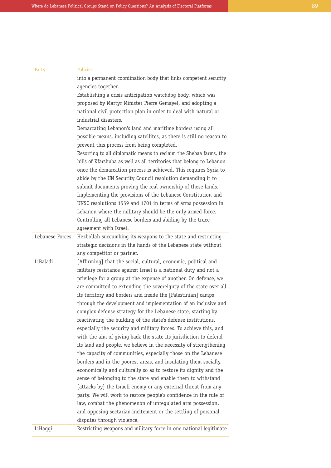| Party           | Policies                                                                                                                                                                                                                                                                                                                                                                                                                                                                                                                                                                                                                                                                                                                                                                                                                                                                                                                                                                                                                                                                                                                                                                                                                                                                                                                              |
|-----------------|---------------------------------------------------------------------------------------------------------------------------------------------------------------------------------------------------------------------------------------------------------------------------------------------------------------------------------------------------------------------------------------------------------------------------------------------------------------------------------------------------------------------------------------------------------------------------------------------------------------------------------------------------------------------------------------------------------------------------------------------------------------------------------------------------------------------------------------------------------------------------------------------------------------------------------------------------------------------------------------------------------------------------------------------------------------------------------------------------------------------------------------------------------------------------------------------------------------------------------------------------------------------------------------------------------------------------------------|
|                 | into a permanent coordination body that links competent security                                                                                                                                                                                                                                                                                                                                                                                                                                                                                                                                                                                                                                                                                                                                                                                                                                                                                                                                                                                                                                                                                                                                                                                                                                                                      |
|                 | agencies together.                                                                                                                                                                                                                                                                                                                                                                                                                                                                                                                                                                                                                                                                                                                                                                                                                                                                                                                                                                                                                                                                                                                                                                                                                                                                                                                    |
|                 | Establishing a crisis anticipation watchdog body, which was                                                                                                                                                                                                                                                                                                                                                                                                                                                                                                                                                                                                                                                                                                                                                                                                                                                                                                                                                                                                                                                                                                                                                                                                                                                                           |
|                 | proposed by Martyr Minister Pierre Gemayel, and adopting a                                                                                                                                                                                                                                                                                                                                                                                                                                                                                                                                                                                                                                                                                                                                                                                                                                                                                                                                                                                                                                                                                                                                                                                                                                                                            |
|                 | national civil protection plan in order to deal with natural or<br>industrial disasters.                                                                                                                                                                                                                                                                                                                                                                                                                                                                                                                                                                                                                                                                                                                                                                                                                                                                                                                                                                                                                                                                                                                                                                                                                                              |
|                 | Demarcating Lebanon's land and maritime borders using all                                                                                                                                                                                                                                                                                                                                                                                                                                                                                                                                                                                                                                                                                                                                                                                                                                                                                                                                                                                                                                                                                                                                                                                                                                                                             |
|                 | possible means, including satellites, as there is still no reason to<br>prevent this process from being completed.                                                                                                                                                                                                                                                                                                                                                                                                                                                                                                                                                                                                                                                                                                                                                                                                                                                                                                                                                                                                                                                                                                                                                                                                                    |
|                 | Resorting to all diplomatic means to reclaim the Shebaa farms, the<br>hills of Kfarshuba as well as all territories that belong to Lebanon<br>once the demarcation process is achieved. This requires Syria to<br>abide by the UN Security Council resolution demanding it to<br>submit documents proving the real ownership of these lands.<br>Implementing the provisions of the Lebanese Constitution and<br>UNSC resolutions 1559 and 1701 in terms of arms possession in<br>Lebanon where the military should be the only armed force.<br>Controlling all Lebanese borders and abiding by the truce<br>agreement with Israel.                                                                                                                                                                                                                                                                                                                                                                                                                                                                                                                                                                                                                                                                                                    |
| Lebanese Forces | Hezbollah succumbing its weapons to the state and restricting<br>strategic decisions in the hands of the Lebanese state without<br>any competitor or partner.                                                                                                                                                                                                                                                                                                                                                                                                                                                                                                                                                                                                                                                                                                                                                                                                                                                                                                                                                                                                                                                                                                                                                                         |
| LiBaladi        | [Affirming] that the social, cultural, economic, political and<br>military resistance against Israel is a national duty and not a<br>privilege for a group at the expense of another. On defense, we<br>are committed to extending the sovereignty of the state over all<br>its territory and borders and inside the [Palestinian] camps<br>through the development and implementation of an inclusive and<br>complex defense strategy for the Lebanese state, starting by<br>reactivating the building of the state's defense institutions,<br>especially the security and military forces. To achieve this, and<br>with the aim of giving back the state its jurisdiction to defend<br>its land and people, we believe in the necessity of strengthening<br>the capacity of communities, especially those on the Lebanese<br>borders and in the poorest areas, and insulating them socially,<br>economically and culturally so as to restore its dignity and the<br>sense of belonging to the state and enable them to withstand<br>[attacks by] the Israeli enemy or any external threat from any<br>party. We will work to restore people's confidence in the rule of<br>law, combat the phenomenon of unregulated arm possession,<br>and opposing sectarian incitement or the settling of personal<br>disputes through violence. |
| LiHaqqi         | Restricting weapons and military force in one national legitimate                                                                                                                                                                                                                                                                                                                                                                                                                                                                                                                                                                                                                                                                                                                                                                                                                                                                                                                                                                                                                                                                                                                                                                                                                                                                     |
|                 |                                                                                                                                                                                                                                                                                                                                                                                                                                                                                                                                                                                                                                                                                                                                                                                                                                                                                                                                                                                                                                                                                                                                                                                                                                                                                                                                       |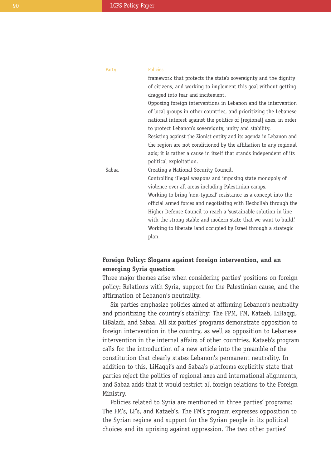| Party | Policies                                                            |
|-------|---------------------------------------------------------------------|
|       | framework that protects the state's sovereignty and the dignity     |
|       | of citizens, and working to implement this goal without getting     |
|       | dragged into fear and incitement.                                   |
|       | Opposing foreign interventions in Lebanon and the intervention      |
|       | of local groups in other countries, and prioritizing the Lebanese   |
|       | national interest against the politics of [regional] axes, in order |
|       | to protect Lebanon's sovereignty, unity and stability.              |
|       | Resisting against the Zionist entity and its agenda in Lebanon and  |
|       | the region are not conditioned by the affiliation to any regional   |
|       | axis; it is rather a cause in itself that stands independent of its |
|       | political exploitation.                                             |
| Sabaa | Creating a National Security Council.                               |
|       | Controlling illegal weapons and imposing state monopoly of          |
|       | violence over all areas including Palestinian camps.                |
|       | Working to bring 'non-typical' resistance as a concept into the     |
|       | official armed forces and negotiating with Hezbollah through the    |
|       | Higher Defense Council to reach a 'sustainable solution in line     |
|       | with the strong stable and modern state that we want to build.      |
|       | Working to liberate land occupied by Israel through a strategic     |
|       | plan.                                                               |
|       |                                                                     |

# **Foreign Policy: Slogans against foreign intervention, and an emerging Syria question**

Three major themes arise when considering parties' positions on foreign policy: Relations with Syria, support for the Palestinian cause, and the affirmation of Lebanon's neutrality.

Six parties emphasize policies aimed at affirming Lebanon's neutrality and prioritizing the country's stability: The FPM, FM, Kataeb, LiHaggi, LiBaladi, and Sabaa. All six parties' programs demonstrate opposition to foreign intervention in the country, as well as opposition to Lebanese intervention in the internal affairs of other countries. Kataeb's program calls for the introduction of a new article into the preamble of the constitution that clearly states Lebanon's permanent neutrality. In addition to this, LiHaqqi's and Sabaa's platforms explicitly state that parties reject the politics of regional axes and international alignments, and Sabaa adds that it would restrict all foreign relations to the Foreign Ministry.

Policies related to Syria are mentioned in three parties' programs: The FM's, LF's, and Kataeb's. The FM's program expresses opposition to the Syrian regime and support for the Syrian people in its political choices and its uprising against oppression. The two other parties'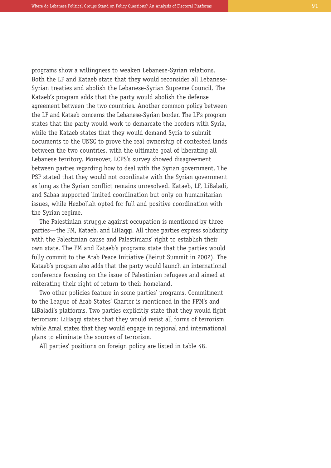programs show a willingness to weaken Lebanese-Syrian relations. Both the LF and Kataeb state that they would reconsider all Lebanese-Syrian treaties and abolish the Lebanese-Syrian Supreme Council. The Kataeb's program adds that the party would abolish the defense agreement between the two countries. Another common policy between the LF and Kataeb concerns the Lebanese-Syrian border. The LF's program states that the party would work to demarcate the borders with Syria, while the Kataeb states that they would demand Syria to submit documents to the UNSC to prove the real ownership of contested lands between the two countries, with the ultimate goal of liberating all Lebanese territory. Moreover, LCPS's survey showed disagreement between parties regarding how to deal with the Syrian government. The PSP stated that they would not coordinate with the Syrian government as long as the Syrian conflict remains unresolved. Kataeb, LF, LiBaladi, and Sabaa supported limited coordination but only on humanitarian issues, while Hezbollah opted for full and positive coordination with the Syrian regime.

The Palestinian struggle against occupation is mentioned by three parties—the FM, Kataeb, and LiHaqqi. All three parties express solidarity with the Palestinian cause and Palestinians' right to establish their own state. The FM and Kataeb's programs state that the parties would fully commit to the Arab Peace Initiative (Beirut Summit in 2002). The Kataeb's program also adds that the party would launch an international conference focusing on the issue of Palestinian refugees and aimed at reiterating their right of return to their homeland.

Two other policies feature in some parties' programs. Commitment to the League of Arab States' Charter is mentioned in the FPM's and LiBaladi's platforms. Two parties explicitly state that they would fight terrorism: LiHaqqi states that they would resist all forms of terrorism while Amal states that they would engage in regional and international plans to eliminate the sources of terrorism.

All parties' positions on foreign policy are listed in table 48.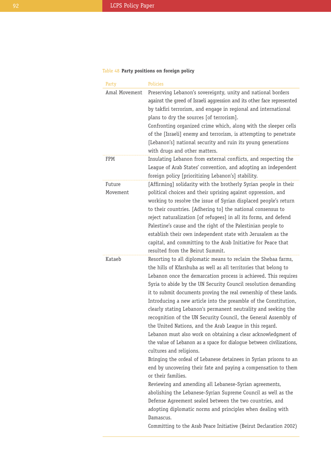# Table 48 **Party positions on foreign policy**

| Party              | Policies                                                                                                                                                                                                                                                                                                                                                                                                                                                                                                                                                                                                                                                                                                                                                                                                                                                                                                                                                                                                                                                                                                                                                                                                                                                                               |
|--------------------|----------------------------------------------------------------------------------------------------------------------------------------------------------------------------------------------------------------------------------------------------------------------------------------------------------------------------------------------------------------------------------------------------------------------------------------------------------------------------------------------------------------------------------------------------------------------------------------------------------------------------------------------------------------------------------------------------------------------------------------------------------------------------------------------------------------------------------------------------------------------------------------------------------------------------------------------------------------------------------------------------------------------------------------------------------------------------------------------------------------------------------------------------------------------------------------------------------------------------------------------------------------------------------------|
| Amal Movement      | Preserving Lebanon's sovereignty, unity and national borders<br>against the greed of Israeli aggression and its other face represented<br>by takfiri terrorism, and engage in regional and international<br>plans to dry the sources [of terrorism].<br>Confronting organized crime which, along with the sleeper cells<br>of the [Israeli] enemy and terrorism, is attempting to penetrate<br>[Lebanon's] national security and ruin its young generations<br>with drugs and other matters.                                                                                                                                                                                                                                                                                                                                                                                                                                                                                                                                                                                                                                                                                                                                                                                           |
| <b>FPM</b>         | Insulating Lebanon from external conflicts, and respecting the<br>League of Arab States' convention, and adopting an independent<br>foreign policy [prioritizing Lebanon's] stability.                                                                                                                                                                                                                                                                                                                                                                                                                                                                                                                                                                                                                                                                                                                                                                                                                                                                                                                                                                                                                                                                                                 |
| Future<br>Movement | [Affirming] solidarity with the brotherly Syrian people in their<br>political choices and their uprising against oppression, and<br>working to resolve the issue of Syrian displaced people's return<br>to their countries. [Adhering to] the national consensus to<br>reject naturalization [of refugees] in all its forms, and defend<br>Palestine's cause and the right of the Palestinian people to<br>establish their own independent state with Jerusalem as the<br>capital, and committing to the Arab Initiative for Peace that<br>resulted from the Beirut Summit.                                                                                                                                                                                                                                                                                                                                                                                                                                                                                                                                                                                                                                                                                                            |
| Kataeb             | Resorting to all diplomatic means to reclaim the Shebaa farms,<br>the hills of Kfarshuba as well as all territories that belong to<br>Lebanon once the demarcation process is achieved. This requires<br>Syria to abide by the UN Security Council resolution demanding<br>it to submit documents proving the real ownership of these lands.<br>Introducing a new article into the preamble of the Constitution,<br>clearly stating Lebanon's permanent neutrality and seeking the<br>recognition of the UN Security Council, the General Assembly of<br>the United Nations, and the Arab League in this regard.<br>Lebanon must also work on obtaining a clear acknowledgment of<br>the value of Lebanon as a space for dialogue between civilizations,<br>cultures and religions.<br>Bringing the ordeal of Lebanese detainees in Syrian prisons to an<br>end by uncovering their fate and paying a compensation to them<br>or their families.<br>Reviewing and amending all Lebanese-Syrian agreements,<br>abolishing the Lebanese-Syrian Supreme Council as well as the<br>Defense Agreement sealed between the two countries, and<br>adopting diplomatic norms and principles when dealing with<br>Damascus.<br>Committing to the Arab Peace Initiative (Beirut Declaration 2002) |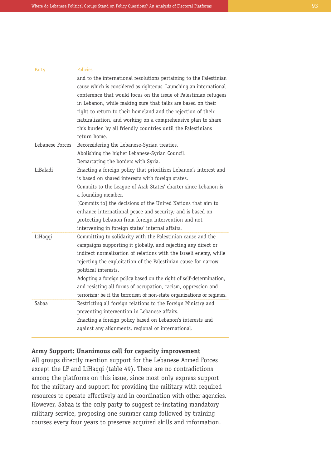| Party           | <b>Policies</b>                                                                                                                                                                                                                                                                                                                                                                                                                                                                                              |
|-----------------|--------------------------------------------------------------------------------------------------------------------------------------------------------------------------------------------------------------------------------------------------------------------------------------------------------------------------------------------------------------------------------------------------------------------------------------------------------------------------------------------------------------|
|                 | and to the international resolutions pertaining to the Palestinian<br>cause which is considered as righteous. Launching an international<br>conference that would focus on the issue of Palestinian refugees<br>in Lebanon, while making sure that talks are based on their<br>right to return to their homeland and the rejection of their<br>naturalization, and working on a comprehensive plan to share<br>this burden by all friendly countries until the Palestinians<br>return home.                  |
| Lebanese Forces | Reconsidering the Lebanese-Syrian treaties.<br>Abolishing the higher Lebanese-Syrian Council.<br>Demarcating the borders with Syria.                                                                                                                                                                                                                                                                                                                                                                         |
| LiBaladi        | Enacting a foreign policy that prioritizes Lebanon's interest and<br>is based on shared interests with foreign states.<br>Commits to the League of Arab States' charter since Lebanon is<br>a founding member.<br>[Commits to] the decisions of the United Nations that aim to<br>enhance international peace and security; and is based on<br>protecting Lebanon from foreign intervention and not<br>intervening in foreign states' internal affairs.                                                      |
| LiHaqqi         | Committing to solidarity with the Palestinian cause and the<br>campaigns supporting it globally, and rejecting any direct or<br>indirect normalization of relations with the Israeli enemy, while<br>rejecting the exploitation of the Palestinian cause for narrow<br>political interests.<br>Adopting a foreign policy based on the right of self-determination,<br>and resisting all forms of occupation, racism, oppression and<br>terrorism; be it the terrorism of non-state organizations or regimes. |
| Sabaa           | Restricting all foreign relations to the Foreign Ministry and<br>preventing intervention in Lebanese affairs.<br>Enacting a foreign policy based on Lebanon's interests and<br>against any alignments, regional or international.                                                                                                                                                                                                                                                                            |

## **Army Support: Unanimous call for capacity improvement**

All groups directly mention support for the Lebanese Armed Forces except the LF and LiHaqqi (table 49). There are no contradictions among the platforms on this issue, since most only express support for the military and support for providing the military with required resources to operate effectively and in coordination with other agencies. However, Sabaa is the only party to suggest re-instating mandatory military service, proposing one summer camp followed by training courses every four years to preserve acquired skills and information.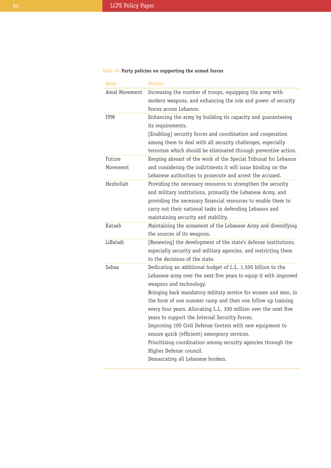# Table 49 **Party policies on supporting the armed forces**

| Party              | Policies                                                                                                                                                                                                                                                                                                                                                                                                                                                                                                                                                                                                                                                         |
|--------------------|------------------------------------------------------------------------------------------------------------------------------------------------------------------------------------------------------------------------------------------------------------------------------------------------------------------------------------------------------------------------------------------------------------------------------------------------------------------------------------------------------------------------------------------------------------------------------------------------------------------------------------------------------------------|
| Amal Movement      | Increasing the number of troops, equipping the army with<br>modern weapons, and enhancing the role and power of security<br>forces across Lebanon.                                                                                                                                                                                                                                                                                                                                                                                                                                                                                                               |
| FPM                | Enhancing the army by building its capacity and guaranteeing<br>its requirements.<br>[Enabling] security forces and coordination and cooperation<br>among them to deal with all security challenges, especially<br>terrorism which should be eliminated through preventive action.                                                                                                                                                                                                                                                                                                                                                                               |
| Future<br>Movement | Keeping abreast of the work of the Special Tribunal for Lebanon<br>and considering the indictments it will issue binding on the<br>Lebanese authorities to prosecute and arrest the accused.                                                                                                                                                                                                                                                                                                                                                                                                                                                                     |
| Hezbollah          | Providing the necessary resources to strengthen the security<br>and military institutions, primarily the Lebanese Army, and<br>providing the necessary financial resources to enable them to<br>carry out their national tasks in defending Lebanon and<br>maintaining security and stability.                                                                                                                                                                                                                                                                                                                                                                   |
| Kataeb             | Maintaining the armament of the Lebanese Army and diversifying<br>the sources of its weapons.                                                                                                                                                                                                                                                                                                                                                                                                                                                                                                                                                                    |
| LiBaladi           | [Renewing] the development of the state's defense institutions,<br>especially security and military agencies, and restricting them<br>to the decisions of the state.                                                                                                                                                                                                                                                                                                                                                                                                                                                                                             |
| Sabaa              | Dedicating an additional budget of L.L. 1,500 billion to the<br>Lebanese army over the next five years to equip it with improved<br>weapons and technology.<br>Bringing back mandatory military service for women and men, in<br>the form of one summer camp and then one follow up training<br>every four years. Allocating L.L. 300 million over the next five<br>years to support the Internal Security Forces.<br>Improving 100 Civil Defense Centers with new equipment to<br>ensure quick (efficient) emergency services.<br>Prioritizing coordination among security agencies through the<br>Higher Defense council.<br>Demarcating all Lebanese borders. |